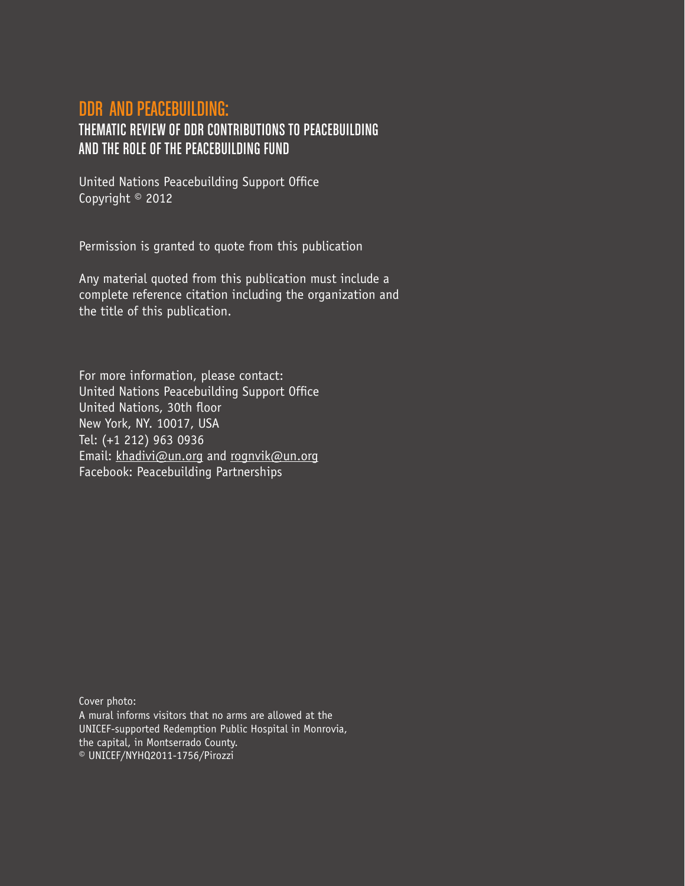# DDR and Peacebuilding:

# Thematic review of DDR contributions to peacebuilding and the role of the Peacebuilding Fund

United Nations Peacebuilding Support Office Copyright © 2012

Permission is granted to quote from this publication

Any material quoted from this publication must include a complete reference citation including the organization and the title of this publication.

For more information, please contact: United Nations Peacebuilding Support Office United Nations, 30th floor New York, NY. 10017, USA Tel: (+1 212) 963 0936 Email: khadivi@un.org and rognvik@un.org Facebook: Peacebuilding Partnerships

Cover photo: A mural informs visitors that no arms are allowed at the UNICEF-supported Redemption Public Hospital in Monrovia, the capital, in Montserrado County. © UNICEF/NYHQ2011-1756/Pirozzi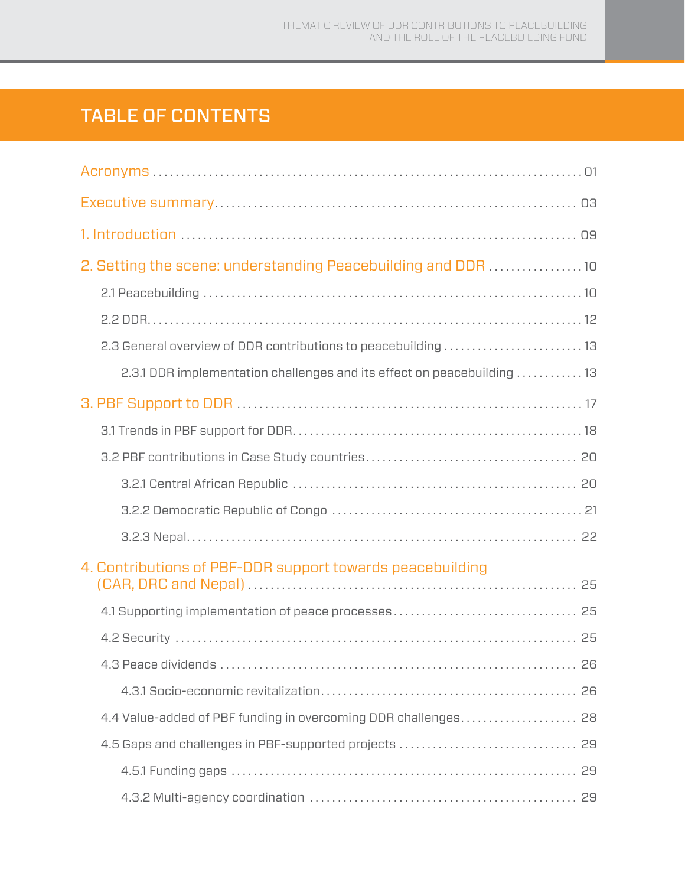# TABLE OF CONTENTS

| 2. Setting the scene: understanding Peacebuilding and DDR 10            |  |
|-------------------------------------------------------------------------|--|
|                                                                         |  |
|                                                                         |  |
| 2.3 General overview of DDR contributions to peacebuilding 13           |  |
| 2.3.1 DDR implementation challenges and its effect on peacebuilding  13 |  |
|                                                                         |  |
|                                                                         |  |
|                                                                         |  |
|                                                                         |  |
|                                                                         |  |
|                                                                         |  |
| 4. Contributions of PBF-DDR support towards peacebuilding               |  |
|                                                                         |  |
|                                                                         |  |
|                                                                         |  |
|                                                                         |  |
|                                                                         |  |
|                                                                         |  |
|                                                                         |  |
|                                                                         |  |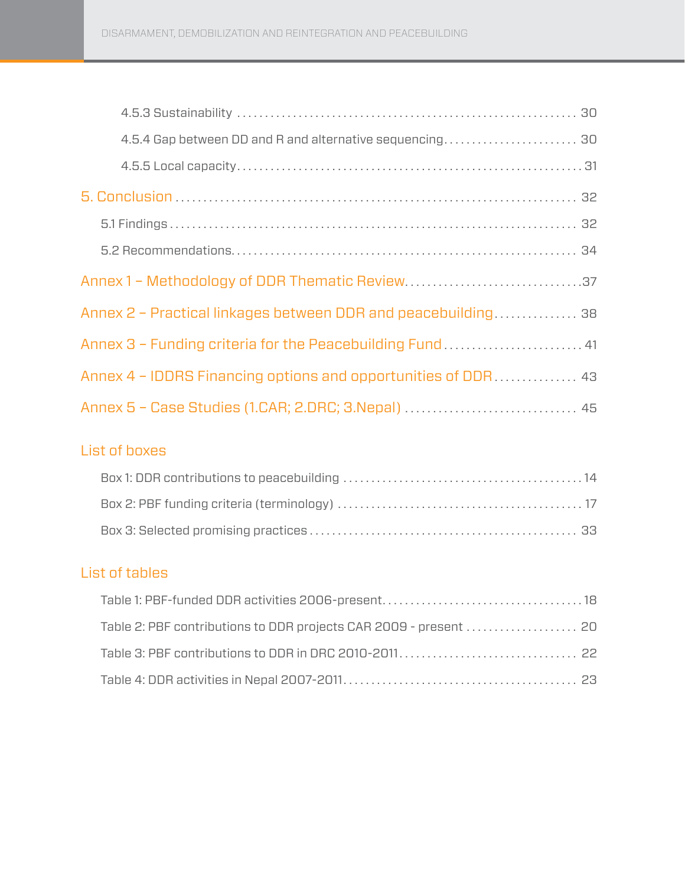| 4.5.4 Gap between DD and R and alternative sequencing 30      |  |
|---------------------------------------------------------------|--|
|                                                               |  |
|                                                               |  |
|                                                               |  |
|                                                               |  |
|                                                               |  |
| Annex 2 - Practical linkages between DDR and peacebuilding 38 |  |
| Annex 3 - Funding criteria for the Peacebuilding Fund 41      |  |
| Annex 4 - IDDRS Financing options and opportunities of DDR 43 |  |
| Annex 5 - Case Studies (1.CAR; 2.DRC; 3.Nepal)  45            |  |

## List of boxes

| Box 2: PBF funding criteria (terminology) $\dots\dots\dots\dots\dots\dots\dots\dots\dots\dots\dots\dots\dots\dots\dots\dots$ |  |
|------------------------------------------------------------------------------------------------------------------------------|--|
|                                                                                                                              |  |

## List of tables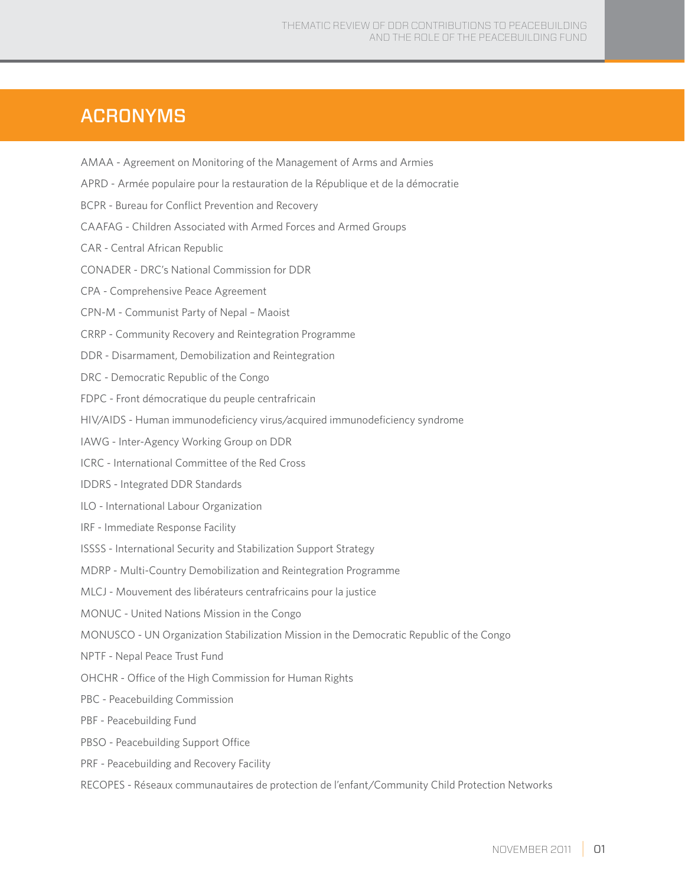# **ACRONYMS**

- AMAA Agreement on Monitoring of the Management of Arms and Armies
- APRD Armée populaire pour la restauration de la République et de la démocratie
- BCPR Bureau for Conflict Prevention and Recovery
- CAAFAG Children Associated with Armed Forces and Armed Groups
- CAR Central African Republic
- CONADER DRC's National Commission for DDR
- CPA Comprehensive Peace Agreement
- CPN-M Communist Party of Nepal Maoist
- CRRP Community Recovery and Reintegration Programme
- DDR Disarmament, Demobilization and Reintegration
- DRC Democratic Republic of the Congo
- FDPC Front démocratique du peuple centrafricain
- HIV/AIDS Human immunodeficiency virus/acquired immunodeficiency syndrome
- IAWG Inter-Agency Working Group on DDR
- ICRC International Committee of the Red Cross
- IDDRS Integrated DDR Standards
- ILO International Labour Organization
- IRF Immediate Response Facility
- ISSSS International Security and Stabilization Support Strategy
- MDRP Multi-Country Demobilization and Reintegration Programme
- MLCJ Mouvement des libérateurs centrafricains pour la justice
- MONUC United Nations Mission in the Congo
- MONUSCO UN Organization Stabilization Mission in the Democratic Republic of the Congo
- NPTF Nepal Peace Trust Fund
- OHCHR Office of the High Commission for Human Rights
- PBC Peacebuilding Commission
- PBF Peacebuilding Fund
- PBSO Peacebuilding Support Office
- PRF Peacebuilding and Recovery Facility
- RECOPES Réseaux communautaires de protection de l'enfant/Community Child Protection Networks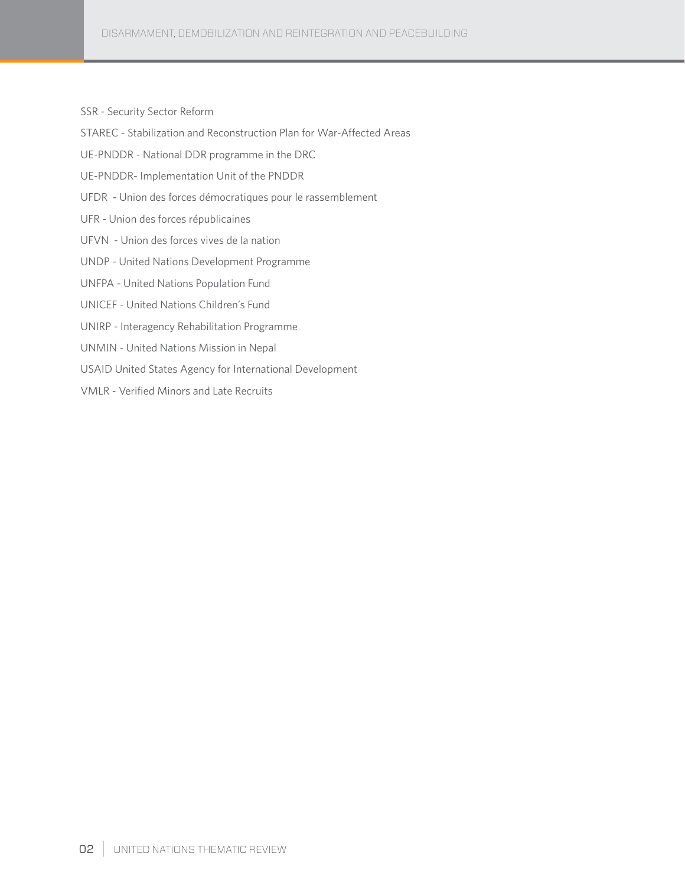SSR - Security Sector Reform

STAREC - Stabilization and Reconstruction Plan for War-Affected Areas

UE-PNDDR - National DDR programme in the DRC

UE-PNDDR- Implementation Unit of the PNDDR

UFDR - Union des forces démocratiques pour le rassemblement

UFR - Union des forces républicaines

- UFVN Union des forces vives de la nation
- UNDP United Nations Development Programme
- UNFPA United Nations Population Fund
- UNICEF United Nations Children's Fund
- UNIRP Interagency Rehabilitation Programme
- UNMIN United Nations Mission in Nepal
- USAID United States Agency for International Development
- VMLR Verified Minors and Late Recruits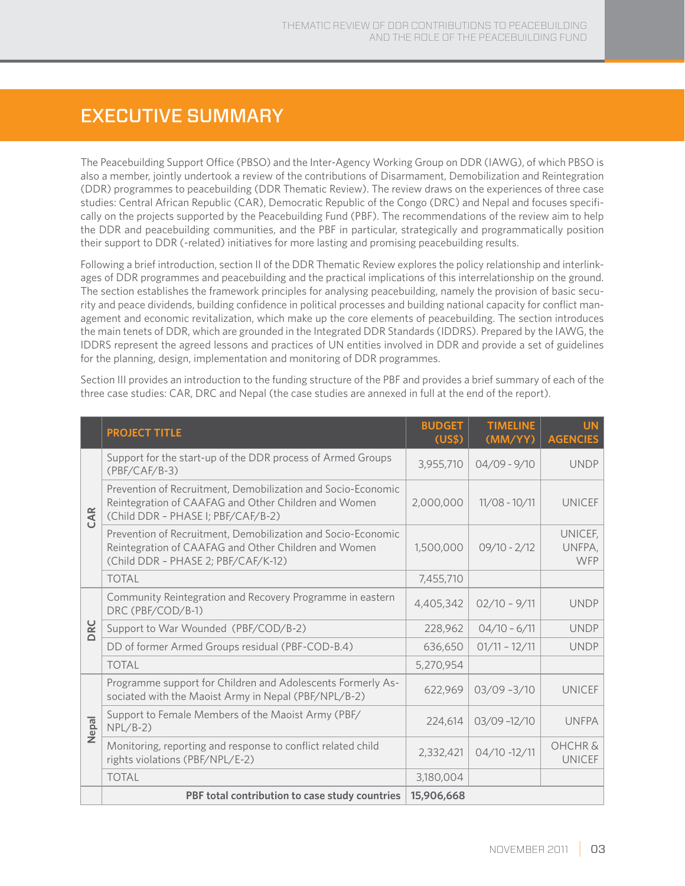# Executive Summary

The Peacebuilding Support Office (PBSO) and the Inter-Agency Working Group on DDR (IAWG), of which PBSO is also a member, jointly undertook a review of the contributions of Disarmament, Demobilization and Reintegration (DDR) programmes to peacebuilding (DDR Thematic Review). The review draws on the experiences of three case studies: Central African Republic (CAR), Democratic Republic of the Congo (DRC) and Nepal and focuses specifically on the projects supported by the Peacebuilding Fund (PBF). The recommendations of the review aim to help the DDR and peacebuilding communities, and the PBF in particular, strategically and programmatically position their support to DDR (-related) initiatives for more lasting and promising peacebuilding results.

Following a brief introduction, section II of the DDR Thematic Review explores the policy relationship and interlinkages of DDR programmes and peacebuilding and the practical implications of this interrelationship on the ground. The section establishes the framework principles for analysing peacebuilding, namely the provision of basic security and peace dividends, building confidence in political processes and building national capacity for conflict management and economic revitalization, which make up the core elements of peacebuilding. The section introduces the main tenets of DDR, which are grounded in the Integrated DDR Standards (IDDRS). Prepared by the IAWG, the IDDRS represent the agreed lessons and practices of UN entities involved in DDR and provide a set of guidelines for the planning, design, implementation and monitoring of DDR programmes.

Section III provides an introduction to the funding structure of the PBF and provides a brief summary of each of the three case studies: CAR, DRC and Nepal (the case studies are annexed in full at the end of the report).

|       | <b>PROJECT TITLE</b>                                                                                                                                        | <b>BUDGET</b><br>(US\$) | <b>TIMELINE</b><br>(MM/YY) | <b>UN</b><br><b>AGENCIES</b>        |
|-------|-------------------------------------------------------------------------------------------------------------------------------------------------------------|-------------------------|----------------------------|-------------------------------------|
| CAR   | Support for the start-up of the DDR process of Armed Groups<br>$(PBF/CAF/B-3)$                                                                              | 3,955,710               | $04/09 - 9/10$             | <b>UNDP</b>                         |
|       | Prevention of Recruitment, Demobilization and Socio-Economic<br>Reintegration of CAAFAG and Other Children and Women<br>(Child DDR - PHASE I; PBF/CAF/B-2)  | 2,000,000               | $11/08 - 10/11$            | <b>UNICEF</b>                       |
|       | Prevention of Recruitment, Demobilization and Socio-Economic<br>Reintegration of CAAFAG and Other Children and Women<br>(Child DDR - PHASE 2; PBF/CAF/K-12) | 1,500,000               | $09/10 - 2/12$             | UNICEF,<br>UNFPA,<br><b>WFP</b>     |
|       | <b>TOTAL</b>                                                                                                                                                | 7,455,710               |                            |                                     |
|       | Community Reintegration and Recovery Programme in eastern<br>DRC (PBF/COD/B-1)                                                                              | 4,405,342               | $02/10 - 9/11$             | <b>UNDP</b>                         |
| DRC   | Support to War Wounded (PBF/COD/B-2)                                                                                                                        | 228,962                 | $04/10 - 6/11$             | <b>UNDP</b>                         |
|       | DD of former Armed Groups residual (PBF-COD-B.4)                                                                                                            | 636,650                 | $01/11 - 12/11$            | <b>UNDP</b>                         |
|       | <b>TOTAL</b>                                                                                                                                                | 5,270,954               |                            |                                     |
|       | Programme support for Children and Adolescents Formerly As-<br>sociated with the Maoist Army in Nepal (PBF/NPL/B-2)                                         | 622,969                 | $03/09 - 3/10$             | <b>UNICEF</b>                       |
| Nepal | Support to Female Members of the Maoist Army (PBF/<br>$NPL/B-2)$                                                                                            | 224,614                 | $03/09 - 12/10$            | <b>UNFPA</b>                        |
|       | Monitoring, reporting and response to conflict related child<br>rights violations (PBF/NPL/E-2)                                                             | 2,332,421               | $04/10 - 12/11$            | <b>OHCHR &amp;</b><br><b>UNICEF</b> |
|       | <b>TOTAL</b>                                                                                                                                                | 3,180,004               |                            |                                     |
|       | PBF total contribution to case study countries                                                                                                              | 15,906,668              |                            |                                     |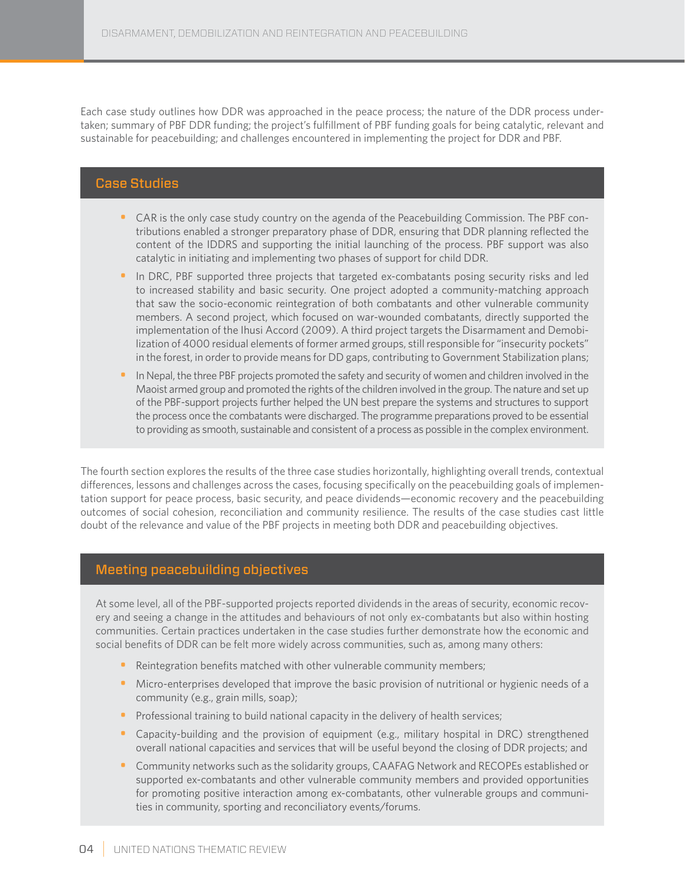Each case study outlines how DDR was approached in the peace process; the nature of the DDR process undertaken; summary of PBF DDR funding; the project's fulfillment of PBF funding goals for being catalytic, relevant and sustainable for peacebuilding; and challenges encountered in implementing the project for DDR and PBF.

### Case Studies

- CAR is the only case study country on the agenda of the Peacebuilding Commission. The PBF contributions enabled a stronger preparatory phase of DDR, ensuring that DDR planning reflected the content of the IDDRS and supporting the initial launching of the process. PBF support was also catalytic in initiating and implementing two phases of support for child DDR.
- In DRC, PBF supported three projects that targeted ex-combatants posing security risks and led to increased stability and basic security. One project adopted a community-matching approach that saw the socio-economic reintegration of both combatants and other vulnerable community members. A second project, which focused on war-wounded combatants, directly supported the implementation of the Ihusi Accord (2009). A third project targets the Disarmament and Demobilization of 4000 residual elements of former armed groups, still responsible for "insecurity pockets" in the forest, in order to provide means for DD gaps, contributing to Government Stabilization plans;
- In Nepal, the three PBF projects promoted the safety and security of women and children involved in the Maoist armed group and promoted the rights of the children involved in the group. The nature and set up of the PBF-support projects further helped the UN best prepare the systems and structures to support the process once the combatants were discharged. The programme preparations proved to be essential to providing as smooth, sustainable and consistent of a process as possible in the complex environment.

The fourth section explores the results of the three case studies horizontally, highlighting overall trends, contextual differences, lessons and challenges across the cases, focusing specifically on the peacebuilding goals of implementation support for peace process, basic security, and peace dividends—economic recovery and the peacebuilding outcomes of social cohesion, reconciliation and community resilience. The results of the case studies cast little doubt of the relevance and value of the PBF projects in meeting both DDR and peacebuilding objectives.

#### Meeting peacebuilding objectives

At some level, all of the PBF-supported projects reported dividends in the areas of security, economic recovery and seeing a change in the attitudes and behaviours of not only ex-combatants but also within hosting communities. Certain practices undertaken in the case studies further demonstrate how the economic and social benefits of DDR can be felt more widely across communities, such as, among many others:

- Reintegration benefits matched with other vulnerable community members;
- Micro-enterprises developed that improve the basic provision of nutritional or hygienic needs of a community (e.g., grain mills, soap);
- Professional training to build national capacity in the delivery of health services;
- Capacity-building and the provision of equipment (e.g., military hospital in DRC) strengthened overall national capacities and services that will be useful beyond the closing of DDR projects; and
- Community networks such as the solidarity groups, CAAFAG Network and RECOPEs established or supported ex-combatants and other vulnerable community members and provided opportunities for promoting positive interaction among ex-combatants, other vulnerable groups and communities in community, sporting and reconciliatory events/forums.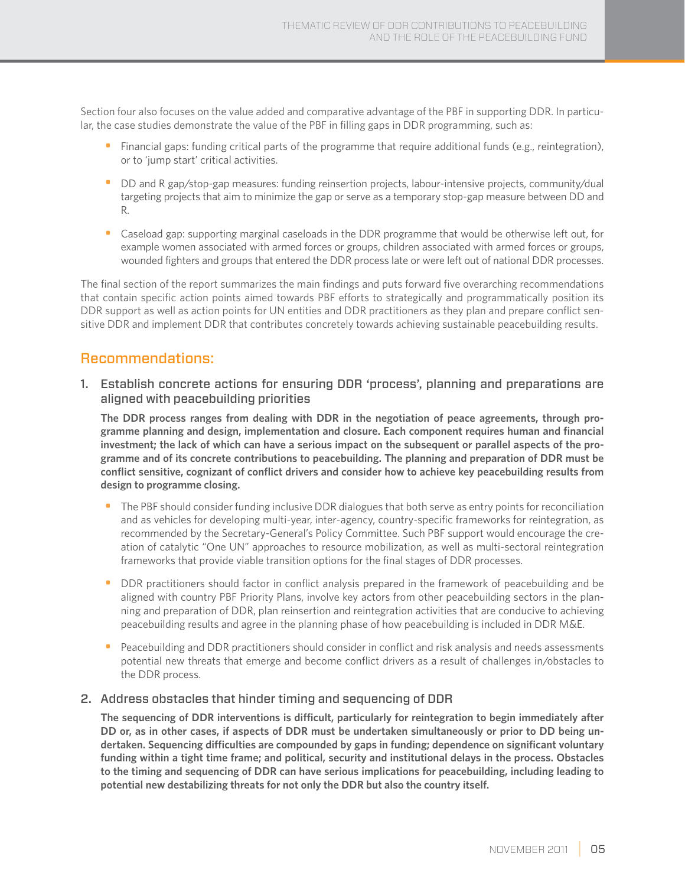Section four also focuses on the value added and comparative advantage of the PBF in supporting DDR. In particular, the case studies demonstrate the value of the PBF in filling gaps in DDR programming, such as:

- Financial gaps: funding critical parts of the programme that require additional funds (e.g., reintegration), or to 'jump start' critical activities.
- DD and R gap/stop-gap measures: funding reinsertion projects, labour-intensive projects, community/dual targeting projects that aim to minimize the gap or serve as a temporary stop-gap measure between DD and R.
- Caseload gap: supporting marginal caseloads in the DDR programme that would be otherwise left out, for example women associated with armed forces or groups, children associated with armed forces or groups, wounded fighters and groups that entered the DDR process late or were left out of national DDR processes.

The final section of the report summarizes the main findings and puts forward five overarching recommendations that contain specific action points aimed towards PBF efforts to strategically and programmatically position its DDR support as well as action points for UN entities and DDR practitioners as they plan and prepare conflict sensitive DDR and implement DDR that contributes concretely towards achieving sustainable peacebuilding results.

## Recommendations:

1. Establish concrete actions for ensuring DDR 'process', planning and preparations are aligned with peacebuilding priorities

**The DDR process ranges from dealing with DDR in the negotiation of peace agreements, through programme planning and design, implementation and closure. Each component requires human and financial investment; the lack of which can have a serious impact on the subsequent or parallel aspects of the programme and of its concrete contributions to peacebuilding. The planning and preparation of DDR must be conflict sensitive, cognizant of conflict drivers and consider how to achieve key peacebuilding results from design to programme closing.**

- The PBF should consider funding inclusive DDR dialogues that both serve as entry points for reconciliation and as vehicles for developing multi-year, inter-agency, country-specific frameworks for reintegration, as recommended by the Secretary-General's Policy Committee. Such PBF support would encourage the creation of catalytic "One UN" approaches to resource mobilization, as well as multi-sectoral reintegration frameworks that provide viable transition options for the final stages of DDR processes.
- DDR practitioners should factor in conflict analysis prepared in the framework of peacebuilding and be aligned with country PBF Priority Plans, involve key actors from other peacebuilding sectors in the planning and preparation of DDR, plan reinsertion and reintegration activities that are conducive to achieving peacebuilding results and agree in the planning phase of how peacebuilding is included in DDR M&E.
- Peacebuilding and DDR practitioners should consider in conflict and risk analysis and needs assessments potential new threats that emerge and become conflict drivers as a result of challenges in/obstacles to the DDR process.

#### 2. Address obstacles that hinder timing and sequencing of DDR

**The sequencing of DDR interventions is difficult, particularly for reintegration to begin immediately after DD or, as in other cases, if aspects of DDR must be undertaken simultaneously or prior to DD being undertaken. Sequencing difficulties are compounded by gaps in funding; dependence on significant voluntary funding within a tight time frame; and political, security and institutional delays in the process. Obstacles to the timing and sequencing of DDR can have serious implications for peacebuilding, including leading to potential new destabilizing threats for not only the DDR but also the country itself.**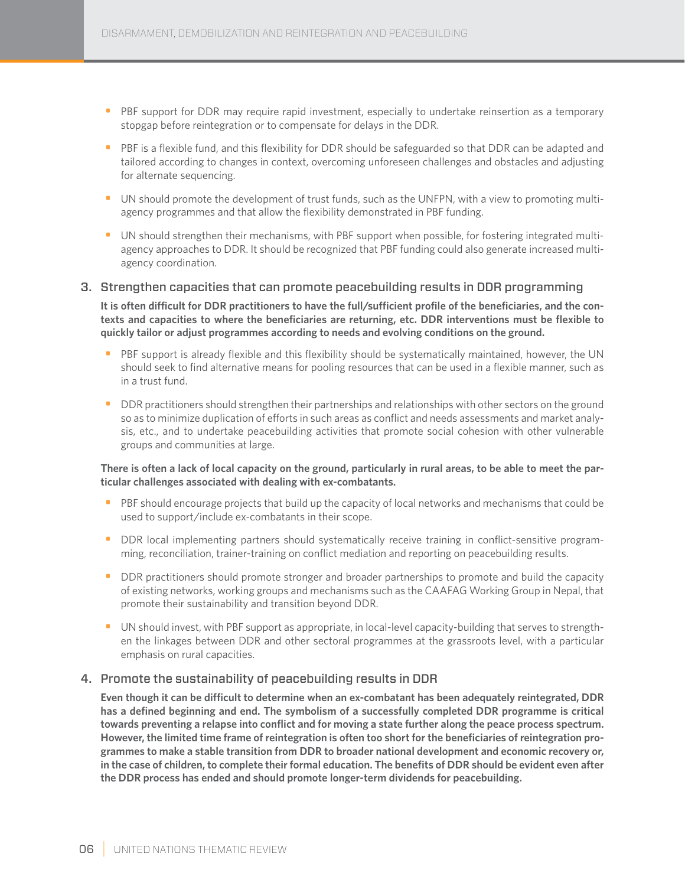- PBF support for DDR may require rapid investment, especially to undertake reinsertion as a temporary stopgap before reintegration or to compensate for delays in the DDR.
- PBF is a flexible fund, and this flexibility for DDR should be safeguarded so that DDR can be adapted and tailored according to changes in context, overcoming unforeseen challenges and obstacles and adjusting for alternate sequencing.
- UN should promote the development of trust funds, such as the UNFPN, with a view to promoting multiagency programmes and that allow the flexibility demonstrated in PBF funding.
- UN should strengthen their mechanisms, with PBF support when possible, for fostering integrated multiagency approaches to DDR. It should be recognized that PBF funding could also generate increased multiagency coordination.

#### 3. Strengthen capacities that can promote peacebuilding results in DDR programming

**It is often difficult for DDR practitioners to have the full/sufficient profile of the beneficiaries, and the contexts and capacities to where the beneficiaries are returning, etc. DDR interventions must be flexible to quickly tailor or adjust programmes according to needs and evolving conditions on the ground.**

- PBF support is already flexible and this flexibility should be systematically maintained, however, the UN should seek to find alternative means for pooling resources that can be used in a flexible manner, such as in a trust fund.
- DDR practitioners should strengthen their partnerships and relationships with other sectors on the ground so as to minimize duplication of efforts in such areas as conflict and needs assessments and market analysis, etc., and to undertake peacebuilding activities that promote social cohesion with other vulnerable groups and communities at large.

#### **There is often a lack of local capacity on the ground, particularly in rural areas, to be able to meet the particular challenges associated with dealing with ex-combatants.**

- PBF should encourage projects that build up the capacity of local networks and mechanisms that could be used to support/include ex-combatants in their scope.
- DDR local implementing partners should systematically receive training in conflict-sensitive programming, reconciliation, trainer-training on conflict mediation and reporting on peacebuilding results.
- DDR practitioners should promote stronger and broader partnerships to promote and build the capacity of existing networks, working groups and mechanisms such as the CAAFAG Working Group in Nepal, that promote their sustainability and transition beyond DDR.
- UN should invest, with PBF support as appropriate, in local-level capacity-building that serves to strengthen the linkages between DDR and other sectoral programmes at the grassroots level, with a particular emphasis on rural capacities.

#### 4. Promote the sustainability of peacebuilding results in DDR

**Even though it can be difficult to determine when an ex-combatant has been adequately reintegrated, DDR has a defined beginning and end. The symbolism of a successfully completed DDR programme is critical towards preventing a relapse into conflict and for moving a state further along the peace process spectrum. However, the limited time frame of reintegration is often too short for the beneficiaries of reintegration programmes to make a stable transition from DDR to broader national development and economic recovery or, in the case of children, to complete their formal education. The benefits of DDR should be evident even after the DDR process has ended and should promote longer-term dividends for peacebuilding.**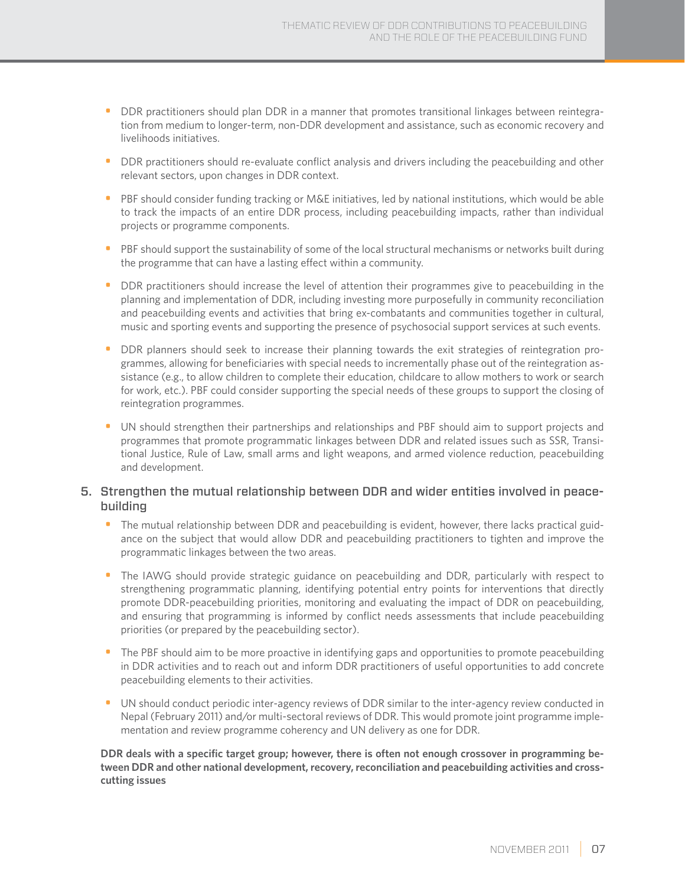- DDR practitioners should plan DDR in a manner that promotes transitional linkages between reintegration from medium to longer-term, non-DDR development and assistance, such as economic recovery and livelihoods initiatives.
- DDR practitioners should re-evaluate conflict analysis and drivers including the peacebuilding and other relevant sectors, upon changes in DDR context.
- PBF should consider funding tracking or M&E initiatives, led by national institutions, which would be able to track the impacts of an entire DDR process, including peacebuilding impacts, rather than individual projects or programme components.
- PBF should support the sustainability of some of the local structural mechanisms or networks built during the programme that can have a lasting effect within a community.
- DDR practitioners should increase the level of attention their programmes give to peacebuilding in the planning and implementation of DDR, including investing more purposefully in community reconciliation and peacebuilding events and activities that bring ex-combatants and communities together in cultural, music and sporting events and supporting the presence of psychosocial support services at such events.
- DDR planners should seek to increase their planning towards the exit strategies of reintegration programmes, allowing for beneficiaries with special needs to incrementally phase out of the reintegration assistance (e.g., to allow children to complete their education, childcare to allow mothers to work or search for work, etc.). PBF could consider supporting the special needs of these groups to support the closing of reintegration programmes.
- UN should strengthen their partnerships and relationships and PBF should aim to support projects and programmes that promote programmatic linkages between DDR and related issues such as SSR, Transitional Justice, Rule of Law, small arms and light weapons, and armed violence reduction, peacebuilding and development.

### 5. Strengthen the mutual relationship between DDR and wider entities involved in peacebuilding

- The mutual relationship between DDR and peacebuilding is evident, however, there lacks practical guidance on the subject that would allow DDR and peacebuilding practitioners to tighten and improve the programmatic linkages between the two areas.
- The IAWG should provide strategic guidance on peacebuilding and DDR, particularly with respect to strengthening programmatic planning, identifying potential entry points for interventions that directly promote DDR-peacebuilding priorities, monitoring and evaluating the impact of DDR on peacebuilding, and ensuring that programming is informed by conflict needs assessments that include peacebuilding priorities (or prepared by the peacebuilding sector).
- The PBF should aim to be more proactive in identifying gaps and opportunities to promote peacebuilding in DDR activities and to reach out and inform DDR practitioners of useful opportunities to add concrete peacebuilding elements to their activities.
- UN should conduct periodic inter-agency reviews of DDR similar to the inter-agency review conducted in Nepal (February 2011) and/or multi-sectoral reviews of DDR. This would promote joint programme implementation and review programme coherency and UN delivery as one for DDR.

**DDR deals with a specific target group; however, there is often not enough crossover in programming between DDR and other national development, recovery, reconciliation and peacebuilding activities and crosscutting issues**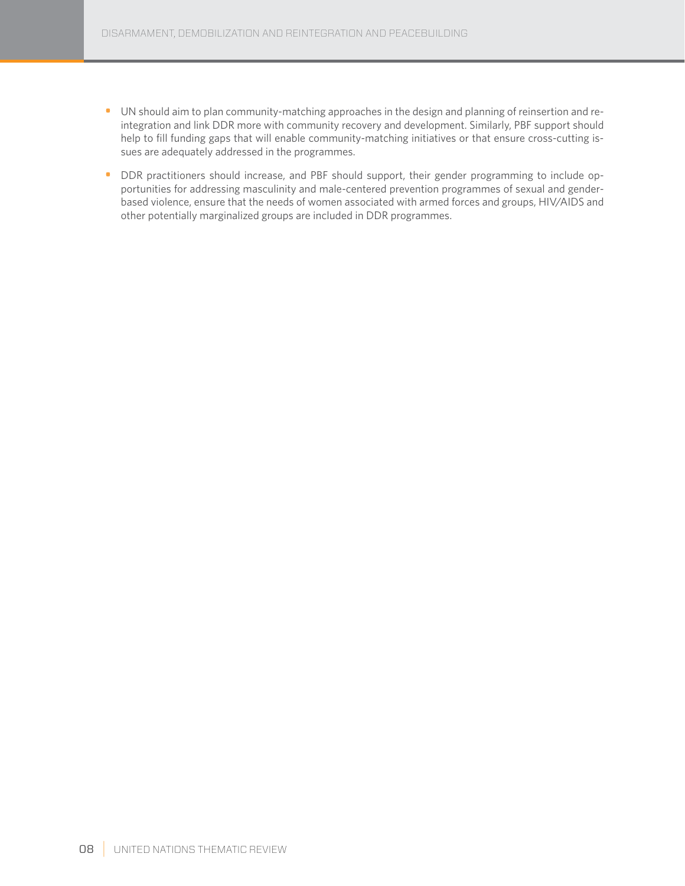- UN should aim to plan community-matching approaches in the design and planning of reinsertion and reintegration and link DDR more with community recovery and development. Similarly, PBF support should help to fill funding gaps that will enable community-matching initiatives or that ensure cross-cutting issues are adequately addressed in the programmes.
- DDR practitioners should increase, and PBF should support, their gender programming to include opportunities for addressing masculinity and male-centered prevention programmes of sexual and genderbased violence, ensure that the needs of women associated with armed forces and groups, HIV/AIDS and other potentially marginalized groups are included in DDR programmes.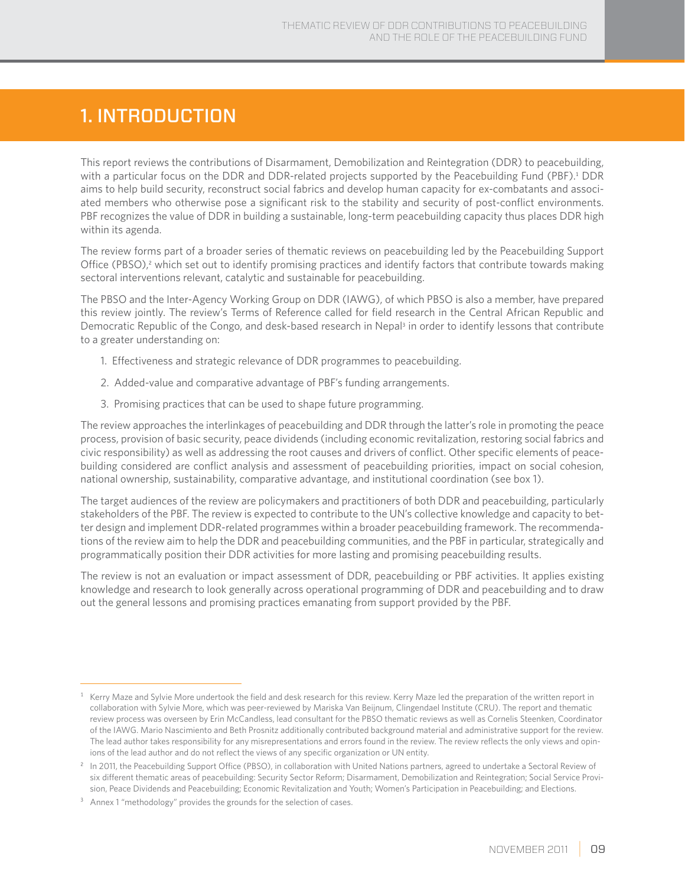# 1. Introduction

This report reviews the contributions of Disarmament, Demobilization and Reintegration (DDR) to peacebuilding, with a particular focus on the DDR and DDR-related projects supported by the Peacebuilding Fund (PBF).<sup>1</sup> DDR aims to help build security, reconstruct social fabrics and develop human capacity for ex-combatants and associated members who otherwise pose a significant risk to the stability and security of post-conflict environments. PBF recognizes the value of DDR in building a sustainable, long-term peacebuilding capacity thus places DDR high within its agenda.

The review forms part of a broader series of thematic reviews on peacebuilding led by the Peacebuilding Support Office (PBSO),<sup>2</sup> which set out to identify promising practices and identify factors that contribute towards making sectoral interventions relevant, catalytic and sustainable for peacebuilding.

The PBSO and the Inter-Agency Working Group on DDR (IAWG), of which PBSO is also a member, have prepared this review jointly. The review's Terms of Reference called for field research in the Central African Republic and Democratic Republic of the Congo, and desk-based research in Nepal<sup>3</sup> in order to identify lessons that contribute to a greater understanding on:

- 1. Effectiveness and strategic relevance of DDR programmes to peacebuilding.
- 2. Added-value and comparative advantage of PBF's funding arrangements.
- 3. Promising practices that can be used to shape future programming.

The review approaches the interlinkages of peacebuilding and DDR through the latter's role in promoting the peace process, provision of basic security, peace dividends (including economic revitalization, restoring social fabrics and civic responsibility) as well as addressing the root causes and drivers of conflict. Other specific elements of peacebuilding considered are conflict analysis and assessment of peacebuilding priorities, impact on social cohesion, national ownership, sustainability, comparative advantage, and institutional coordination (see box 1).

The target audiences of the review are policymakers and practitioners of both DDR and peacebuilding, particularly stakeholders of the PBF. The review is expected to contribute to the UN's collective knowledge and capacity to better design and implement DDR-related programmes within a broader peacebuilding framework. The recommendations of the review aim to help the DDR and peacebuilding communities, and the PBF in particular, strategically and programmatically position their DDR activities for more lasting and promising peacebuilding results.

The review is not an evaluation or impact assessment of DDR, peacebuilding or PBF activities. It applies existing knowledge and research to look generally across operational programming of DDR and peacebuilding and to draw out the general lessons and promising practices emanating from support provided by the PBF.

Kerry Maze and Sylvie More undertook the field and desk research for this review. Kerry Maze led the preparation of the written report in collaboration with Sylvie More, which was peer-reviewed by Mariska Van Beijnum, Clingendael Institute (CRU). The report and thematic review process was overseen by Erin McCandless, lead consultant for the PBSO thematic reviews as well as Cornelis Steenken, Coordinator of the IAWG. Mario Nascimiento and Beth Prosnitz additionally contributed background material and administrative support for the review. The lead author takes responsibility for any misrepresentations and errors found in the review. The review reflects the only views and opinions of the lead author and do not reflect the views of any specific organization or UN entity.

<sup>&</sup>lt;sup>2</sup> In 2011, the Peacebuilding Support Office (PBSO), in collaboration with United Nations partners, agreed to undertake a Sectoral Review of six different thematic areas of peacebuilding: Security Sector Reform; Disarmament, Demobilization and Reintegration; Social Service Provision, Peace Dividends and Peacebuilding; Economic Revitalization and Youth; Women's Participation in Peacebuilding; and Elections.

<sup>&</sup>lt;sup>3</sup> Annex 1 "methodology" provides the grounds for the selection of cases.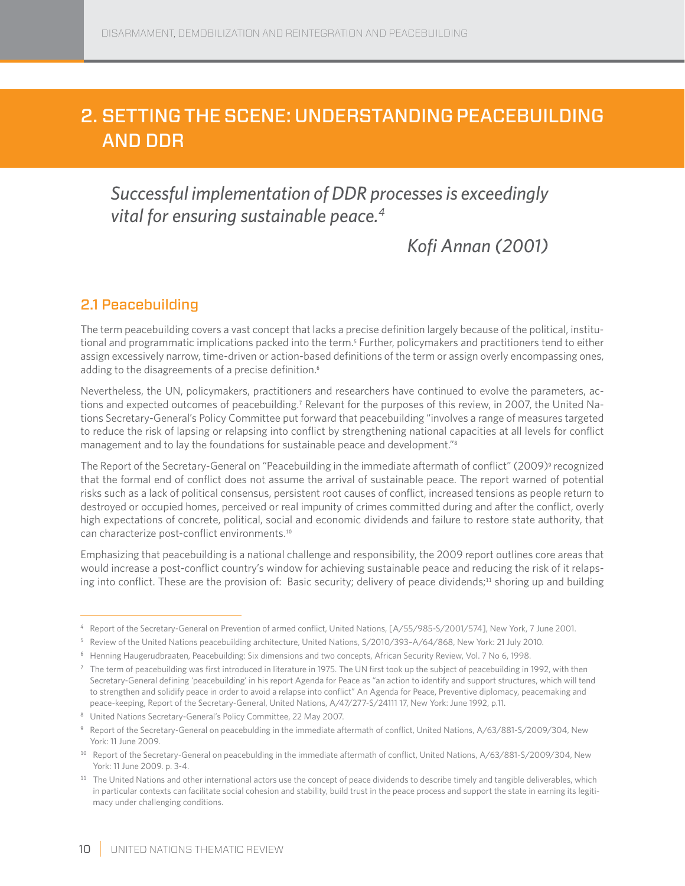# 2. Setting the scene: understanding Peacebuilding and DDR

# *Successful implementation of DDR processes is exceedingly vital for ensuring sustainable peace.4*

# *Kofi Annan (2001)*

## 2.1 Peacebuilding

The term peacebuilding covers a vast concept that lacks a precise definition largely because of the political, institutional and programmatic implications packed into the term.<sup>5</sup> Further, policymakers and practitioners tend to either assign excessively narrow, time-driven or action-based definitions of the term or assign overly encompassing ones, adding to the disagreements of a precise definition.<sup>6</sup>

Nevertheless, the UN, policymakers, practitioners and researchers have continued to evolve the parameters, actions and expected outcomes of peacebuilding.<sup>7</sup> Relevant for the purposes of this review, in 2007, the United Nations Secretary-General's Policy Committee put forward that peacebuilding "involves a range of measures targeted to reduce the risk of lapsing or relapsing into conflict by strengthening national capacities at all levels for conflict management and to lay the foundations for sustainable peace and development."<sup>8</sup>

The Report of the Secretary-General on "Peacebuilding in the immediate aftermath of conflict" (2009)<sup>9</sup> recognized that the formal end of conflict does not assume the arrival of sustainable peace. The report warned of potential risks such as a lack of political consensus, persistent root causes of conflict, increased tensions as people return to destroyed or occupied homes, perceived or real impunity of crimes committed during and after the conflict, overly high expectations of concrete, political, social and economic dividends and failure to restore state authority, that can characterize post-conflict environments.<sup>10</sup>

Emphasizing that peacebuilding is a national challenge and responsibility, the 2009 report outlines core areas that would increase a post-conflict country's window for achieving sustainable peace and reducing the risk of it relapsing into conflict. These are the provision of: Basic security; delivery of peace dividends;<sup>11</sup> shoring up and building

<sup>4</sup> Report of the Secretary-General on Prevention of armed conflict, United Nations, [A/55/985-S/2001/574], New York, 7 June 2001.

<sup>5</sup> Review of the United Nations peacebuilding architecture, United Nations, S/2010/393–A/64/868, New York: 21 July 2010.

<sup>6</sup> Henning Haugerudbraaten, Peacebuilding: Six dimensions and two concepts, African Security Review, Vol. 7 No 6, 1998.

 $<sup>7</sup>$  The term of peacebuilding was first introduced in literature in 1975. The UN first took up the subject of peacebuilding in 1992, with then</sup> Secretary-General defining 'peacebuilding' in his report Agenda for Peace as "an action to identify and support structures, which will tend to strengthen and solidify peace in order to avoid a relapse into conflict" An Agenda for Peace, Preventive diplomacy, peacemaking and peace-keeping, Report of the Secretary-General, United Nations, A/47/277-S/24111 17, New York: June 1992, p.11.

<sup>8</sup> United Nations Secretary-General's Policy Committee, 22 May 2007.

<sup>9</sup> Report of the Secretary-General on peacebulding in the immediate aftermath of conflict, United Nations, A/63/881-S/2009/304, New York: 11 June 2009.

<sup>10</sup> Report of the Secretary-General on peacebulding in the immediate aftermath of conflict, United Nations, A/63/881-S/2009/304, New York: 11 June 2009. p. 3-4.

<sup>&</sup>lt;sup>11</sup> The United Nations and other international actors use the concept of peace dividends to describe timely and tangible deliverables, which in particular contexts can facilitate social cohesion and stability, build trust in the peace process and support the state in earning its legitimacy under challenging conditions.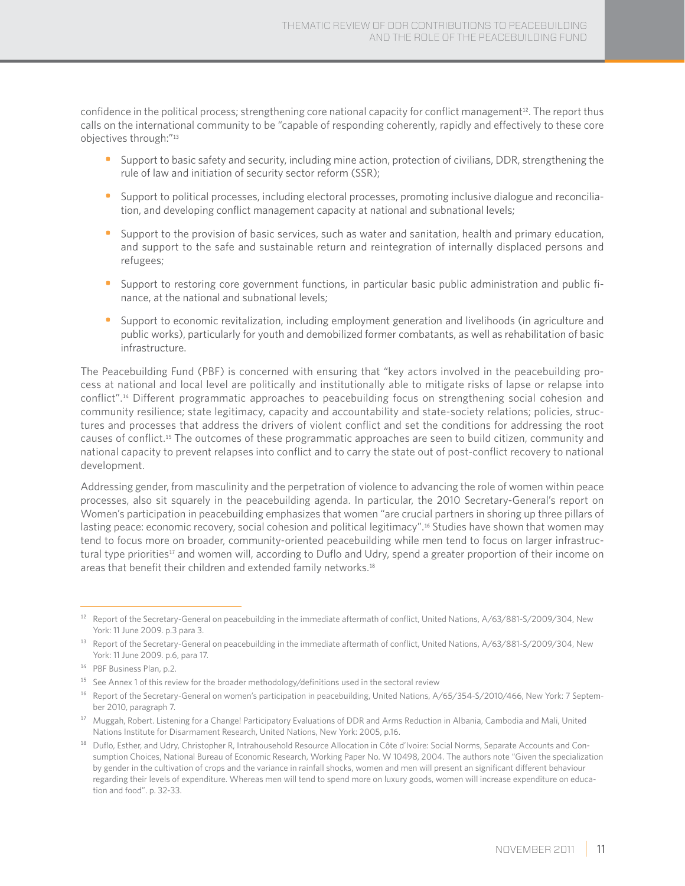confidence in the political process; strengthening core national capacity for conflict management<sup>12</sup>. The report thus calls on the international community to be "capable of responding coherently, rapidly and effectively to these core objectives through:"<sup>13</sup>

- Support to basic safety and security, including mine action, protection of civilians, DDR, strengthening the rule of law and initiation of security sector reform (SSR);
- Support to political processes, including electoral processes, promoting inclusive dialogue and reconciliation, and developing conflict management capacity at national and subnational levels;
- Support to the provision of basic services, such as water and sanitation, health and primary education, and support to the safe and sustainable return and reintegration of internally displaced persons and refugees;
- Support to restoring core government functions, in particular basic public administration and public finance, at the national and subnational levels;
- Support to economic revitalization, including employment generation and livelihoods (in agriculture and public works), particularly for youth and demobilized former combatants, as well as rehabilitation of basic infrastructure.

The Peacebuilding Fund (PBF) is concerned with ensuring that "key actors involved in the peacebuilding process at national and local level are politically and institutionally able to mitigate risks of lapse or relapse into conflict".14 Different programmatic approaches to peacebuilding focus on strengthening social cohesion and community resilience; state legitimacy, capacity and accountability and state-society relations; policies, structures and processes that address the drivers of violent conflict and set the conditions for addressing the root causes of conflict.15 The outcomes of these programmatic approaches are seen to build citizen, community and national capacity to prevent relapses into conflict and to carry the state out of post-conflict recovery to national development.

Addressing gender, from masculinity and the perpetration of violence to advancing the role of women within peace processes, also sit squarely in the peacebuilding agenda. In particular, the 2010 Secretary-General's report on Women's participation in peacebuilding emphasizes that women "are crucial partners in shoring up three pillars of lasting peace: economic recovery, social cohesion and political legitimacy".<sup>16</sup> Studies have shown that women may tend to focus more on broader, community-oriented peacebuilding while men tend to focus on larger infrastructural type priorities<sup>17</sup> and women will, according to Duflo and Udry, spend a greater proportion of their income on areas that benefit their children and extended family networks.<sup>18</sup>

<sup>12</sup> Report of the Secretary-General on peacebuilding in the immediate aftermath of conflict, United Nations, A/63/881-S/2009/304, New York: 11 June 2009. p.3 para 3.

<sup>&</sup>lt;sup>13</sup> Report of the Secretary-General on peacebuilding in the immediate aftermath of conflict, United Nations, A/63/881-S/2009/304, New York: 11 June 2009. p.6, para 17.

<sup>14</sup> PBF Business Plan, p.2.

<sup>&</sup>lt;sup>15</sup> See Annex 1 of this review for the broader methodology/definitions used in the sectoral review

<sup>&</sup>lt;sup>16</sup> Report of the Secretary-General on women's participation in peacebuilding, United Nations, A/65/354-S/2010/466, New York: 7 September 2010, paragraph 7.

<sup>&</sup>lt;sup>17</sup> Muggah, Robert. Listening for a Change! Participatory Evaluations of DDR and Arms Reduction in Albania, Cambodia and Mali, United Nations Institute for Disarmament Research, United Nations, New York: 2005, p.16.

<sup>&</sup>lt;sup>18</sup> Duflo, Esther, and Udry, Christopher R, Intrahousehold Resource Allocation in Côte d'Ivoire: Social Norms, Separate Accounts and Consumption Choices, National Bureau of Economic Research, Working Paper No. W 10498, 2004. The authors note "Given the specialization by gender in the cultivation of crops and the variance in rainfall shocks, women and men will present an significant different behaviour regarding their levels of expenditure. Whereas men will tend to spend more on luxury goods, women will increase expenditure on education and food". p. 32-33.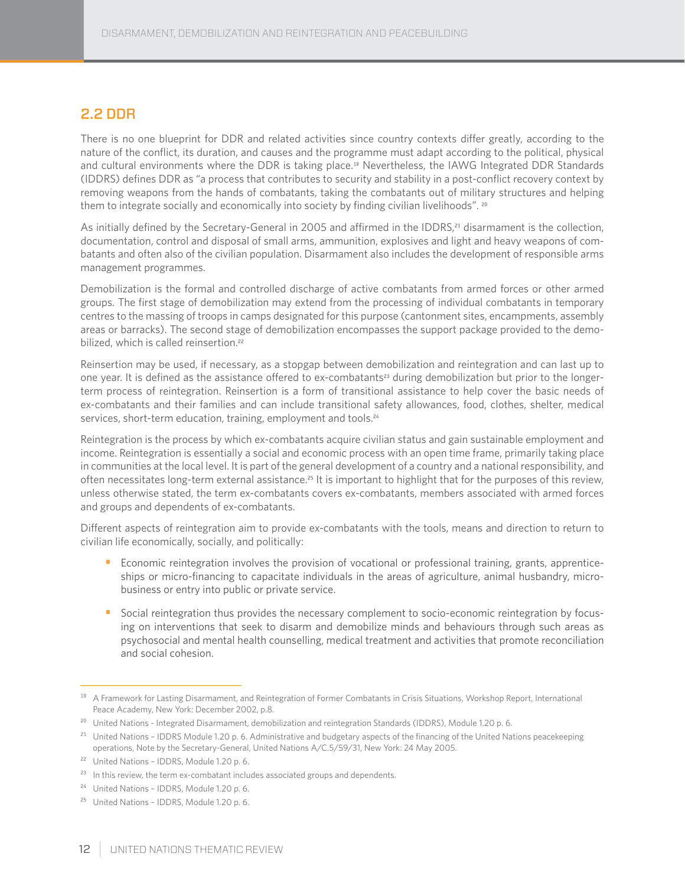## 2.2 DDR

There is no one blueprint for DDR and related activities since country contexts differ greatly, according to the nature of the conflict, its duration, and causes and the programme must adapt according to the political, physical and cultural environments where the DDR is taking place.<sup>19</sup> Nevertheless, the IAWG Integrated DDR Standards (IDDRS) defines DDR as "a process that contributes to security and stability in a post-conflict recovery context by removing weapons from the hands of combatants, taking the combatants out of military structures and helping them to integrate socially and economically into society by finding civilian livelihoods". <sup>20</sup>

As initially defined by the Secretary-General in 2005 and affirmed in the IDDRS,<sup>21</sup> disarmament is the collection, documentation, control and disposal of small arms, ammunition, explosives and light and heavy weapons of combatants and often also of the civilian population. Disarmament also includes the development of responsible arms management programmes.

Demobilization is the formal and controlled discharge of active combatants from armed forces or other armed groups. The first stage of demobilization may extend from the processing of individual combatants in temporary centres to the massing of troops in camps designated for this purpose (cantonment sites, encampments, assembly areas or barracks). The second stage of demobilization encompasses the support package provided to the demobilized, which is called reinsertion.<sup>22</sup>

Reinsertion may be used, if necessary, as a stopgap between demobilization and reintegration and can last up to one year. It is defined as the assistance offered to ex-combatants<sup>23</sup> during demobilization but prior to the longerterm process of reintegration. Reinsertion is a form of transitional assistance to help cover the basic needs of ex-combatants and their families and can include transitional safety allowances, food, clothes, shelter, medical services, short-term education, training, employment and tools.<sup>24</sup>

Reintegration is the process by which ex-combatants acquire civilian status and gain sustainable employment and income. Reintegration is essentially a social and economic process with an open time frame, primarily taking place in communities at the local level. It is part of the general development of a country and a national responsibility, and often necessitates long-term external assistance.<sup>25</sup> It is important to highlight that for the purposes of this review, unless otherwise stated, the term ex-combatants covers ex-combatants, members associated with armed forces and groups and dependents of ex-combatants.

Different aspects of reintegration aim to provide ex-combatants with the tools, means and direction to return to civilian life economically, socially, and politically:

- Economic reintegration involves the provision of vocational or professional training, grants, apprenticeships or micro-financing to capacitate individuals in the areas of agriculture, animal husbandry, microbusiness or entry into public or private service.
- Social reintegration thus provides the necessary complement to socio-economic reintegration by focusing on interventions that seek to disarm and demobilize minds and behaviours through such areas as psychosocial and mental health counselling, medical treatment and activities that promote reconciliation and social cohesion.

<sup>&</sup>lt;sup>19</sup> A Framework for Lasting Disarmament, and Reintegration of Former Combatants in Crisis Situations, Workshop Report, International Peace Academy, New York: December 2002, p.8.

<sup>&</sup>lt;sup>20</sup> United Nations - Integrated Disarmament, demobilization and reintegration Standards (IDDRS), Module 1.20 p. 6.

<sup>&</sup>lt;sup>21</sup> United Nations - IDDRS Module 1.20 p. 6. Administrative and budgetary aspects of the financing of the United Nations peacekeeping operations, Note by the Secretary-General, United Nations A/C.5/59/31, New York: 24 May 2005.

<sup>22</sup> United Nations – IDDRS, Module 1.20 p. 6.

 $23$  In this review, the term ex-combatant includes associated groups and dependents.

<sup>&</sup>lt;sup>24</sup> United Nations - IDDRS, Module 1.20 p. 6.

<sup>25</sup> United Nations – IDDRS, Module 1.20 p. 6.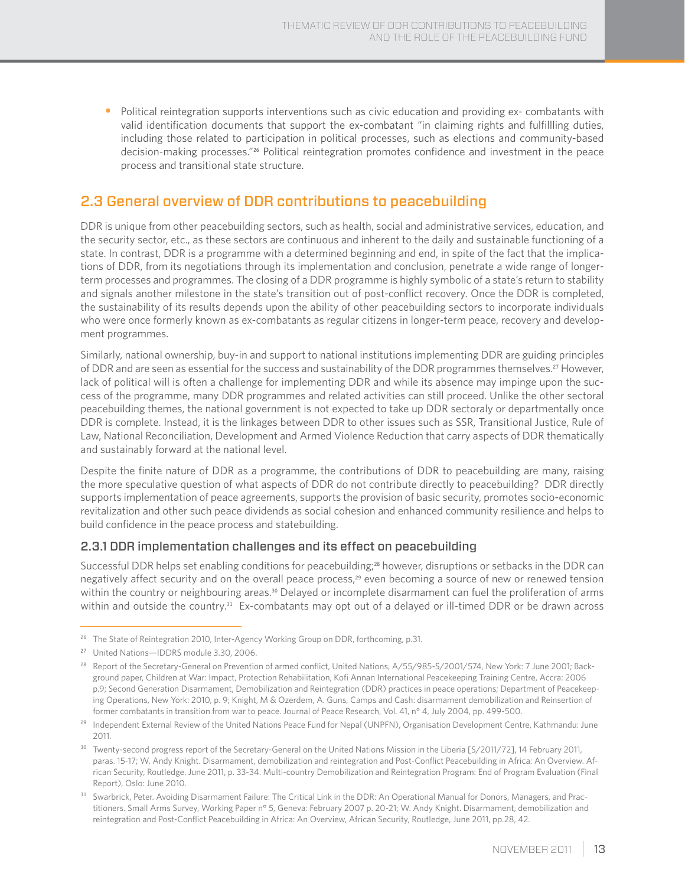• Political reintegration supports interventions such as civic education and providing ex- combatants with valid identification documents that support the ex-combatant "in claiming rights and fulfillling duties, including those related to participation in political processes, such as elections and community-based decision-making processes."26 Political reintegration promotes confidence and investment in the peace process and transitional state structure.

## 2.3 General overview of DDR contributions to peacebuilding

DDR is unique from other peacebuilding sectors, such as health, social and administrative services, education, and the security sector, etc., as these sectors are continuous and inherent to the daily and sustainable functioning of a state. In contrast, DDR is a programme with a determined beginning and end, in spite of the fact that the implications of DDR, from its negotiations through its implementation and conclusion, penetrate a wide range of longerterm processes and programmes. The closing of a DDR programme is highly symbolic of a state's return to stability and signals another milestone in the state's transition out of post-conflict recovery. Once the DDR is completed, the sustainability of its results depends upon the ability of other peacebuilding sectors to incorporate individuals who were once formerly known as ex-combatants as regular citizens in longer-term peace, recovery and development programmes.

Similarly, national ownership, buy-in and support to national institutions implementing DDR are guiding principles of DDR and are seen as essential for the success and sustainability of the DDR programmes themselves.<sup>27</sup> However, lack of political will is often a challenge for implementing DDR and while its absence may impinge upon the success of the programme, many DDR programmes and related activities can still proceed. Unlike the other sectoral peacebuilding themes, the national government is not expected to take up DDR sectoraly or departmentally once DDR is complete. Instead, it is the linkages between DDR to other issues such as SSR, Transitional Justice, Rule of Law, National Reconciliation, Development and Armed Violence Reduction that carry aspects of DDR thematically and sustainably forward at the national level.

Despite the finite nature of DDR as a programme, the contributions of DDR to peacebuilding are many, raising the more speculative question of what aspects of DDR do not contribute directly to peacebuilding? DDR directly supports implementation of peace agreements, supports the provision of basic security, promotes socio-economic revitalization and other such peace dividends as social cohesion and enhanced community resilience and helps to build confidence in the peace process and statebuilding.

#### 2.3.1 DDR implementation challenges and its effect on peacebuilding

Successful DDR helps set enabling conditions for peacebuilding;<sup>28</sup> however, disruptions or setbacks in the DDR can negatively affect security and on the overall peace process,<sup>29</sup> even becoming a source of new or renewed tension within the country or neighbouring areas.<sup>30</sup> Delayed or incomplete disarmament can fuel the proliferation of arms within and outside the country.<sup>31</sup> Ex-combatants may opt out of a delayed or ill-timed DDR or be drawn across

<sup>&</sup>lt;sup>26</sup> The State of Reintegration 2010, Inter-Agency Working Group on DDR, forthcoming, p.31.

<sup>&</sup>lt;sup>27</sup> United Nations-IDDRS module 3.30, 2006.

<sup>&</sup>lt;sup>28</sup> Report of the Secretary-General on Prevention of armed conflict, United Nations, A/55/985-S/2001/574, New York: 7 June 2001; Background paper, Children at War: Impact, Protection Rehabilitation, Kofi Annan International Peacekeeping Training Centre, Accra: 2006 p.9; Second Generation Disarmament, Demobilization and Reintegration (DDR) practices in peace operations; Department of Peacekeeping Operations, New York: 2010, p. 9; Knight, M & Ozerdem, A. Guns, Camps and Cash: disarmament demobilization and Reinsertion of former combatants in transition from war to peace. Journal of Peace Research, Vol. 41, n° 4, July 2004, pp. 499-500.

<sup>&</sup>lt;sup>29</sup> Independent External Review of the United Nations Peace Fund for Nepal (UNPFN), Organisation Development Centre, Kathmandu: June 2011.

<sup>&</sup>lt;sup>30</sup> Twenty-second progress report of the Secretary-General on the United Nations Mission in the Liberia [S/2011/72], 14 February 2011, paras. 15-17; W. Andy Knight. Disarmament, demobilization and reintegration and Post-Conflict Peacebuilding in Africa: An Overview. African Security, Routledge. June 2011, p. 33-34. Multi-country Demobilization and Reintegration Program: End of Program Evaluation (Final Report), Oslo: June 2010.

<sup>&</sup>lt;sup>31</sup> Swarbrick, Peter. Avoiding Disarmament Failure: The Critical Link in the DDR: An Operational Manual for Donors, Managers, and Practitioners. Small Arms Survey, Working Paper n° 5, Geneva: February 2007 p. 20-21; W. Andy Knight. Disarmament, demobilization and reintegration and Post-Conflict Peacebuilding in Africa: An Overview, African Security, Routledge, June 2011, pp.28, 42.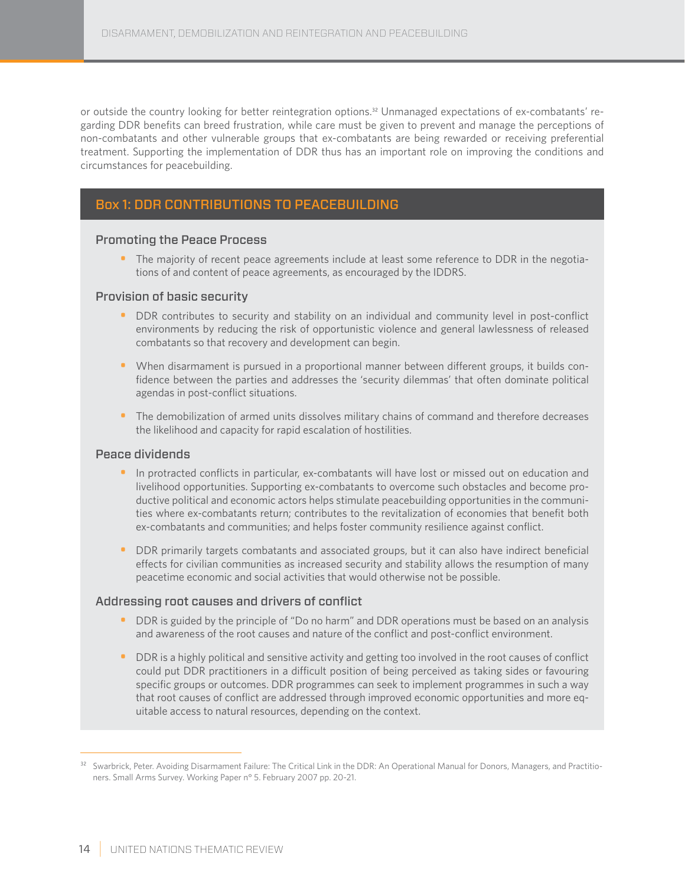or outside the country looking for better reintegration options.32 Unmanaged expectations of ex-combatants' regarding DDR benefits can breed frustration, while care must be given to prevent and manage the perceptions of non-combatants and other vulnerable groups that ex-combatants are being rewarded or receiving preferential treatment. Supporting the implementation of DDR thus has an important role on improving the conditions and circumstances for peacebuilding.

### Box 1: DDR CONTRIBUTIONS TO PEACEBUILDING

#### Promoting the Peace Process

• The majority of recent peace agreements include at least some reference to DDR in the negotiations of and content of peace agreements, as encouraged by the IDDRS.

#### Provision of basic security

- DDR contributes to security and stability on an individual and community level in post-conflict environments by reducing the risk of opportunistic violence and general lawlessness of released combatants so that recovery and development can begin.
- When disarmament is pursued in a proportional manner between different groups, it builds confidence between the parties and addresses the 'security dilemmas' that often dominate political agendas in post-conflict situations.
- The demobilization of armed units dissolves military chains of command and therefore decreases the likelihood and capacity for rapid escalation of hostilities.

#### Peace dividends

- In protracted conflicts in particular, ex-combatants will have lost or missed out on education and livelihood opportunities. Supporting ex-combatants to overcome such obstacles and become productive political and economic actors helps stimulate peacebuilding opportunities in the communities where ex-combatants return; contributes to the revitalization of economies that benefit both ex-combatants and communities; and helps foster community resilience against conflict.
- DDR primarily targets combatants and associated groups, but it can also have indirect beneficial effects for civilian communities as increased security and stability allows the resumption of many peacetime economic and social activities that would otherwise not be possible.

#### Addressing root causes and drivers of conflict

- DDR is guided by the principle of "Do no harm" and DDR operations must be based on an analysis and awareness of the root causes and nature of the conflict and post-conflict environment.
- DDR is a highly political and sensitive activity and getting too involved in the root causes of conflict could put DDR practitioners in a difficult position of being perceived as taking sides or favouring specific groups or outcomes. DDR programmes can seek to implement programmes in such a way that root causes of conflict are addressed through improved economic opportunities and more equitable access to natural resources, depending on the context.

<sup>&</sup>lt;sup>32</sup> Swarbrick, Peter. Avoiding Disarmament Failure: The Critical Link in the DDR: An Operational Manual for Donors, Managers, and Practitioners. Small Arms Survey. Working Paper n° 5. February 2007 pp. 20-21.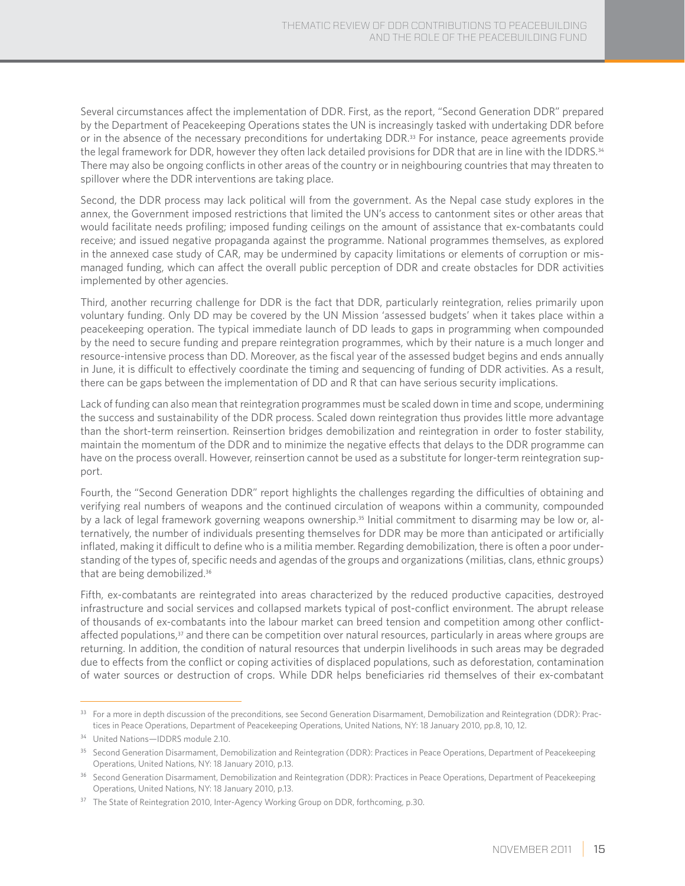Several circumstances affect the implementation of DDR. First, as the report, "Second Generation DDR" prepared by the Department of Peacekeeping Operations states the UN is increasingly tasked with undertaking DDR before or in the absence of the necessary preconditions for undertaking DDR.<sup>33</sup> For instance, peace agreements provide the legal framework for DDR, however they often lack detailed provisions for DDR that are in line with the IDDRS.<sup>34</sup> There may also be ongoing conflicts in other areas of the country or in neighbouring countries that may threaten to spillover where the DDR interventions are taking place.

Second, the DDR process may lack political will from the government. As the Nepal case study explores in the annex, the Government imposed restrictions that limited the UN's access to cantonment sites or other areas that would facilitate needs profiling; imposed funding ceilings on the amount of assistance that ex-combatants could receive; and issued negative propaganda against the programme. National programmes themselves, as explored in the annexed case study of CAR, may be undermined by capacity limitations or elements of corruption or mismanaged funding, which can affect the overall public perception of DDR and create obstacles for DDR activities implemented by other agencies.

Third, another recurring challenge for DDR is the fact that DDR, particularly reintegration, relies primarily upon voluntary funding. Only DD may be covered by the UN Mission 'assessed budgets' when it takes place within a peacekeeping operation. The typical immediate launch of DD leads to gaps in programming when compounded by the need to secure funding and prepare reintegration programmes, which by their nature is a much longer and resource-intensive process than DD. Moreover, as the fiscal year of the assessed budget begins and ends annually in June, it is difficult to effectively coordinate the timing and sequencing of funding of DDR activities. As a result, there can be gaps between the implementation of DD and R that can have serious security implications.

Lack of funding can also mean that reintegration programmes must be scaled down in time and scope, undermining the success and sustainability of the DDR process. Scaled down reintegration thus provides little more advantage than the short-term reinsertion. Reinsertion bridges demobilization and reintegration in order to foster stability, maintain the momentum of the DDR and to minimize the negative effects that delays to the DDR programme can have on the process overall. However, reinsertion cannot be used as a substitute for longer-term reintegration support.

Fourth, the "Second Generation DDR" report highlights the challenges regarding the difficulties of obtaining and verifying real numbers of weapons and the continued circulation of weapons within a community, compounded by a lack of legal framework governing weapons ownership.<sup>35</sup> Initial commitment to disarming may be low or, alternatively, the number of individuals presenting themselves for DDR may be more than anticipated or artificially inflated, making it difficult to define who is a militia member. Regarding demobilization, there is often a poor understanding of the types of, specific needs and agendas of the groups and organizations (militias, clans, ethnic groups) that are being demobilized.<sup>36</sup>

Fifth, ex-combatants are reintegrated into areas characterized by the reduced productive capacities, destroyed infrastructure and social services and collapsed markets typical of post-conflict environment. The abrupt release of thousands of ex-combatants into the labour market can breed tension and competition among other conflictaffected populations,<sup>37</sup> and there can be competition over natural resources, particularly in areas where groups are returning. In addition, the condition of natural resources that underpin livelihoods in such areas may be degraded due to effects from the conflict or coping activities of displaced populations, such as deforestation, contamination of water sources or destruction of crops. While DDR helps beneficiaries rid themselves of their ex-combatant

<sup>&</sup>lt;sup>33</sup> For a more in depth discussion of the preconditions, see Second Generation Disarmament, Demobilization and Reintegration (DDR): Practices in Peace Operations, Department of Peacekeeping Operations, United Nations, NY: 18 January 2010, pp.8, 10, 12.

<sup>&</sup>lt;sup>34</sup> United Nations-IDDRS module 2.10.

<sup>&</sup>lt;sup>35</sup> Second Generation Disarmament, Demobilization and Reintegration (DDR): Practices in Peace Operations, Department of Peacekeeping Operations, United Nations, NY: 18 January 2010, p.13.

<sup>&</sup>lt;sup>36</sup> Second Generation Disarmament, Demobilization and Reintegration (DDR): Practices in Peace Operations, Department of Peacekeeping Operations, United Nations, NY: 18 January 2010, p.13.

<sup>&</sup>lt;sup>37</sup> The State of Reintegration 2010, Inter-Agency Working Group on DDR, forthcoming, p.30.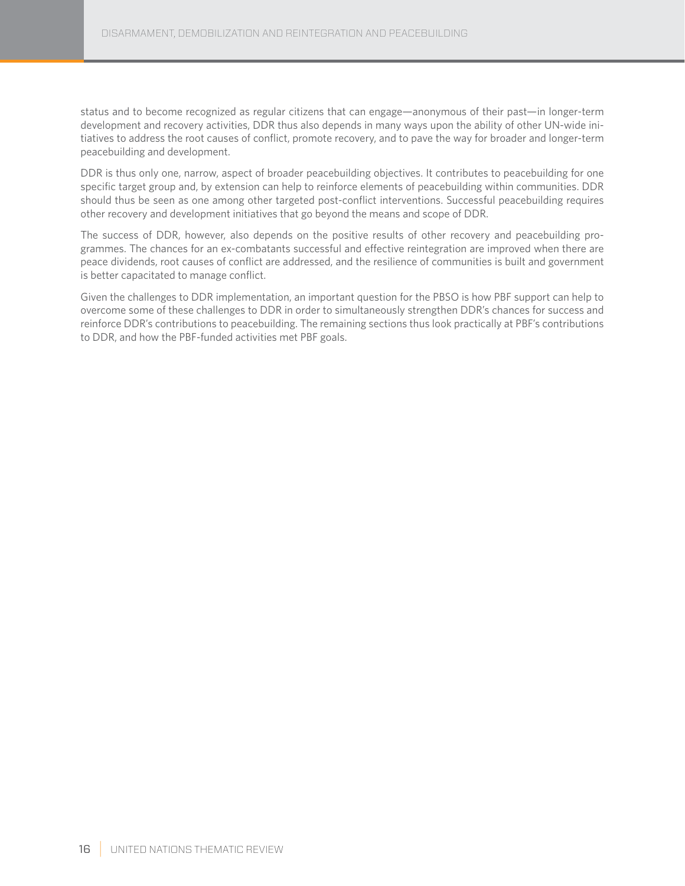status and to become recognized as regular citizens that can engage—anonymous of their past—in longer-term development and recovery activities, DDR thus also depends in many ways upon the ability of other UN-wide initiatives to address the root causes of conflict, promote recovery, and to pave the way for broader and longer-term peacebuilding and development.

DDR is thus only one, narrow, aspect of broader peacebuilding objectives. It contributes to peacebuilding for one specific target group and, by extension can help to reinforce elements of peacebuilding within communities. DDR should thus be seen as one among other targeted post-conflict interventions. Successful peacebuilding requires other recovery and development initiatives that go beyond the means and scope of DDR.

The success of DDR, however, also depends on the positive results of other recovery and peacebuilding programmes. The chances for an ex-combatants successful and effective reintegration are improved when there are peace dividends, root causes of conflict are addressed, and the resilience of communities is built and government is better capacitated to manage conflict.

Given the challenges to DDR implementation, an important question for the PBSO is how PBF support can help to overcome some of these challenges to DDR in order to simultaneously strengthen DDR's chances for success and reinforce DDR's contributions to peacebuilding. The remaining sections thus look practically at PBF's contributions to DDR, and how the PBF-funded activities met PBF goals.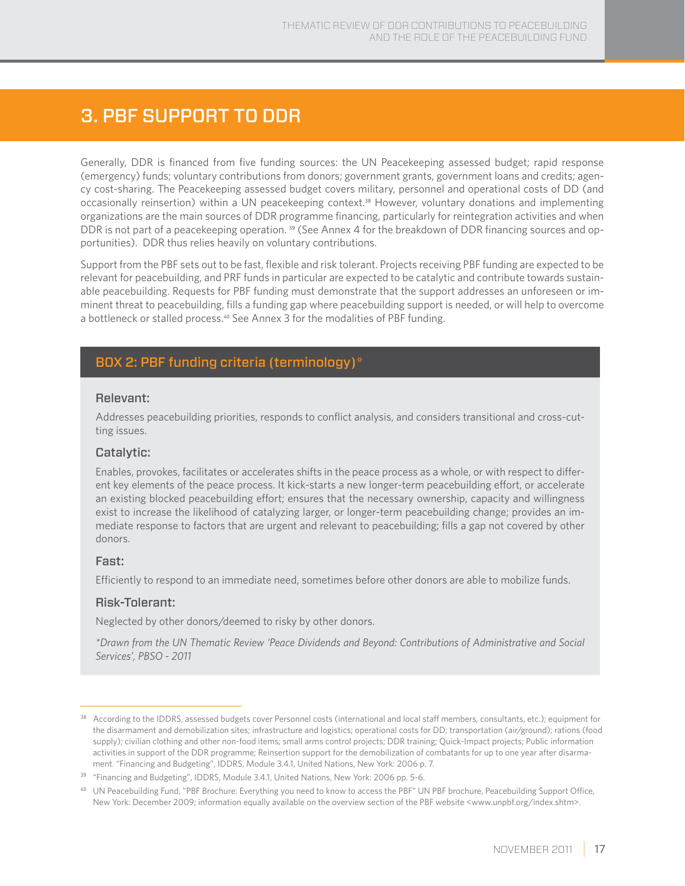# 3. PBF support to DDR

Generally, DDR is financed from five funding sources: the UN Peacekeeping assessed budget; rapid response (emergency) funds; voluntary contributions from donors; government grants, government loans and credits; agency cost-sharing. The Peacekeeping assessed budget covers military, personnel and operational costs of DD (and occasionally reinsertion) within a UN peacekeeping context.38 However, voluntary donations and implementing organizations are the main sources of DDR programme financing, particularly for reintegration activities and when DDR is not part of a peacekeeping operation. <sup>39</sup> (See Annex 4 for the breakdown of DDR financing sources and opportunities). DDR thus relies heavily on voluntary contributions.

Support from the PBF sets out to be fast, flexible and risk tolerant. Projects receiving PBF funding are expected to be relevant for peacebuilding, and PRF funds in particular are expected to be catalytic and contribute towards sustainable peacebuilding. Requests for PBF funding must demonstrate that the support addresses an unforeseen or imminent threat to peacebuilding, fills a funding gap where peacebuilding support is needed, or will help to overcome a bottleneck or stalled process.<sup>40</sup> See Annex 3 for the modalities of PBF funding.

## BOX 2: PBF funding criteria (terminology)\*

#### Relevant:

Addresses peacebuilding priorities, responds to conflict analysis, and considers transitional and cross-cutting issues.

#### Catalytic:

Enables, provokes, facilitates or accelerates shifts in the peace process as a whole, or with respect to different key elements of the peace process. It kick-starts a new longer-term peacebuilding effort, or accelerate an existing blocked peacebuilding effort; ensures that the necessary ownership, capacity and willingness exist to increase the likelihood of catalyzing larger, or longer-term peacebuilding change; provides an immediate response to factors that are urgent and relevant to peacebuilding; fills a gap not covered by other donors.

#### Fast:

Efficiently to respond to an immediate need, sometimes before other donors are able to mobilize funds.

#### Risk-Tolerant:

Neglected by other donors/deemed to risky by other donors.

*\*Drawn from the UN Thematic Review 'Peace Dividends and Beyond: Contributions of Administrative and Social Services', PBSO - 2011*

<sup>38</sup> According to the IDDRS, assessed budgets cover Personnel costs (international and local staff members, consultants, etc.); equipment for the disarmament and demobilization sites; infrastructure and logistics; operational costs for DD; transportation (air/ground); rations (food supply); civilian clothing and other non-food items; small arms control projects; DDR training; Quick-Impact projects; Public information activities in support of the DDR programme; Reinsertion support for the demobilization of combatants for up to one year after disarmament. "Financing and Budgeting", IDDRS, Module 3.4.1, United Nations, New York: 2006 p. 7.

<sup>&</sup>lt;sup>39</sup> "Financing and Budgeting", IDDRS, Module 3.4.1, United Nations, New York: 2006 pp. 5-6.

<sup>&</sup>lt;sup>40</sup> UN Peacebuilding Fund, "PBF Brochure: Everything you need to know to access the PBF" UN PBF brochure, Peacebuilding Support Office, New York: December 2009; information equally available on the overview section of the PBF website <www.unpbf.org/index.shtm>.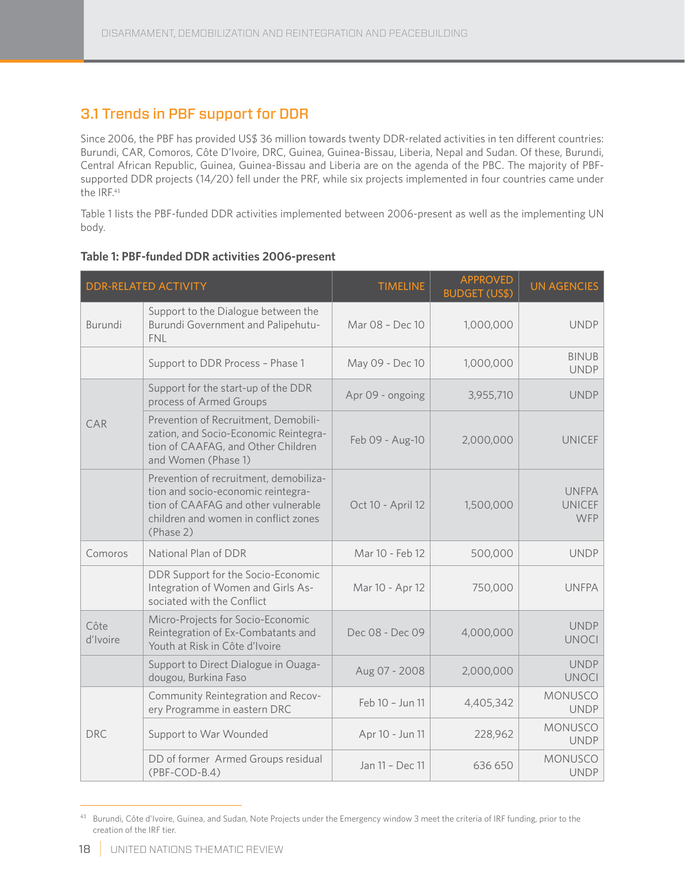## 3.1 Trends in PBF support for DDR

Since 2006, the PBF has provided US\$ 36 million towards twenty DDR-related activities in ten different countries: Burundi, CAR, Comoros, Côte D'Ivoire, DRC, Guinea, Guinea-Bissau, Liberia, Nepal and Sudan. Of these, Burundi, Central African Republic, Guinea, Guinea-Bissau and Liberia are on the agenda of the PBC. The majority of PBFsupported DDR projects (14/20) fell under the PRF, while six projects implemented in four countries came under the IRF.<sup>41</sup>

Table 1 lists the PBF-funded DDR activities implemented between 2006-present as well as the implementing UN body.

|                  | <b>DDR-RELATED ACTIVITY</b>                                                                                                                                              | <b>TIMELINE</b>   | <b>APPROVED</b><br><b>BUDGET (US\$)</b> | <b>UN AGENCIES</b>                          |
|------------------|--------------------------------------------------------------------------------------------------------------------------------------------------------------------------|-------------------|-----------------------------------------|---------------------------------------------|
| Burundi          | Support to the Dialogue between the<br>Burundi Government and Palipehutu-<br><b>FNI</b>                                                                                  | Mar 08 - Dec 10   | 1,000,000                               | <b>UNDP</b>                                 |
|                  | Support to DDR Process - Phase 1                                                                                                                                         | May 09 - Dec 10   | 1,000,000                               | <b>BINUB</b><br><b>UNDP</b>                 |
|                  | Support for the start-up of the DDR<br>process of Armed Groups                                                                                                           | Apr 09 - ongoing  | 3,955,710                               | <b>UNDP</b>                                 |
| CAR              | Prevention of Recruitment, Demobili-<br>zation, and Socio-Economic Reintegra-<br>tion of CAAFAG, and Other Children<br>and Women (Phase 1)                               | Feb 09 - Aug-10   | 2,000,000                               | <b>UNICEF</b>                               |
|                  | Prevention of recruitment, demobiliza-<br>tion and socio-economic reintegra-<br>tion of CAAFAG and other vulnerable<br>children and women in conflict zones<br>(Phase 2) | Oct 10 - April 12 | 1,500,000                               | <b>UNFPA</b><br><b>UNICEF</b><br><b>WFP</b> |
| Comoros          | National Plan of DDR                                                                                                                                                     | Mar 10 - Feb 12   | 500,000                                 | <b>UNDP</b>                                 |
|                  | DDR Support for the Socio-Economic<br>Integration of Women and Girls As-<br>sociated with the Conflict                                                                   | Mar 10 - Apr 12   | 750,000                                 | <b>UNFPA</b>                                |
| Côte<br>d'Ivoire | Micro-Projects for Socio-Economic<br>Reintegration of Ex-Combatants and<br>Youth at Risk in Côte d'Ivoire                                                                | Dec 08 - Dec 09   | 4,000,000                               | <b>UNDP</b><br><b>UNOCI</b>                 |
|                  | Support to Direct Dialogue in Ouaga-<br>dougou, Burkina Faso                                                                                                             | Aug 07 - 2008     | 2,000,000                               | <b>UNDP</b><br><b>UNOCI</b>                 |
|                  | Community Reintegration and Recov-<br>ery Programme in eastern DRC                                                                                                       | Feb 10 - Jun 11   | 4,405,342                               | MONUSCO<br><b>UNDP</b>                      |
| <b>DRC</b>       | Support to War Wounded                                                                                                                                                   | Apr 10 - Jun 11   | 228,962                                 | MONUSCO<br><b>UNDP</b>                      |
|                  | DD of former Armed Groups residual<br>$(PBF-COD-B.4)$                                                                                                                    | Jan 11 - Dec 11   | 636 650                                 | <b>MONUSCO</b><br><b>UNDP</b>               |

#### **Table 1: PBF-funded DDR activities 2006-present**

<sup>41</sup> Burundi, Côte d'Ivoire, Guinea, and Sudan, Note Projects under the Emergency window 3 meet the criteria of IRF funding, prior to the creation of the IRF tier.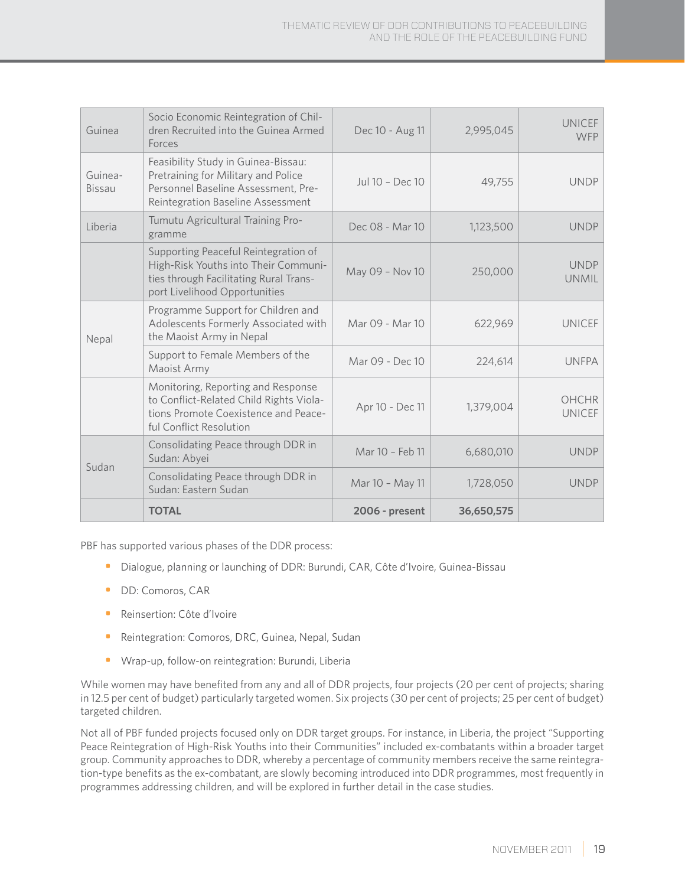| Guinea            | Socio Economic Reintegration of Chil-<br>dren Recruited into the Guinea Armed<br>Forces                                                                 | Dec 10 - Aug 11 | 2,995,045  | <b>UNICEF</b><br><b>WFP</b>   |
|-------------------|---------------------------------------------------------------------------------------------------------------------------------------------------------|-----------------|------------|-------------------------------|
| Guinea-<br>Bissau | Feasibility Study in Guinea-Bissau:<br>Pretraining for Military and Police<br>Personnel Baseline Assessment, Pre-<br>Reintegration Baseline Assessment  | Jul 10 - Dec 10 | 49,755     | <b>UNDP</b>                   |
| Liberia           | Tumutu Agricultural Training Pro-<br>gramme                                                                                                             | Dec 08 - Mar 10 | 1,123,500  | <b>UNDP</b>                   |
|                   | Supporting Peaceful Reintegration of<br>High-Risk Youths into Their Communi-<br>ties through Facilitating Rural Trans-<br>port Livelihood Opportunities | May 09 - Nov 10 | 250,000    | <b>UNDP</b><br><b>UNMIL</b>   |
| Nepal             | Programme Support for Children and<br>Adolescents Formerly Associated with<br>the Maoist Army in Nepal                                                  | Mar 09 - Mar 10 | 622,969    | <b>UNICEF</b>                 |
|                   | Support to Female Members of the<br>Maoist Army                                                                                                         | Mar 09 - Dec 10 | 224,614    | <b>UNFPA</b>                  |
|                   | Monitoring, Reporting and Response<br>to Conflict-Related Child Rights Viola-<br>tions Promote Coexistence and Peace-<br>ful Conflict Resolution        | Apr 10 - Dec 11 | 1,379,004  | <b>OHCHR</b><br><b>UNICEF</b> |
| Sudan             | Consolidating Peace through DDR in<br>Sudan: Abyei                                                                                                      | Mar 10 - Feb 11 | 6,680,010  | <b>UNDP</b>                   |
|                   | Consolidating Peace through DDR in<br>Sudan: Eastern Sudan                                                                                              | Mar 10 - May 11 | 1,728,050  | <b>UNDP</b>                   |
|                   | <b>TOTAL</b>                                                                                                                                            | 2006 - present  | 36,650,575 |                               |

PBF has supported various phases of the DDR process:

- Dialogue, planning or launching of DDR: Burundi, CAR, Côte d'Ivoire, Guinea-Bissau
- DD: Comoros, CAR
- Reinsertion: Côte d'Ivoire
- Reintegration: Comoros, DRC, Guinea, Nepal, Sudan
- Wrap-up, follow-on reintegration: Burundi, Liberia

While women may have benefited from any and all of DDR projects, four projects (20 per cent of projects; sharing in 12.5 per cent of budget) particularly targeted women. Six projects (30 per cent of projects; 25 per cent of budget) targeted children.

Not all of PBF funded projects focused only on DDR target groups. For instance, in Liberia, the project "Supporting Peace Reintegration of High-Risk Youths into their Communities" included ex-combatants within a broader target group. Community approaches to DDR, whereby a percentage of community members receive the same reintegration-type benefits as the ex-combatant, are slowly becoming introduced into DDR programmes, most frequently in programmes addressing children, and will be explored in further detail in the case studies.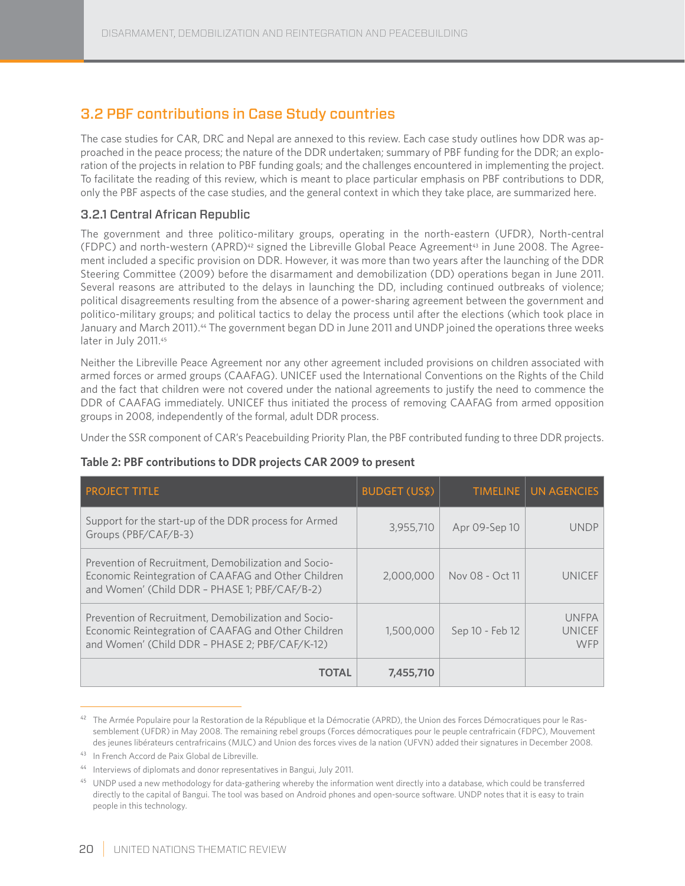## 3.2 PBF contributions in Case Study countries

The case studies for CAR, DRC and Nepal are annexed to this review. Each case study outlines how DDR was approached in the peace process; the nature of the DDR undertaken; summary of PBF funding for the DDR; an exploration of the projects in relation to PBF funding goals; and the challenges encountered in implementing the project. To facilitate the reading of this review, which is meant to place particular emphasis on PBF contributions to DDR, only the PBF aspects of the case studies, and the general context in which they take place, are summarized here.

### 3.2.1 Central African Republic

The government and three politico-military groups, operating in the north-eastern (UFDR), North-central (FDPC) and north-western (APRD)<sup>42</sup> signed the Libreville Global Peace Agreement<sup>43</sup> in June 2008. The Agreement included a specific provision on DDR. However, it was more than two years after the launching of the DDR Steering Committee (2009) before the disarmament and demobilization (DD) operations began in June 2011. Several reasons are attributed to the delays in launching the DD, including continued outbreaks of violence; political disagreements resulting from the absence of a power-sharing agreement between the government and politico-military groups; and political tactics to delay the process until after the elections (which took place in January and March 2011).<sup>44</sup> The government began DD in June 2011 and UNDP joined the operations three weeks later in July 2011.45

Neither the Libreville Peace Agreement nor any other agreement included provisions on children associated with armed forces or armed groups (CAAFAG). UNICEF used the International Conventions on the Rights of the Child and the fact that children were not covered under the national agreements to justify the need to commence the DDR of CAAFAG immediately. UNICEF thus initiated the process of removing CAAFAG from armed opposition groups in 2008, independently of the formal, adult DDR process.

Under the SSR component of CAR's Peacebuilding Priority Plan, the PBF contributed funding to three DDR projects.

#### **Table 2: PBF contributions to DDR projects CAR 2009 to present**

| <b>PROJECT TITLE</b>                                                                                                                                          | <b>BUDGET (US\$)</b> |                 | TIMELINE   UN AGENCIES                      |
|---------------------------------------------------------------------------------------------------------------------------------------------------------------|----------------------|-----------------|---------------------------------------------|
| Support for the start-up of the DDR process for Armed<br>Groups (PBF/CAF/B-3)                                                                                 | 3,955,710            | Apr 09-Sep 10   | <b>UNDP</b>                                 |
| Prevention of Recruitment, Demobilization and Socio-<br>Economic Reintegration of CAAFAG and Other Children<br>and Women' (Child DDR - PHASE 1; PBF/CAF/B-2)  | 2,000,000            | Nov 08 - Oct 11 | <b>UNICEF</b>                               |
| Prevention of Recruitment, Demobilization and Socio-<br>Economic Reintegration of CAAFAG and Other Children<br>and Women' (Child DDR - PHASE 2; PBF/CAF/K-12) | 1,500,000            | Sep 10 - Feb 12 | <b>UNFPA</b><br><b>UNICEF</b><br><b>WFP</b> |
| TOTAL                                                                                                                                                         | 7,455,710            |                 |                                             |

<sup>&</sup>lt;sup>42</sup> The Armée Populaire pour la Restoration de la République et la Démocratie (APRD), the Union des Forces Démocratiques pour le Rassemblement (UFDR) in May 2008. The remaining rebel groups (Forces démocratiques pour le peuple centrafricain (FDPC), Mouvement des jeunes libérateurs centrafricains (MJLC) and Union des forces vives de la nation (UFVN) added their signatures in December 2008.

<sup>43</sup> In French Accord de Paix Global de Libreville.

<sup>44</sup> Interviews of diplomats and donor representatives in Bangui, July 2011.

<sup>&</sup>lt;sup>45</sup> UNDP used a new methodology for data-gathering whereby the information went directly into a database, which could be transferred directly to the capital of Bangui. The tool was based on Android phones and open-source software. UNDP notes that it is easy to train people in this technology.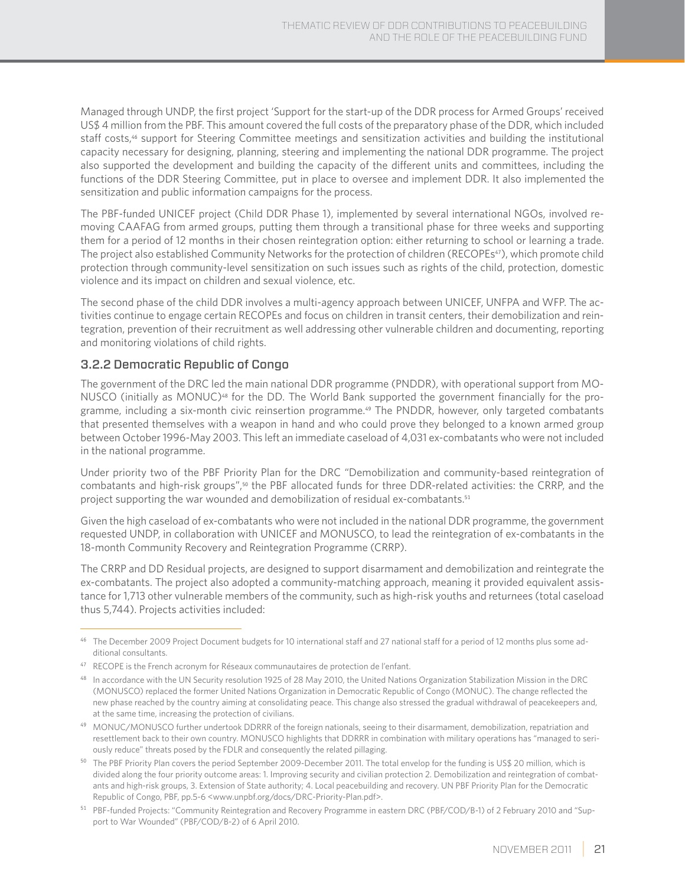Managed through UNDP, the first project 'Support for the start-up of the DDR process for Armed Groups' received US\$ 4 million from the PBF. This amount covered the full costs of the preparatory phase of the DDR, which included staff costs,<sup>46</sup> support for Steering Committee meetings and sensitization activities and building the institutional capacity necessary for designing, planning, steering and implementing the national DDR programme. The project also supported the development and building the capacity of the different units and committees, including the functions of the DDR Steering Committee, put in place to oversee and implement DDR. It also implemented the sensitization and public information campaigns for the process.

The PBF-funded UNICEF project (Child DDR Phase 1), implemented by several international NGOs, involved removing CAAFAG from armed groups, putting them through a transitional phase for three weeks and supporting them for a period of 12 months in their chosen reintegration option: either returning to school or learning a trade. The project also established Community Networks for the protection of children (RECOPEs<sup>47</sup>), which promote child protection through community-level sensitization on such issues such as rights of the child, protection, domestic violence and its impact on children and sexual violence, etc.

The second phase of the child DDR involves a multi-agency approach between UNICEF, UNFPA and WFP. The activities continue to engage certain RECOPEs and focus on children in transit centers, their demobilization and reintegration, prevention of their recruitment as well addressing other vulnerable children and documenting, reporting and monitoring violations of child rights.

#### 3.2.2 Democratic Republic of Congo

The government of the DRC led the main national DDR programme (PNDDR), with operational support from MO-NUSCO (initially as MONUC)<sup>48</sup> for the DD. The World Bank supported the government financially for the programme, including a six-month civic reinsertion programme.<sup>49</sup> The PNDDR, however, only targeted combatants that presented themselves with a weapon in hand and who could prove they belonged to a known armed group between October 1996-May 2003. This left an immediate caseload of 4,031 ex-combatants who were not included in the national programme.

Under priority two of the PBF Priority Plan for the DRC "Demobilization and community-based reintegration of combatants and high-risk groups",<sup>50</sup> the PBF allocated funds for three DDR-related activities: the CRRP, and the project supporting the war wounded and demobilization of residual ex-combatants.<sup>51</sup>

Given the high caseload of ex-combatants who were not included in the national DDR programme, the government requested UNDP, in collaboration with UNICEF and MONUSCO, to lead the reintegration of ex-combatants in the 18-month Community Recovery and Reintegration Programme (CRRP).

The CRRP and DD Residual projects, are designed to support disarmament and demobilization and reintegrate the ex-combatants. The project also adopted a community-matching approach, meaning it provided equivalent assistance for 1,713 other vulnerable members of the community, such as high-risk youths and returnees (total caseload thus 5,744). Projects activities included:

<sup>46</sup> The December 2009 Project Document budgets for 10 international staff and 27 national staff for a period of 12 months plus some additional consultants.

<sup>47</sup> RECOPE is the French acronym for Réseaux communautaires de protection de l'enfant.

<sup>&</sup>lt;sup>48</sup> In accordance with the UN Security resolution 1925 of 28 May 2010, the United Nations Organization Stabilization Mission in the DRC (MONUSCO) replaced the former United Nations Organization in Democratic Republic of Congo (MONUC). The change reflected the new phase reached by the country aiming at consolidating peace. This change also stressed the gradual withdrawal of peacekeepers and, at the same time, increasing the protection of civilians.

<sup>49</sup> MONUC/MONUSCO further undertook DDRRR of the foreign nationals, seeing to their disarmament, demobilization, repatriation and resettlement back to their own country. MONUSCO highlights that DDRRR in combination with military operations has "managed to seriously reduce" threats posed by the FDLR and consequently the related pillaging.

<sup>&</sup>lt;sup>50</sup> The PBF Priority Plan covers the period September 2009-December 2011. The total envelop for the funding is US\$ 20 million, which is divided along the four priority outcome areas: 1. Improving security and civilian protection 2. Demobilization and reintegration of combatants and high-risk groups, 3. Extension of State authority; 4. Local peacebuilding and recovery. UN PBF Priority Plan for the Democratic Republic of Congo, PBF, pp.5-6 <www.unpbf.org/docs/DRC-Priority-Plan.pdf>.

<sup>51</sup> PBF-funded Projects: "Community Reintegration and Recovery Programme in eastern DRC (PBF/COD/B-1) of 2 February 2010 and "Support to War Wounded" (PBF/COD/B-2) of 6 April 2010.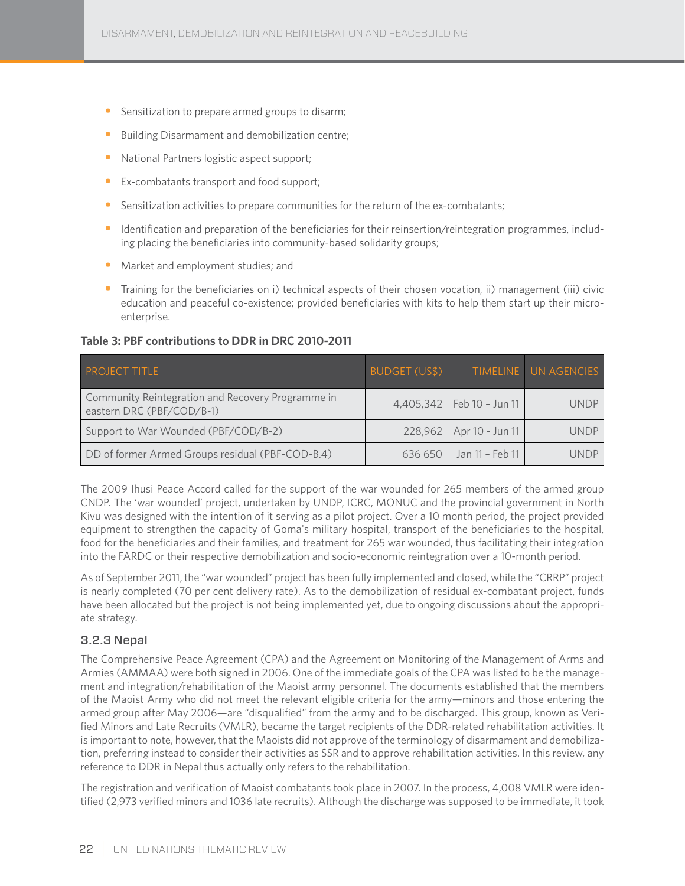- Sensitization to prepare armed groups to disarm;
- Building Disarmament and demobilization centre;
- National Partners logistic aspect support;
- Ex-combatants transport and food support;
- Sensitization activities to prepare communities for the return of the ex-combatants;
- Identification and preparation of the beneficiaries for their reinsertion/reintegration programmes, including placing the beneficiaries into community-based solidarity groups;
- Market and employment studies; and
- Training for the beneficiaries on i) technical aspects of their chosen vocation, ii) management (iii) civic education and peaceful co-existence; provided beneficiaries with kits to help them start up their microenterprise.

#### **Table 3: PBF contributions to DDR in DRC 2010-2011**

| <b>PROJECT TITLE</b>                                                           | BUDGET (US\$) |                               | TIMELINE UN AGENCIES |
|--------------------------------------------------------------------------------|---------------|-------------------------------|----------------------|
| Community Reintegration and Recovery Programme in<br>eastern DRC (PBF/COD/B-1) |               | $4,405,342$   Feb 10 - Jun 11 | <b>UNDP</b>          |
| Support to War Wounded (PBF/COD/B-2)                                           |               | 228,962   Apr 10 - Jun 11     | <b>UNDP</b>          |
| DD of former Armed Groups residual (PBF-COD-B.4)                               | 636 650       | Jan 11 - Feb 11               | UNDP                 |

The 2009 Ihusi Peace Accord called for the support of the war wounded for 265 members of the armed group CNDP. The 'war wounded' project, undertaken by UNDP, ICRC, MONUC and the provincial government in North Kivu was designed with the intention of it serving as a pilot project. Over a 10 month period, the project provided equipment to strengthen the capacity of Goma's military hospital, transport of the beneficiaries to the hospital, food for the beneficiaries and their families, and treatment for 265 war wounded, thus facilitating their integration into the FARDC or their respective demobilization and socio-economic reintegration over a 10-month period.

As of September 2011, the "war wounded" project has been fully implemented and closed, while the "CRRP" project is nearly completed (70 per cent delivery rate). As to the demobilization of residual ex-combatant project, funds have been allocated but the project is not being implemented yet, due to ongoing discussions about the appropriate strategy.

#### 3.2.3 Nepal

The Comprehensive Peace Agreement (CPA) and the Agreement on Monitoring of the Management of Arms and Armies (AMMAA) were both signed in 2006. One of the immediate goals of the CPA was listed to be the management and integration/rehabilitation of the Maoist army personnel. The documents established that the members of the Maoist Army who did not meet the relevant eligible criteria for the army—minors and those entering the armed group after May 2006—are "disqualified" from the army and to be discharged. This group, known as Verified Minors and Late Recruits (VMLR), became the target recipients of the DDR-related rehabilitation activities. It is important to note, however, that the Maoists did not approve of the terminology of disarmament and demobilization, preferring instead to consider their activities as SSR and to approve rehabilitation activities. In this review, any reference to DDR in Nepal thus actually only refers to the rehabilitation.

The registration and verification of Maoist combatants took place in 2007. In the process, 4,008 VMLR were identified (2,973 verified minors and 1036 late recruits). Although the discharge was supposed to be immediate, it took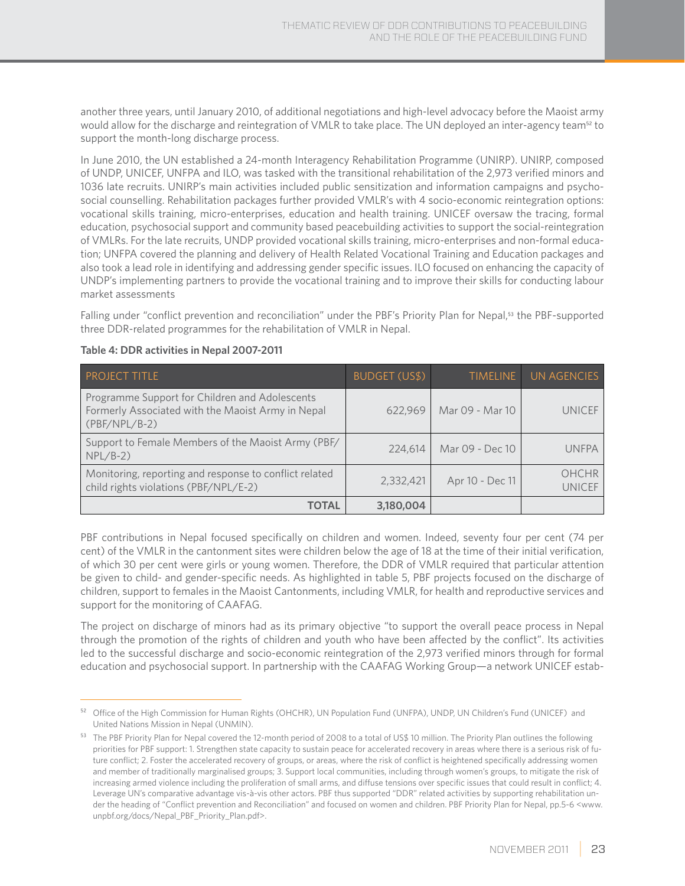another three years, until January 2010, of additional negotiations and high-level advocacy before the Maoist army would allow for the discharge and reintegration of VMLR to take place. The UN deployed an inter-agency team<sup>52</sup> to support the month-long discharge process.

In June 2010, the UN established a 24-month Interagency Rehabilitation Programme (UNIRP). UNIRP, composed of UNDP, UNICEF, UNFPA and ILO, was tasked with the transitional rehabilitation of the 2,973 verified minors and 1036 late recruits. UNIRP's main activities included public sensitization and information campaigns and psychosocial counselling. Rehabilitation packages further provided VMLR's with 4 socio-economic reintegration options: vocational skills training, micro-enterprises, education and health training. UNICEF oversaw the tracing, formal education, psychosocial support and community based peacebuilding activities to support the social-reintegration of VMLRs. For the late recruits, UNDP provided vocational skills training, micro-enterprises and non-formal education; UNFPA covered the planning and delivery of Health Related Vocational Training and Education packages and also took a lead role in identifying and addressing gender specific issues. ILO focused on enhancing the capacity of UNDP's implementing partners to provide the vocational training and to improve their skills for conducting labour market assessments

Falling under "conflict prevention and reconciliation" under the PBF's Priority Plan for Nepal,<sup>53</sup> the PBF-supported three DDR-related programmes for the rehabilitation of VMLR in Nepal.

| <b>PROJECT TITLE</b>                                                                                                   | <b>BUDGET (US\$)</b> | <b>TIMELINE</b> | UN AGENCIES            |
|------------------------------------------------------------------------------------------------------------------------|----------------------|-----------------|------------------------|
| Programme Support for Children and Adolescents<br>Formerly Associated with the Maoist Army in Nepal<br>$(PBF/NPL/B-2)$ | 622,969              | Mar 09 - Mar 10 | UNICEF                 |
| Support to Female Members of the Maoist Army (PBF/<br>$NPL/B-2)$                                                       | 224,614              | Mar 09 - Dec 10 | <b>UNFPA</b>           |
| Monitoring, reporting and response to conflict related<br>child rights violations (PBF/NPL/E-2)                        | 2,332,421            | Apr 10 - Dec 11 | OHCHR<br><b>UNICEF</b> |
| <b>TOTAL</b>                                                                                                           | 3,180,004            |                 |                        |

#### **Table 4: DDR activities in Nepal 2007-2011**

PBF contributions in Nepal focused specifically on children and women. Indeed, seventy four per cent (74 per cent) of the VMLR in the cantonment sites were children below the age of 18 at the time of their initial verification, of which 30 per cent were girls or young women. Therefore, the DDR of VMLR required that particular attention be given to child- and gender-specific needs. As highlighted in table 5, PBF projects focused on the discharge of children, support to females in the Maoist Cantonments, including VMLR, for health and reproductive services and support for the monitoring of CAAFAG.

The project on discharge of minors had as its primary objective "to support the overall peace process in Nepal through the promotion of the rights of children and youth who have been affected by the conflict". Its activities led to the successful discharge and socio-economic reintegration of the 2,973 verified minors through for formal education and psychosocial support. In partnership with the CAAFAG Working Group—a network UNICEF estab-

<sup>52</sup> Office of the High Commission for Human Rights (OHCHR), UN Population Fund (UNFPA), UNDP, UN Children's Fund (UNICEF) and United Nations Mission in Nepal (UNMIN).

<sup>53</sup> The PBF Priority Plan for Nepal covered the 12-month period of 2008 to a total of US\$ 10 million. The Priority Plan outlines the following priorities for PBF support: 1. Strengthen state capacity to sustain peace for accelerated recovery in areas where there is a serious risk of future conflict; 2. Foster the accelerated recovery of groups, or areas, where the risk of conflict is heightened specifically addressing women and member of traditionally marginalised groups; 3. Support local communities, including through women's groups, to mitigate the risk of increasing armed violence including the proliferation of small arms, and diffuse tensions over specific issues that could result in conflict; 4. Leverage UN's comparative advantage vis-à-vis other actors. PBF thus supported "DDR" related activities by supporting rehabilitation under the heading of "Conflict prevention and Reconciliation" and focused on women and children. PBF Priority Plan for Nepal, pp.5-6 <www. unpbf.org/docs/Nepal\_PBF\_Priority\_Plan.pdf>.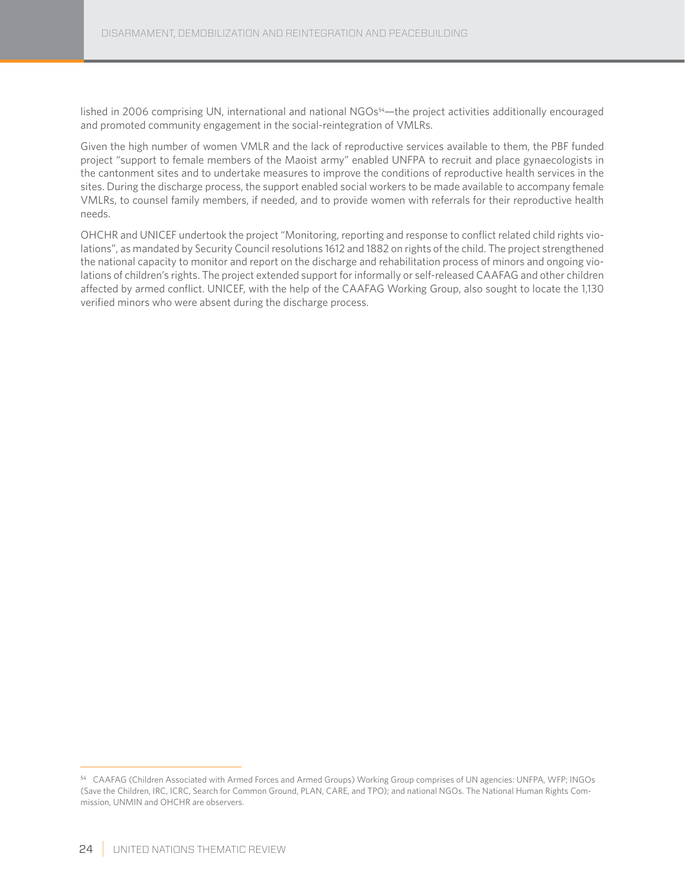lished in 2006 comprising UN, international and national NGOs<sup>54</sup>—the project activities additionally encouraged and promoted community engagement in the social-reintegration of VMLRs.

Given the high number of women VMLR and the lack of reproductive services available to them, the PBF funded project "support to female members of the Maoist army" enabled UNFPA to recruit and place gynaecologists in the cantonment sites and to undertake measures to improve the conditions of reproductive health services in the sites. During the discharge process, the support enabled social workers to be made available to accompany female VMLRs, to counsel family members, if needed, and to provide women with referrals for their reproductive health needs.

OHCHR and UNICEF undertook the project "Monitoring, reporting and response to conflict related child rights violations", as mandated by Security Council resolutions 1612 and 1882 on rights of the child. The project strengthened the national capacity to monitor and report on the discharge and rehabilitation process of minors and ongoing violations of children's rights. The project extended support for informally or self-released CAAFAG and other children affected by armed conflict. UNICEF, with the help of the CAAFAG Working Group, also sought to locate the 1,130 verified minors who were absent during the discharge process.

<sup>54</sup> CAAFAG (Children Associated with Armed Forces and Armed Groups) Working Group comprises of UN agencies: UNFPA, WFP; INGOs (Save the Children, IRC, ICRC, Search for Common Ground, PLAN, CARE, and TPO); and national NGOs. The National Human Rights Commission, UNMIN and OHCHR are observers.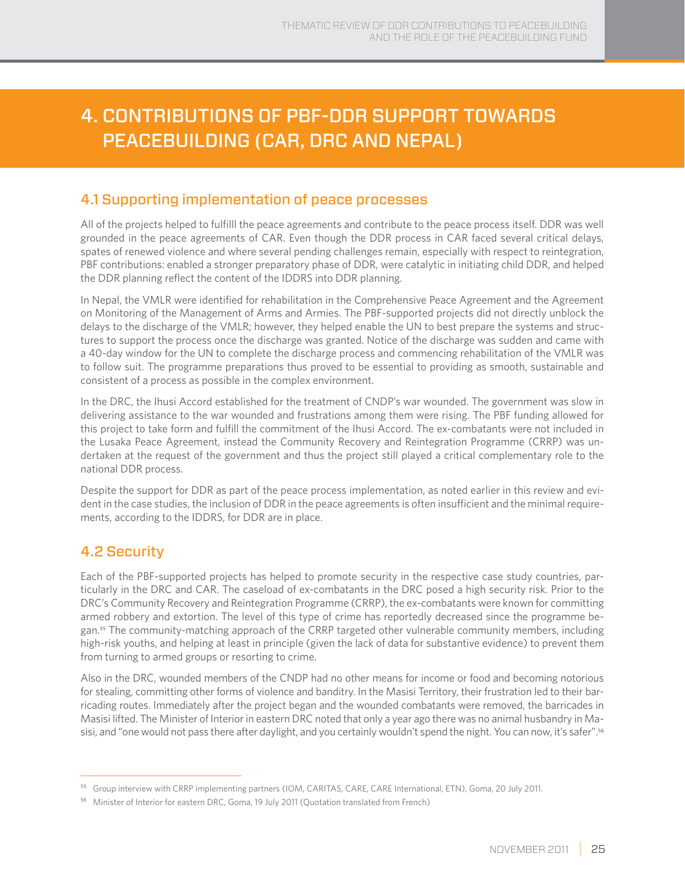# 4. Contributions of PBF-DDR support towards peacebuilding (CAR, DRC and Nepal)

## 4.1 Supporting implementation of peace processes

All of the projects helped to fulfilll the peace agreements and contribute to the peace process itself. DDR was well grounded in the peace agreements of CAR. Even though the DDR process in CAR faced several critical delays, spates of renewed violence and where several pending challenges remain, especially with respect to reintegration, PBF contributions: enabled a stronger preparatory phase of DDR, were catalytic in initiating child DDR, and helped the DDR planning reflect the content of the IDDRS into DDR planning.

In Nepal, the VMLR were identified for rehabilitation in the Comprehensive Peace Agreement and the Agreement on Monitoring of the Management of Arms and Armies. The PBF-supported projects did not directly unblock the delays to the discharge of the VMLR; however, they helped enable the UN to best prepare the systems and structures to support the process once the discharge was granted. Notice of the discharge was sudden and came with a 40-day window for the UN to complete the discharge process and commencing rehabilitation of the VMLR was to follow suit. The programme preparations thus proved to be essential to providing as smooth, sustainable and consistent of a process as possible in the complex environment.

In the DRC, the Ihusi Accord established for the treatment of CNDP's war wounded. The government was slow in delivering assistance to the war wounded and frustrations among them were rising. The PBF funding allowed for this project to take form and fulfill the commitment of the Ihusi Accord. The ex-combatants were not included in the Lusaka Peace Agreement, instead the Community Recovery and Reintegration Programme (CRRP) was undertaken at the request of the government and thus the project still played a critical complementary role to the national DDR process.

Despite the support for DDR as part of the peace process implementation, as noted earlier in this review and evident in the case studies, the inclusion of DDR in the peace agreements is often insufficient and the minimal requirements, according to the IDDRS, for DDR are in place.

## 4.2 Security

Each of the PBF-supported projects has helped to promote security in the respective case study countries, particularly in the DRC and CAR. The caseload of ex-combatants in the DRC posed a high security risk. Prior to the DRC's Community Recovery and Reintegration Programme (CRRP), the ex-combatants were known for committing armed robbery and extortion. The level of this type of crime has reportedly decreased since the programme began.55 The community-matching approach of the CRRP targeted other vulnerable community members, including high-risk youths, and helping at least in principle (given the lack of data for substantive evidence) to prevent them from turning to armed groups or resorting to crime.

Also in the DRC, wounded members of the CNDP had no other means for income or food and becoming notorious for stealing, committing other forms of violence and banditry. In the Masisi Territory, their frustration led to their barricading routes. Immediately after the project began and the wounded combatants were removed, the barricades in Masisi lifted. The Minister of Interior in eastern DRC noted that only a year ago there was no animal husbandry in Masisi, and "one would not pass there after daylight, and you certainly wouldn't spend the night. You can now, it's safer".<sup>56</sup>

<sup>55</sup> Group interview with CRRP implementing partners (IOM, CARITAS, CARE, CARE International, ETN), Goma, 20 July 2011.

<sup>56</sup> Minister of Interior for eastern DRC, Goma, 19 July 2011 (Quotation translated from French)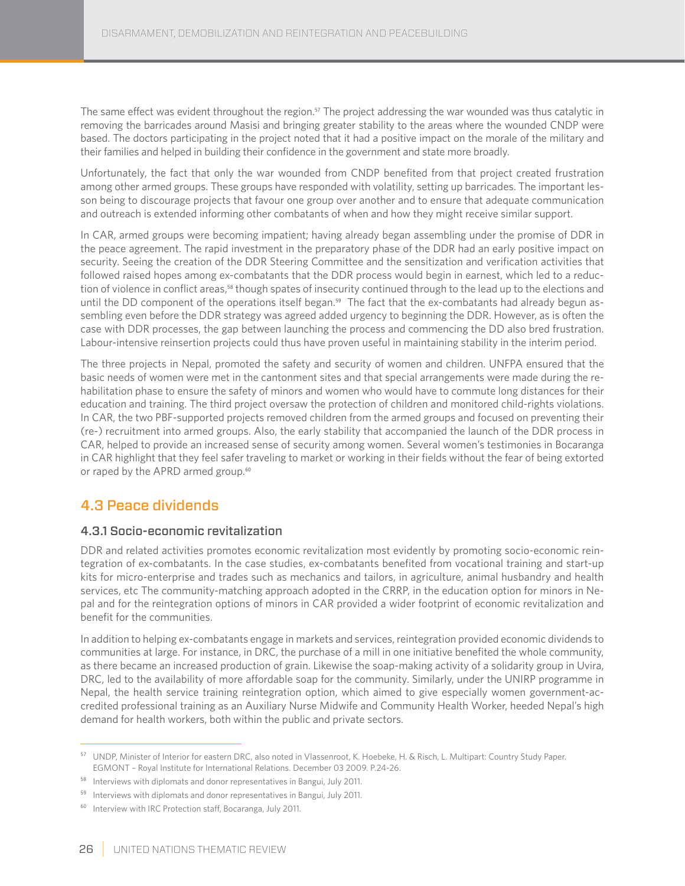The same effect was evident throughout the region.<sup>57</sup> The project addressing the war wounded was thus catalytic in removing the barricades around Masisi and bringing greater stability to the areas where the wounded CNDP were based. The doctors participating in the project noted that it had a positive impact on the morale of the military and their families and helped in building their confidence in the government and state more broadly.

Unfortunately, the fact that only the war wounded from CNDP benefited from that project created frustration among other armed groups. These groups have responded with volatility, setting up barricades. The important lesson being to discourage projects that favour one group over another and to ensure that adequate communication and outreach is extended informing other combatants of when and how they might receive similar support.

In CAR, armed groups were becoming impatient; having already began assembling under the promise of DDR in the peace agreement. The rapid investment in the preparatory phase of the DDR had an early positive impact on security. Seeing the creation of the DDR Steering Committee and the sensitization and verification activities that followed raised hopes among ex-combatants that the DDR process would begin in earnest, which led to a reduction of violence in conflict areas,<sup>58</sup> though spates of insecurity continued through to the lead up to the elections and until the DD component of the operations itself began.<sup>59</sup> The fact that the ex-combatants had already begun assembling even before the DDR strategy was agreed added urgency to beginning the DDR. However, as is often the case with DDR processes, the gap between launching the process and commencing the DD also bred frustration. Labour-intensive reinsertion projects could thus have proven useful in maintaining stability in the interim period.

The three projects in Nepal, promoted the safety and security of women and children. UNFPA ensured that the basic needs of women were met in the cantonment sites and that special arrangements were made during the rehabilitation phase to ensure the safety of minors and women who would have to commute long distances for their education and training. The third project oversaw the protection of children and monitored child-rights violations. In CAR, the two PBF-supported projects removed children from the armed groups and focused on preventing their (re-) recruitment into armed groups. Also, the early stability that accompanied the launch of the DDR process in CAR, helped to provide an increased sense of security among women. Several women's testimonies in Bocaranga in CAR highlight that they feel safer traveling to market or working in their fields without the fear of being extorted or raped by the APRD armed group.<sup>60</sup>

## 4.3 Peace dividends

### 4.3.1 Socio-economic revitalization

DDR and related activities promotes economic revitalization most evidently by promoting socio-economic reintegration of ex-combatants. In the case studies, ex-combatants benefited from vocational training and start-up kits for micro-enterprise and trades such as mechanics and tailors, in agriculture, animal husbandry and health services, etc The community-matching approach adopted in the CRRP, in the education option for minors in Nepal and for the reintegration options of minors in CAR provided a wider footprint of economic revitalization and benefit for the communities.

In addition to helping ex-combatants engage in markets and services, reintegration provided economic dividends to communities at large. For instance, in DRC, the purchase of a mill in one initiative benefited the whole community, as there became an increased production of grain. Likewise the soap-making activity of a solidarity group in Uvira, DRC, led to the availability of more affordable soap for the community. Similarly, under the UNIRP programme in Nepal, the health service training reintegration option, which aimed to give especially women government-accredited professional training as an Auxiliary Nurse Midwife and Community Health Worker, heeded Nepal's high demand for health workers, both within the public and private sectors.

<sup>57</sup> UNDP, Minister of Interior for eastern DRC, also noted in Vlassenroot, K. Hoebeke, H. & Risch, L. Multipart: Country Study Paper. EGMONT – Royal Institute for International Relations. December 03 2009. P.24-26.

<sup>&</sup>lt;sup>58</sup> Interviews with diplomats and donor representatives in Bangui, July 2011.

<sup>&</sup>lt;sup>59</sup> Interviews with diplomats and donor representatives in Bangui, July 2011.

<sup>&</sup>lt;sup>60</sup> Interview with IRC Protection staff, Bocaranga, July 2011.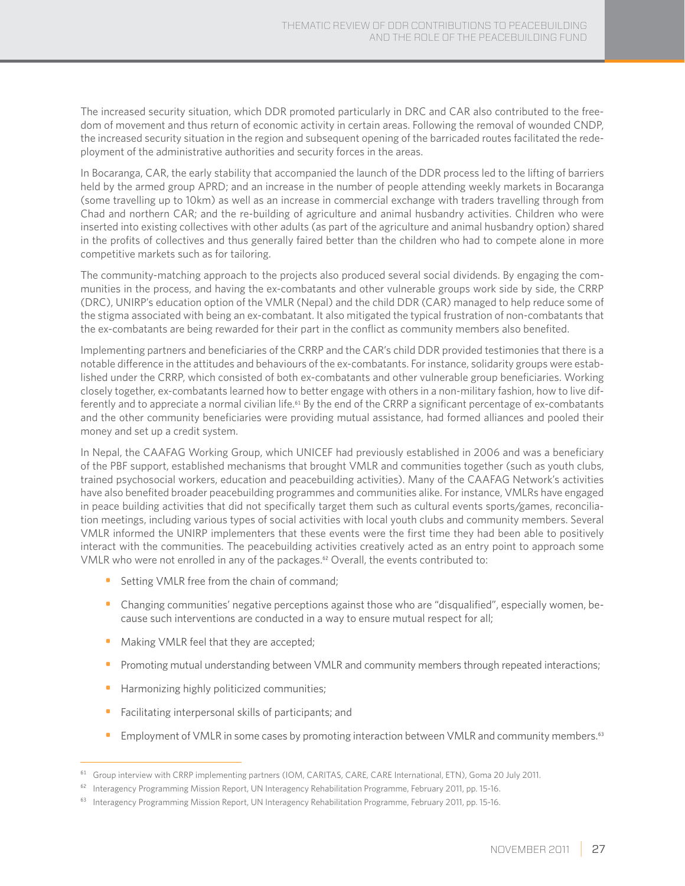The increased security situation, which DDR promoted particularly in DRC and CAR also contributed to the freedom of movement and thus return of economic activity in certain areas. Following the removal of wounded CNDP, the increased security situation in the region and subsequent opening of the barricaded routes facilitated the redeployment of the administrative authorities and security forces in the areas.

In Bocaranga, CAR, the early stability that accompanied the launch of the DDR process led to the lifting of barriers held by the armed group APRD; and an increase in the number of people attending weekly markets in Bocaranga (some travelling up to 10km) as well as an increase in commercial exchange with traders travelling through from Chad and northern CAR; and the re-building of agriculture and animal husbandry activities. Children who were inserted into existing collectives with other adults (as part of the agriculture and animal husbandry option) shared in the profits of collectives and thus generally faired better than the children who had to compete alone in more competitive markets such as for tailoring.

The community-matching approach to the projects also produced several social dividends. By engaging the communities in the process, and having the ex-combatants and other vulnerable groups work side by side, the CRRP (DRC), UNIRP's education option of the VMLR (Nepal) and the child DDR (CAR) managed to help reduce some of the stigma associated with being an ex-combatant. It also mitigated the typical frustration of non-combatants that the ex-combatants are being rewarded for their part in the conflict as community members also benefited.

Implementing partners and beneficiaries of the CRRP and the CAR's child DDR provided testimonies that there is a notable difference in the attitudes and behaviours of the ex-combatants. For instance, solidarity groups were established under the CRRP, which consisted of both ex-combatants and other vulnerable group beneficiaries. Working closely together, ex-combatants learned how to better engage with others in a non-military fashion, how to live differently and to appreciate a normal civilian life.<sup>61</sup> By the end of the CRRP a significant percentage of ex-combatants and the other community beneficiaries were providing mutual assistance, had formed alliances and pooled their money and set up a credit system.

In Nepal, the CAAFAG Working Group, which UNICEF had previously established in 2006 and was a beneficiary of the PBF support, established mechanisms that brought VMLR and communities together (such as youth clubs, trained psychosocial workers, education and peacebuilding activities). Many of the CAAFAG Network's activities have also benefited broader peacebuilding programmes and communities alike. For instance, VMLRs have engaged in peace building activities that did not specifically target them such as cultural events sports/games, reconciliation meetings, including various types of social activities with local youth clubs and community members. Several VMLR informed the UNIRP implementers that these events were the first time they had been able to positively interact with the communities. The peacebuilding activities creatively acted as an entry point to approach some VMLR who were not enrolled in any of the packages.<sup>62</sup> Overall, the events contributed to:

- Setting VMLR free from the chain of command;
- Changing communities' negative perceptions against those who are "disqualified", especially women, because such interventions are conducted in a way to ensure mutual respect for all;
- Making VMLR feel that they are accepted;
- Promoting mutual understanding between VMLR and community members through repeated interactions;
- Harmonizing highly politicized communities;
- Facilitating interpersonal skills of participants; and
- Employment of VMLR in some cases by promoting interaction between VMLR and community members.<sup>63</sup>

<sup>&</sup>lt;sup>61</sup> Group interview with CRRP implementing partners (IOM, CARITAS, CARE, CARE International, ETN), Goma 20 July 2011.

<sup>&</sup>lt;sup>62</sup> Interagency Programming Mission Report, UN Interagency Rehabilitation Programme, February 2011, pp. 15-16.

<sup>&</sup>lt;sup>63</sup> Interagency Programming Mission Report, UN Interagency Rehabilitation Programme, February 2011, pp. 15-16.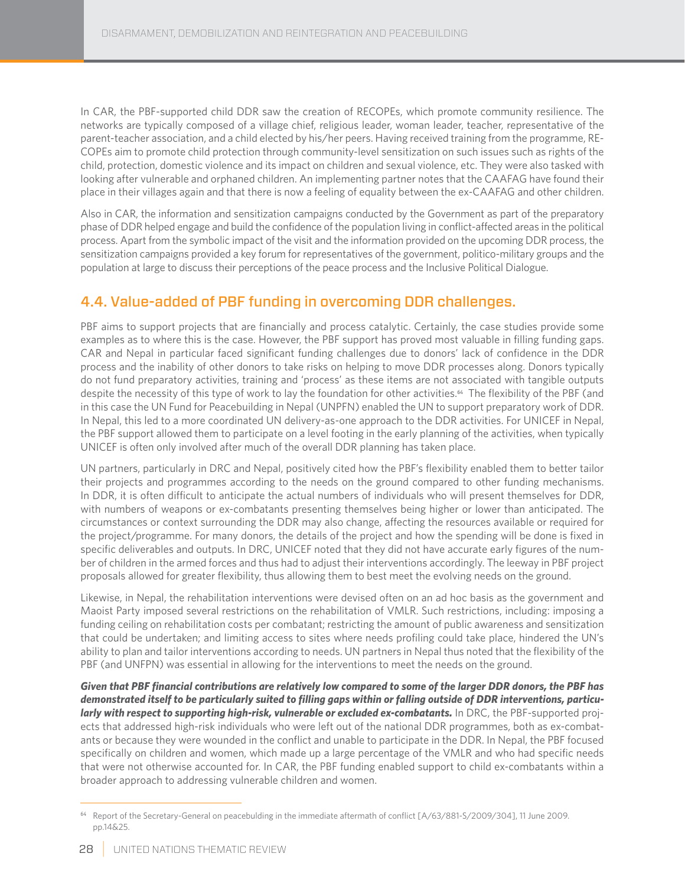In CAR, the PBF-supported child DDR saw the creation of RECOPEs, which promote community resilience. The networks are typically composed of a village chief, religious leader, woman leader, teacher, representative of the parent-teacher association, and a child elected by his/her peers. Having received training from the programme, RE-COPEs aim to promote child protection through community-level sensitization on such issues such as rights of the child, protection, domestic violence and its impact on children and sexual violence, etc. They were also tasked with looking after vulnerable and orphaned children. An implementing partner notes that the CAAFAG have found their place in their villages again and that there is now a feeling of equality between the ex-CAAFAG and other children.

Also in CAR, the information and sensitization campaigns conducted by the Government as part of the preparatory phase of DDR helped engage and build the confidence of the population living in conflict-affected areas in the political process. Apart from the symbolic impact of the visit and the information provided on the upcoming DDR process, the sensitization campaigns provided a key forum for representatives of the government, politico-military groups and the population at large to discuss their perceptions of the peace process and the Inclusive Political Dialogue.

## 4.4. Value-added of PBF funding in overcoming DDR challenges.

PBF aims to support projects that are financially and process catalytic. Certainly, the case studies provide some examples as to where this is the case. However, the PBF support has proved most valuable in filling funding gaps. CAR and Nepal in particular faced significant funding challenges due to donors' lack of confidence in the DDR process and the inability of other donors to take risks on helping to move DDR processes along. Donors typically do not fund preparatory activities, training and 'process' as these items are not associated with tangible outputs despite the necessity of this type of work to lay the foundation for other activities.<sup>64</sup> The flexibility of the PBF (and in this case the UN Fund for Peacebuilding in Nepal (UNPFN) enabled the UN to support preparatory work of DDR. In Nepal, this led to a more coordinated UN delivery-as-one approach to the DDR activities. For UNICEF in Nepal, the PBF support allowed them to participate on a level footing in the early planning of the activities, when typically UNICEF is often only involved after much of the overall DDR planning has taken place.

UN partners, particularly in DRC and Nepal, positively cited how the PBF's flexibility enabled them to better tailor their projects and programmes according to the needs on the ground compared to other funding mechanisms. In DDR, it is often difficult to anticipate the actual numbers of individuals who will present themselves for DDR, with numbers of weapons or ex-combatants presenting themselves being higher or lower than anticipated. The circumstances or context surrounding the DDR may also change, affecting the resources available or required for the project/programme. For many donors, the details of the project and how the spending will be done is fixed in specific deliverables and outputs. In DRC, UNICEF noted that they did not have accurate early figures of the number of children in the armed forces and thus had to adjust their interventions accordingly. The leeway in PBF project proposals allowed for greater flexibility, thus allowing them to best meet the evolving needs on the ground.

Likewise, in Nepal, the rehabilitation interventions were devised often on an ad hoc basis as the government and Maoist Party imposed several restrictions on the rehabilitation of VMLR. Such restrictions, including: imposing a funding ceiling on rehabilitation costs per combatant; restricting the amount of public awareness and sensitization that could be undertaken; and limiting access to sites where needs profiling could take place, hindered the UN's ability to plan and tailor interventions according to needs. UN partners in Nepal thus noted that the flexibility of the PBF (and UNFPN) was essential in allowing for the interventions to meet the needs on the ground.

*Given that PBF financial contributions are relatively low compared to some of the larger DDR donors, the PBF has demonstrated itself to be particularly suited to filling gaps within or falling outside of DDR interventions, particularly with respect to supporting high-risk, vulnerable or excluded ex-combatants.* In DRC, the PBF-supported projects that addressed high-risk individuals who were left out of the national DDR programmes, both as ex-combatants or because they were wounded in the conflict and unable to participate in the DDR. In Nepal, the PBF focused specifically on children and women, which made up a large percentage of the VMLR and who had specific needs that were not otherwise accounted for. In CAR, the PBF funding enabled support to child ex-combatants within a broader approach to addressing vulnerable children and women.

<sup>64</sup> Report of the Secretary-General on peacebulding in the immediate aftermath of conflict [A/63/881-S/2009/304], 11 June 2009. pp.14&25.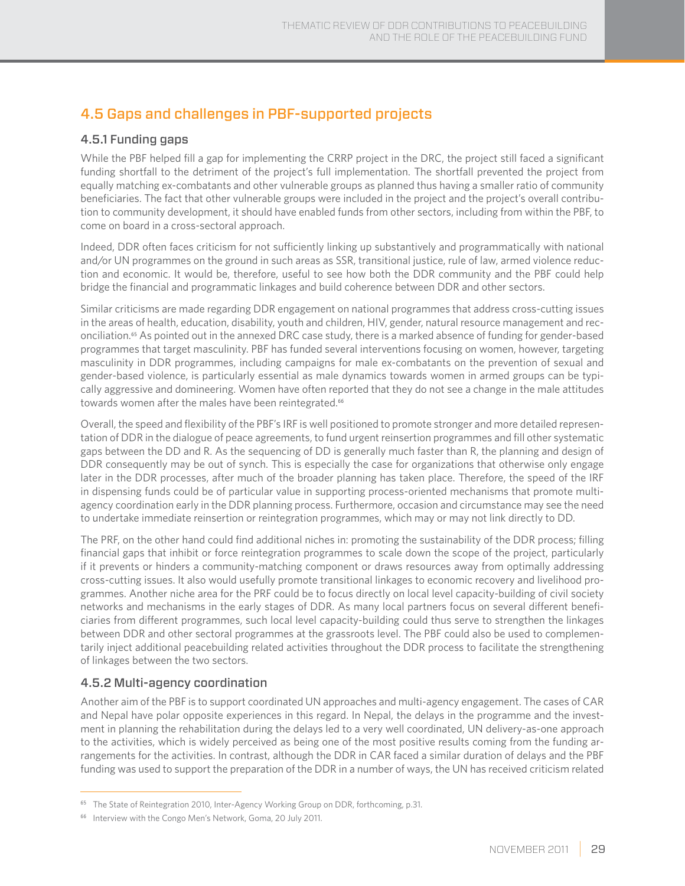## 4.5 Gaps and challenges in PBF-supported projects

### 4.5.1 Funding gaps

While the PBF helped fill a gap for implementing the CRRP project in the DRC, the project still faced a significant funding shortfall to the detriment of the project's full implementation. The shortfall prevented the project from equally matching ex-combatants and other vulnerable groups as planned thus having a smaller ratio of community beneficiaries. The fact that other vulnerable groups were included in the project and the project's overall contribution to community development, it should have enabled funds from other sectors, including from within the PBF, to come on board in a cross-sectoral approach.

Indeed, DDR often faces criticism for not sufficiently linking up substantively and programmatically with national and/or UN programmes on the ground in such areas as SSR, transitional justice, rule of law, armed violence reduction and economic. It would be, therefore, useful to see how both the DDR community and the PBF could help bridge the financial and programmatic linkages and build coherence between DDR and other sectors.

Similar criticisms are made regarding DDR engagement on national programmes that address cross-cutting issues in the areas of health, education, disability, youth and children, HIV, gender, natural resource management and reconciliation.65 As pointed out in the annexed DRC case study, there is a marked absence of funding for gender-based programmes that target masculinity. PBF has funded several interventions focusing on women, however, targeting masculinity in DDR programmes, including campaigns for male ex-combatants on the prevention of sexual and gender-based violence, is particularly essential as male dynamics towards women in armed groups can be typically aggressive and domineering. Women have often reported that they do not see a change in the male attitudes towards women after the males have been reintegrated.<sup>66</sup>

Overall, the speed and flexibility of the PBF's IRF is well positioned to promote stronger and more detailed representation of DDR in the dialogue of peace agreements, to fund urgent reinsertion programmes and fill other systematic gaps between the DD and R. As the sequencing of DD is generally much faster than R, the planning and design of DDR consequently may be out of synch. This is especially the case for organizations that otherwise only engage later in the DDR processes, after much of the broader planning has taken place. Therefore, the speed of the IRF in dispensing funds could be of particular value in supporting process-oriented mechanisms that promote multiagency coordination early in the DDR planning process. Furthermore, occasion and circumstance may see the need to undertake immediate reinsertion or reintegration programmes, which may or may not link directly to DD.

The PRF, on the other hand could find additional niches in: promoting the sustainability of the DDR process; filling financial gaps that inhibit or force reintegration programmes to scale down the scope of the project, particularly if it prevents or hinders a community-matching component or draws resources away from optimally addressing cross-cutting issues. It also would usefully promote transitional linkages to economic recovery and livelihood programmes. Another niche area for the PRF could be to focus directly on local level capacity-building of civil society networks and mechanisms in the early stages of DDR. As many local partners focus on several different beneficiaries from different programmes, such local level capacity-building could thus serve to strengthen the linkages between DDR and other sectoral programmes at the grassroots level. The PBF could also be used to complementarily inject additional peacebuilding related activities throughout the DDR process to facilitate the strengthening of linkages between the two sectors.

### 4.5.2 Multi-agency coordination

Another aim of the PBF is to support coordinated UN approaches and multi-agency engagement. The cases of CAR and Nepal have polar opposite experiences in this regard. In Nepal, the delays in the programme and the investment in planning the rehabilitation during the delays led to a very well coordinated, UN delivery-as-one approach to the activities, which is widely perceived as being one of the most positive results coming from the funding arrangements for the activities. In contrast, although the DDR in CAR faced a similar duration of delays and the PBF funding was used to support the preparation of the DDR in a number of ways, the UN has received criticism related

<sup>&</sup>lt;sup>65</sup> The State of Reintegration 2010, Inter-Agency Working Group on DDR, forthcoming, p.31.

<sup>&</sup>lt;sup>66</sup> Interview with the Congo Men's Network, Goma, 20 July 2011.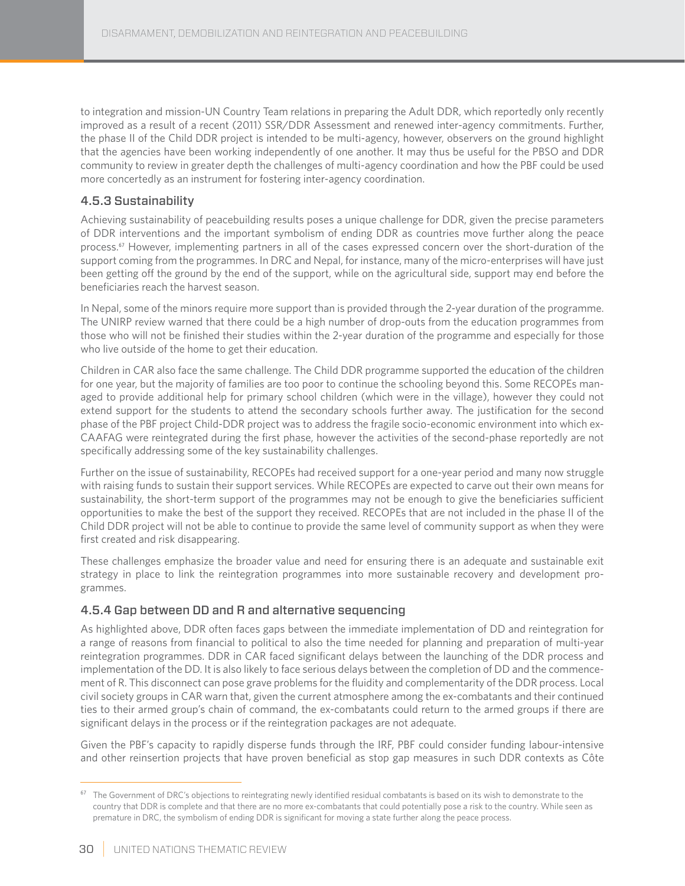to integration and mission-UN Country Team relations in preparing the Adult DDR, which reportedly only recently improved as a result of a recent (2011) SSR/DDR Assessment and renewed inter-agency commitments. Further, the phase II of the Child DDR project is intended to be multi-agency, however, observers on the ground highlight that the agencies have been working independently of one another. It may thus be useful for the PBSO and DDR community to review in greater depth the challenges of multi-agency coordination and how the PBF could be used more concertedly as an instrument for fostering inter-agency coordination.

### 4.5.3 Sustainability

Achieving sustainability of peacebuilding results poses a unique challenge for DDR, given the precise parameters of DDR interventions and the important symbolism of ending DDR as countries move further along the peace process.<sup>67</sup> However, implementing partners in all of the cases expressed concern over the short-duration of the support coming from the programmes. In DRC and Nepal, for instance, many of the micro-enterprises will have just been getting off the ground by the end of the support, while on the agricultural side, support may end before the beneficiaries reach the harvest season.

In Nepal, some of the minors require more support than is provided through the 2-year duration of the programme. The UNIRP review warned that there could be a high number of drop-outs from the education programmes from those who will not be finished their studies within the 2-year duration of the programme and especially for those who live outside of the home to get their education.

Children in CAR also face the same challenge. The Child DDR programme supported the education of the children for one year, but the majority of families are too poor to continue the schooling beyond this. Some RECOPEs managed to provide additional help for primary school children (which were in the village), however they could not extend support for the students to attend the secondary schools further away. The justification for the second phase of the PBF project Child-DDR project was to address the fragile socio-economic environment into which ex-CAAFAG were reintegrated during the first phase, however the activities of the second-phase reportedly are not specifically addressing some of the key sustainability challenges.

Further on the issue of sustainability, RECOPEs had received support for a one-year period and many now struggle with raising funds to sustain their support services. While RECOPEs are expected to carve out their own means for sustainability, the short-term support of the programmes may not be enough to give the beneficiaries sufficient opportunities to make the best of the support they received. RECOPEs that are not included in the phase II of the Child DDR project will not be able to continue to provide the same level of community support as when they were first created and risk disappearing.

These challenges emphasize the broader value and need for ensuring there is an adequate and sustainable exit strategy in place to link the reintegration programmes into more sustainable recovery and development programmes.

### 4.5.4 Gap between DD and R and alternative sequencing

As highlighted above, DDR often faces gaps between the immediate implementation of DD and reintegration for a range of reasons from financial to political to also the time needed for planning and preparation of multi-year reintegration programmes. DDR in CAR faced significant delays between the launching of the DDR process and implementation of the DD. It is also likely to face serious delays between the completion of DD and the commencement of R. This disconnect can pose grave problems for the fluidity and complementarity of the DDR process. Local civil society groups in CAR warn that, given the current atmosphere among the ex-combatants and their continued ties to their armed group's chain of command, the ex-combatants could return to the armed groups if there are significant delays in the process or if the reintegration packages are not adequate.

Given the PBF's capacity to rapidly disperse funds through the IRF, PBF could consider funding labour-intensive and other reinsertion projects that have proven beneficial as stop gap measures in such DDR contexts as Côte

<sup>&</sup>lt;sup>67</sup> The Government of DRC's objections to reintegrating newly identified residual combatants is based on its wish to demonstrate to the country that DDR is complete and that there are no more ex-combatants that could potentially pose a risk to the country. While seen as premature in DRC, the symbolism of ending DDR is significant for moving a state further along the peace process.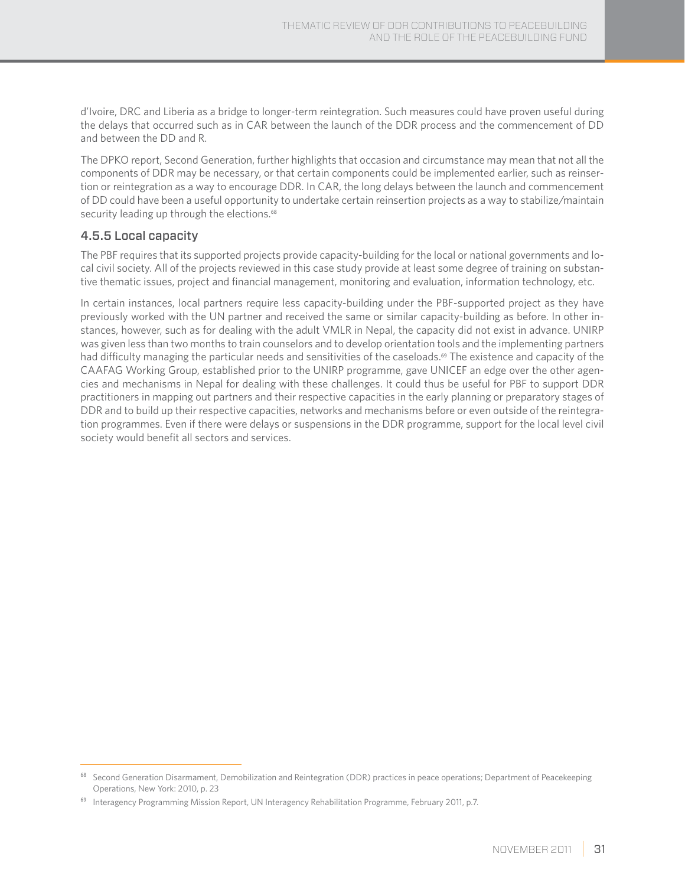d'Ivoire, DRC and Liberia as a bridge to longer-term reintegration. Such measures could have proven useful during the delays that occurred such as in CAR between the launch of the DDR process and the commencement of DD and between the DD and R.

The DPKO report, Second Generation, further highlights that occasion and circumstance may mean that not all the components of DDR may be necessary, or that certain components could be implemented earlier, such as reinsertion or reintegration as a way to encourage DDR. In CAR, the long delays between the launch and commencement of DD could have been a useful opportunity to undertake certain reinsertion projects as a way to stabilize/maintain security leading up through the elections.<sup>68</sup>

#### 4.5.5 Local capacity

The PBF requires that its supported projects provide capacity-building for the local or national governments and local civil society. All of the projects reviewed in this case study provide at least some degree of training on substantive thematic issues, project and financial management, monitoring and evaluation, information technology, etc.

In certain instances, local partners require less capacity-building under the PBF-supported project as they have previously worked with the UN partner and received the same or similar capacity-building as before. In other instances, however, such as for dealing with the adult VMLR in Nepal, the capacity did not exist in advance. UNIRP was given less than two months to train counselors and to develop orientation tools and the implementing partners had difficulty managing the particular needs and sensitivities of the caseloads.<sup>69</sup> The existence and capacity of the CAAFAG Working Group, established prior to the UNIRP programme, gave UNICEF an edge over the other agencies and mechanisms in Nepal for dealing with these challenges. It could thus be useful for PBF to support DDR practitioners in mapping out partners and their respective capacities in the early planning or preparatory stages of DDR and to build up their respective capacities, networks and mechanisms before or even outside of the reintegration programmes. Even if there were delays or suspensions in the DDR programme, support for the local level civil society would benefit all sectors and services.

<sup>&</sup>lt;sup>68</sup> Second Generation Disarmament, Demobilization and Reintegration (DDR) practices in peace operations; Department of Peacekeeping Operations, New York: 2010, p. 23

<sup>&</sup>lt;sup>69</sup> Interagency Programming Mission Report, UN Interagency Rehabilitation Programme, February 2011, p.7.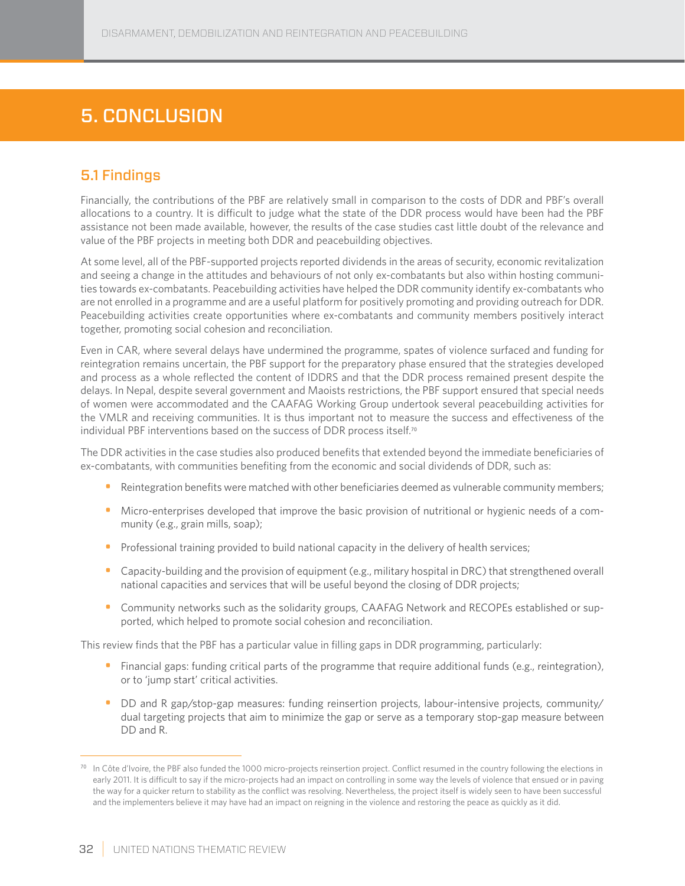# 5. Conclusion

## 5.1 Findings

Financially, the contributions of the PBF are relatively small in comparison to the costs of DDR and PBF's overall allocations to a country. It is difficult to judge what the state of the DDR process would have been had the PBF assistance not been made available, however, the results of the case studies cast little doubt of the relevance and value of the PBF projects in meeting both DDR and peacebuilding objectives.

At some level, all of the PBF-supported projects reported dividends in the areas of security, economic revitalization and seeing a change in the attitudes and behaviours of not only ex-combatants but also within hosting communities towards ex-combatants. Peacebuilding activities have helped the DDR community identify ex-combatants who are not enrolled in a programme and are a useful platform for positively promoting and providing outreach for DDR. Peacebuilding activities create opportunities where ex-combatants and community members positively interact together, promoting social cohesion and reconciliation.

Even in CAR, where several delays have undermined the programme, spates of violence surfaced and funding for reintegration remains uncertain, the PBF support for the preparatory phase ensured that the strategies developed and process as a whole reflected the content of IDDRS and that the DDR process remained present despite the delays. In Nepal, despite several government and Maoists restrictions, the PBF support ensured that special needs of women were accommodated and the CAAFAG Working Group undertook several peacebuilding activities for the VMLR and receiving communities. It is thus important not to measure the success and effectiveness of the individual PBF interventions based on the success of DDR process itself.<sup>70</sup>

The DDR activities in the case studies also produced benefits that extended beyond the immediate beneficiaries of ex-combatants, with communities benefiting from the economic and social dividends of DDR, such as:

- Reintegration benefits were matched with other beneficiaries deemed as vulnerable community members;
- Micro-enterprises developed that improve the basic provision of nutritional or hygienic needs of a community (e.g., grain mills, soap);
- Professional training provided to build national capacity in the delivery of health services;
- Capacity-building and the provision of equipment (e.g., military hospital in DRC) that strengthened overall national capacities and services that will be useful beyond the closing of DDR projects;
- Community networks such as the solidarity groups, CAAFAG Network and RECOPEs established or supported, which helped to promote social cohesion and reconciliation.

This review finds that the PBF has a particular value in filling gaps in DDR programming, particularly:

- Financial gaps: funding critical parts of the programme that require additional funds (e.g., reintegration), or to 'jump start' critical activities.
- DD and R gap/stop-gap measures: funding reinsertion projects, labour-intensive projects, community/ dual targeting projects that aim to minimize the gap or serve as a temporary stop-gap measure between DD and R.

 $70$  In Côte d'Ivoire, the PBF also funded the 1000 micro-projects reinsertion project. Conflict resumed in the country following the elections in early 2011. It is difficult to say if the micro-projects had an impact on controlling in some way the levels of violence that ensued or in paving the way for a quicker return to stability as the conflict was resolving. Nevertheless, the project itself is widely seen to have been successful and the implementers believe it may have had an impact on reigning in the violence and restoring the peace as quickly as it did.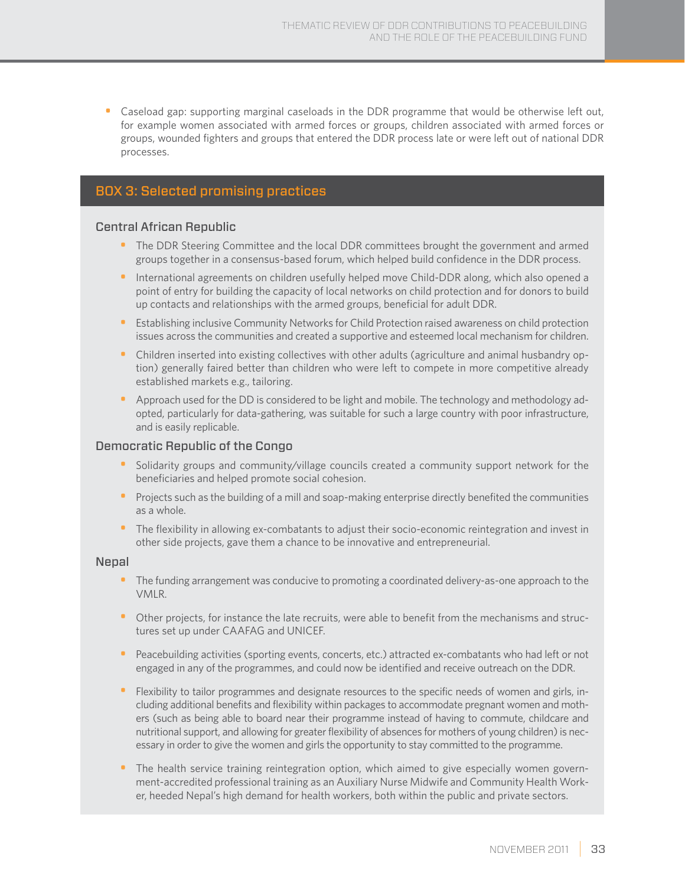• Caseload gap: supporting marginal caseloads in the DDR programme that would be otherwise left out, for example women associated with armed forces or groups, children associated with armed forces or groups, wounded fighters and groups that entered the DDR process late or were left out of national DDR processes.

### BOX 3: Selected promising practices

#### Central African Republic

- The DDR Steering Committee and the local DDR committees brought the government and armed groups together in a consensus-based forum, which helped build confidence in the DDR process.
- International agreements on children usefully helped move Child-DDR along, which also opened a point of entry for building the capacity of local networks on child protection and for donors to build up contacts and relationships with the armed groups, beneficial for adult DDR.
- Establishing inclusive Community Networks for Child Protection raised awareness on child protection issues across the communities and created a supportive and esteemed local mechanism for children.
- Children inserted into existing collectives with other adults (agriculture and animal husbandry option) generally faired better than children who were left to compete in more competitive already established markets e.g., tailoring.
- Approach used for the DD is considered to be light and mobile. The technology and methodology adopted, particularly for data-gathering, was suitable for such a large country with poor infrastructure, and is easily replicable.

#### Democratic Republic of the Congo

- Solidarity groups and community/village councils created a community support network for the beneficiaries and helped promote social cohesion.
- Projects such as the building of a mill and soap-making enterprise directly benefited the communities as a whole.
- The flexibility in allowing ex-combatants to adjust their socio-economic reintegration and invest in other side projects, gave them a chance to be innovative and entrepreneurial.

#### **Nepal**

- The funding arrangement was conducive to promoting a coordinated delivery-as-one approach to the VMLR.
- Other projects, for instance the late recruits, were able to benefit from the mechanisms and structures set up under CAAFAG and UNICEF.
- Peacebuilding activities (sporting events, concerts, etc.) attracted ex-combatants who had left or not engaged in any of the programmes, and could now be identified and receive outreach on the DDR.
- Flexibility to tailor programmes and designate resources to the specific needs of women and girls, including additional benefits and flexibility within packages to accommodate pregnant women and mothers (such as being able to board near their programme instead of having to commute, childcare and nutritional support, and allowing for greater flexibility of absences for mothers of young children) is necessary in order to give the women and girls the opportunity to stay committed to the programme.
- The health service training reintegration option, which aimed to give especially women government-accredited professional training as an Auxiliary Nurse Midwife and Community Health Worker, heeded Nepal's high demand for health workers, both within the public and private sectors.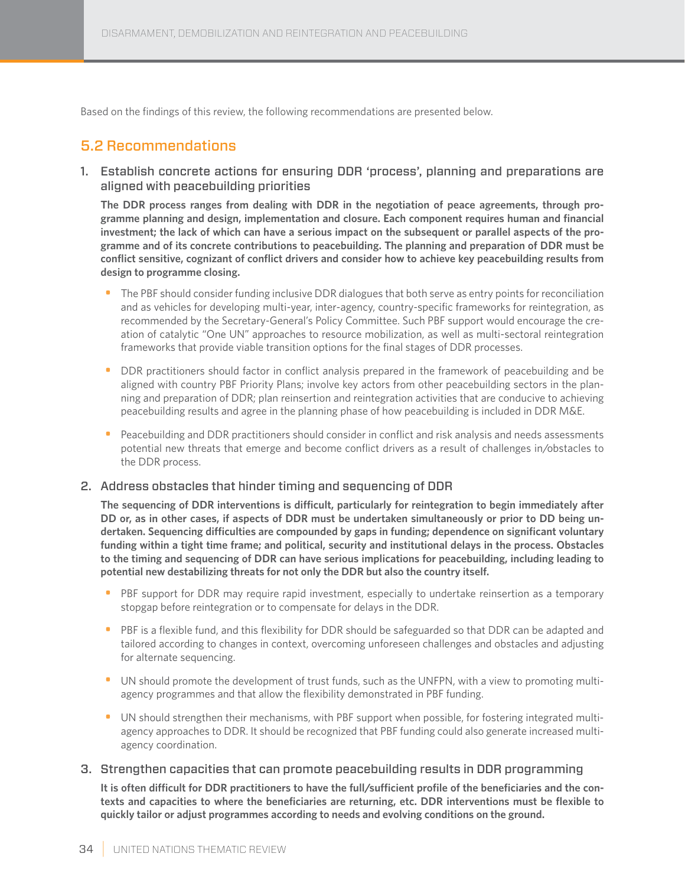Based on the findings of this review, the following recommendations are presented below.

### 5.2 Recommendations

1. Establish concrete actions for ensuring DDR 'process', planning and preparations are aligned with peacebuilding priorities

**The DDR process ranges from dealing with DDR in the negotiation of peace agreements, through programme planning and design, implementation and closure. Each component requires human and financial investment; the lack of which can have a serious impact on the subsequent or parallel aspects of the programme and of its concrete contributions to peacebuilding. The planning and preparation of DDR must be conflict sensitive, cognizant of conflict drivers and consider how to achieve key peacebuilding results from design to programme closing.**

- The PBF should consider funding inclusive DDR dialogues that both serve as entry points for reconciliation and as vehicles for developing multi-year, inter-agency, country-specific frameworks for reintegration, as recommended by the Secretary-General's Policy Committee. Such PBF support would encourage the creation of catalytic "One UN" approaches to resource mobilization, as well as multi-sectoral reintegration frameworks that provide viable transition options for the final stages of DDR processes.
- DDR practitioners should factor in conflict analysis prepared in the framework of peacebuilding and be aligned with country PBF Priority Plans; involve key actors from other peacebuilding sectors in the planning and preparation of DDR; plan reinsertion and reintegration activities that are conducive to achieving peacebuilding results and agree in the planning phase of how peacebuilding is included in DDR M&E.
- Peacebuilding and DDR practitioners should consider in conflict and risk analysis and needs assessments potential new threats that emerge and become conflict drivers as a result of challenges in/obstacles to the DDR process.

#### 2. Address obstacles that hinder timing and sequencing of DDR

**The sequencing of DDR interventions is difficult, particularly for reintegration to begin immediately after DD or, as in other cases, if aspects of DDR must be undertaken simultaneously or prior to DD being undertaken. Sequencing difficulties are compounded by gaps in funding; dependence on significant voluntary funding within a tight time frame; and political, security and institutional delays in the process. Obstacles to the timing and sequencing of DDR can have serious implications for peacebuilding, including leading to potential new destabilizing threats for not only the DDR but also the country itself.**

- PBF support for DDR may require rapid investment, especially to undertake reinsertion as a temporary stopgap before reintegration or to compensate for delays in the DDR.
- PBF is a flexible fund, and this flexibility for DDR should be safeguarded so that DDR can be adapted and tailored according to changes in context, overcoming unforeseen challenges and obstacles and adjusting for alternate sequencing.
- UN should promote the development of trust funds, such as the UNFPN, with a view to promoting multiagency programmes and that allow the flexibility demonstrated in PBF funding.
- UN should strengthen their mechanisms, with PBF support when possible, for fostering integrated multiagency approaches to DDR. It should be recognized that PBF funding could also generate increased multiagency coordination.

#### 3. Strengthen capacities that can promote peacebuilding results in DDR programming

**It is often difficult for DDR practitioners to have the full/sufficient profile of the beneficiaries and the contexts and capacities to where the beneficiaries are returning, etc. DDR interventions must be flexible to quickly tailor or adjust programmes according to needs and evolving conditions on the ground.**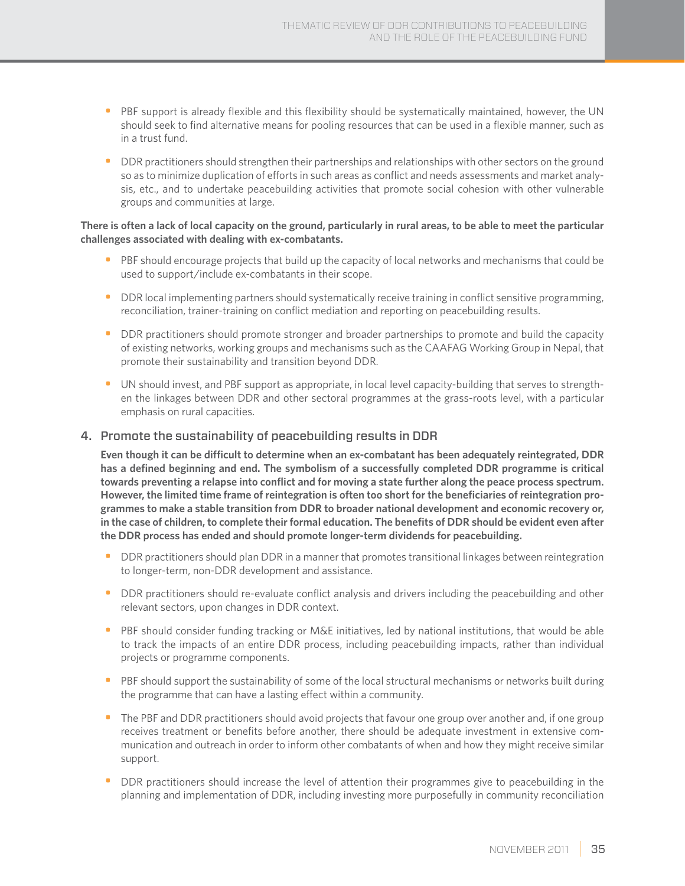- PBF support is already flexible and this flexibility should be systematically maintained, however, the UN should seek to find alternative means for pooling resources that can be used in a flexible manner, such as in a trust fund.
- DDR practitioners should strengthen their partnerships and relationships with other sectors on the ground so as to minimize duplication of efforts in such areas as conflict and needs assessments and market analysis, etc., and to undertake peacebuilding activities that promote social cohesion with other vulnerable groups and communities at large.

#### **There is often a lack of local capacity on the ground, particularly in rural areas, to be able to meet the particular challenges associated with dealing with ex-combatants.**

- PBF should encourage projects that build up the capacity of local networks and mechanisms that could be used to support/include ex-combatants in their scope.
- DDR local implementing partners should systematically receive training in conflict sensitive programming, reconciliation, trainer-training on conflict mediation and reporting on peacebuilding results.
- DDR practitioners should promote stronger and broader partnerships to promote and build the capacity of existing networks, working groups and mechanisms such as the CAAFAG Working Group in Nepal, that promote their sustainability and transition beyond DDR.
- UN should invest, and PBF support as appropriate, in local level capacity-building that serves to strengthen the linkages between DDR and other sectoral programmes at the grass-roots level, with a particular emphasis on rural capacities.

#### 4. Promote the sustainability of peacebuilding results in DDR

**Even though it can be difficult to determine when an ex-combatant has been adequately reintegrated, DDR has a defined beginning and end. The symbolism of a successfully completed DDR programme is critical towards preventing a relapse into conflict and for moving a state further along the peace process spectrum. However, the limited time frame of reintegration is often too short for the beneficiaries of reintegration programmes to make a stable transition from DDR to broader national development and economic recovery or, in the case of children, to complete their formal education. The benefits of DDR should be evident even after the DDR process has ended and should promote longer-term dividends for peacebuilding.**

- DDR practitioners should plan DDR in a manner that promotes transitional linkages between reintegration to longer-term, non-DDR development and assistance.
- DDR practitioners should re-evaluate conflict analysis and drivers including the peacebuilding and other relevant sectors, upon changes in DDR context.
- PBF should consider funding tracking or M&E initiatives, led by national institutions, that would be able to track the impacts of an entire DDR process, including peacebuilding impacts, rather than individual projects or programme components.
- PBF should support the sustainability of some of the local structural mechanisms or networks built during the programme that can have a lasting effect within a community.
- The PBF and DDR practitioners should avoid projects that favour one group over another and, if one group receives treatment or benefits before another, there should be adequate investment in extensive communication and outreach in order to inform other combatants of when and how they might receive similar support.
- DDR practitioners should increase the level of attention their programmes give to peacebuilding in the planning and implementation of DDR, including investing more purposefully in community reconciliation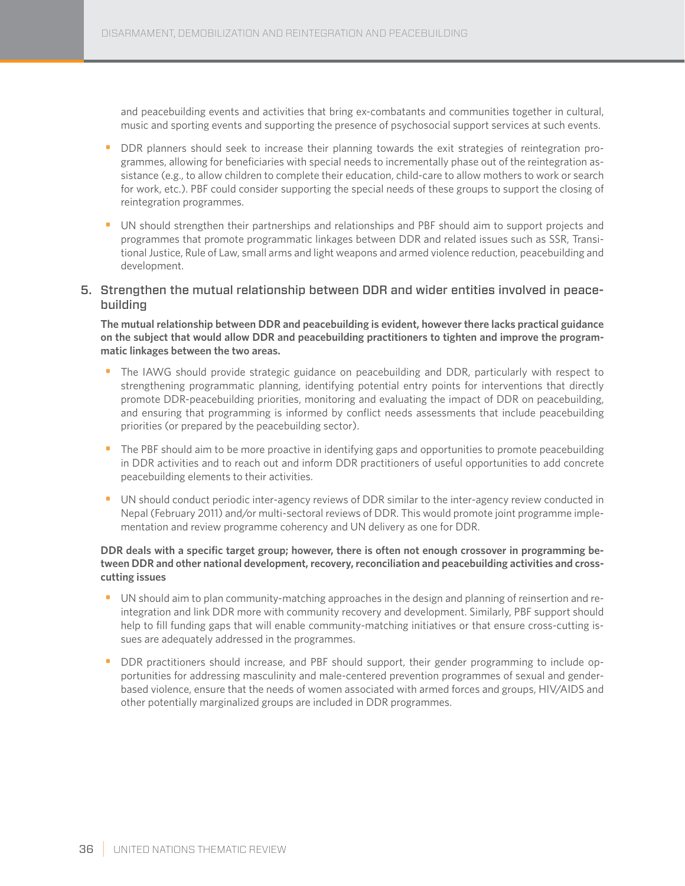and peacebuilding events and activities that bring ex-combatants and communities together in cultural, music and sporting events and supporting the presence of psychosocial support services at such events.

- DDR planners should seek to increase their planning towards the exit strategies of reintegration programmes, allowing for beneficiaries with special needs to incrementally phase out of the reintegration assistance (e.g., to allow children to complete their education, child-care to allow mothers to work or search for work, etc.). PBF could consider supporting the special needs of these groups to support the closing of reintegration programmes.
- UN should strengthen their partnerships and relationships and PBF should aim to support projects and programmes that promote programmatic linkages between DDR and related issues such as SSR, Transitional Justice, Rule of Law, small arms and light weapons and armed violence reduction, peacebuilding and development.
- 5. Strengthen the mutual relationship between DDR and wider entities involved in peacebuilding

**The mutual relationship between DDR and peacebuilding is evident, however there lacks practical guidance on the subject that would allow DDR and peacebuilding practitioners to tighten and improve the programmatic linkages between the two areas.**

- The IAWG should provide strategic guidance on peacebuilding and DDR, particularly with respect to strengthening programmatic planning, identifying potential entry points for interventions that directly promote DDR-peacebuilding priorities, monitoring and evaluating the impact of DDR on peacebuilding, and ensuring that programming is informed by conflict needs assessments that include peacebuilding priorities (or prepared by the peacebuilding sector).
- The PBF should aim to be more proactive in identifying gaps and opportunities to promote peacebuilding in DDR activities and to reach out and inform DDR practitioners of useful opportunities to add concrete peacebuilding elements to their activities.
- UN should conduct periodic inter-agency reviews of DDR similar to the inter-agency review conducted in Nepal (February 2011) and/or multi-sectoral reviews of DDR. This would promote joint programme implementation and review programme coherency and UN delivery as one for DDR.

#### **DDR deals with a specific target group; however, there is often not enough crossover in programming between DDR and other national development, recovery, reconciliation and peacebuilding activities and crosscutting issues**

- UN should aim to plan community-matching approaches in the design and planning of reinsertion and reintegration and link DDR more with community recovery and development. Similarly, PBF support should help to fill funding gaps that will enable community-matching initiatives or that ensure cross-cutting issues are adequately addressed in the programmes.
- DDR practitioners should increase, and PBF should support, their gender programming to include opportunities for addressing masculinity and male-centered prevention programmes of sexual and genderbased violence, ensure that the needs of women associated with armed forces and groups, HIV/AIDS and other potentially marginalized groups are included in DDR programmes.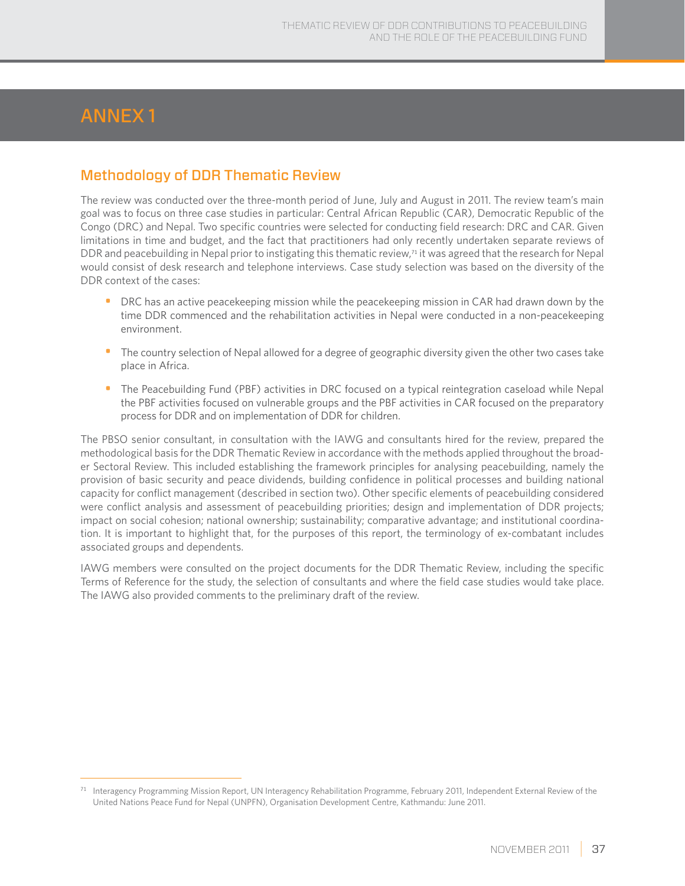# Annex 1

### Methodology of DDR Thematic Review

The review was conducted over the three-month period of June, July and August in 2011. The review team's main goal was to focus on three case studies in particular: Central African Republic (CAR), Democratic Republic of the Congo (DRC) and Nepal. Two specific countries were selected for conducting field research: DRC and CAR. Given limitations in time and budget, and the fact that practitioners had only recently undertaken separate reviews of DDR and peacebuilding in Nepal prior to instigating this thematic review,<sup>71</sup> it was agreed that the research for Nepal would consist of desk research and telephone interviews. Case study selection was based on the diversity of the DDR context of the cases:

- DRC has an active peacekeeping mission while the peacekeeping mission in CAR had drawn down by the time DDR commenced and the rehabilitation activities in Nepal were conducted in a non-peacekeeping environment.
- The country selection of Nepal allowed for a degree of geographic diversity given the other two cases take place in Africa.
- The Peacebuilding Fund (PBF) activities in DRC focused on a typical reintegration caseload while Nepal the PBF activities focused on vulnerable groups and the PBF activities in CAR focused on the preparatory process for DDR and on implementation of DDR for children.

The PBSO senior consultant, in consultation with the IAWG and consultants hired for the review, prepared the methodological basis for the DDR Thematic Review in accordance with the methods applied throughout the broader Sectoral Review. This included establishing the framework principles for analysing peacebuilding, namely the provision of basic security and peace dividends, building confidence in political processes and building national capacity for conflict management (described in section two). Other specific elements of peacebuilding considered were conflict analysis and assessment of peacebuilding priorities; design and implementation of DDR projects; impact on social cohesion; national ownership; sustainability; comparative advantage; and institutional coordination. It is important to highlight that, for the purposes of this report, the terminology of ex-combatant includes associated groups and dependents.

IAWG members were consulted on the project documents for the DDR Thematic Review, including the specific Terms of Reference for the study, the selection of consultants and where the field case studies would take place. The IAWG also provided comments to the preliminary draft of the review.

<sup>71</sup> Interagency Programming Mission Report, UN Interagency Rehabilitation Programme, February 2011, Independent External Review of the United Nations Peace Fund for Nepal (UNPFN), Organisation Development Centre, Kathmandu: June 2011.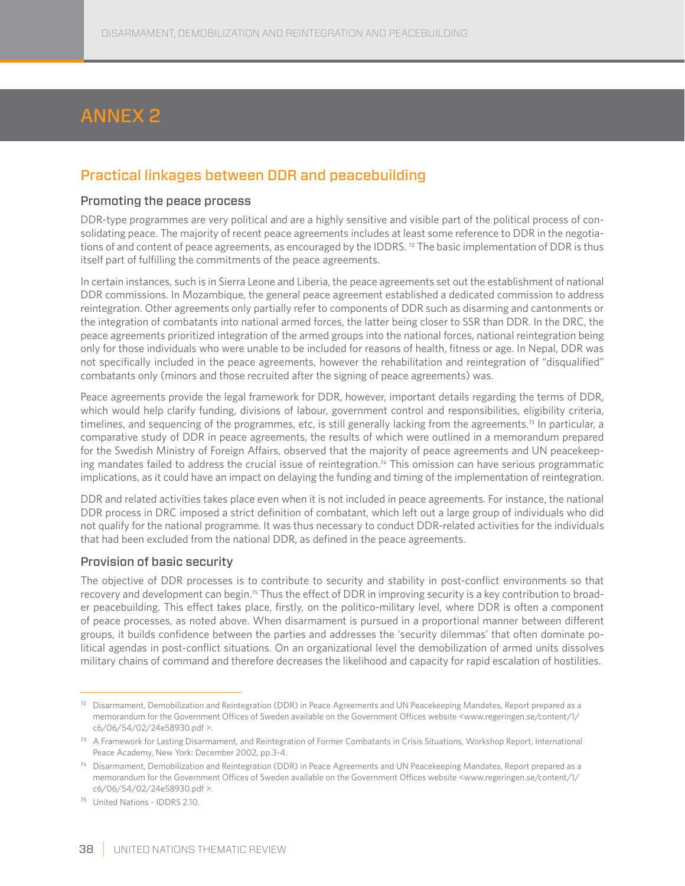# Annex 2

## Practical linkages between DDR and peacebuilding

#### Promoting the peace process

DDR-type programmes are very political and are a highly sensitive and visible part of the political process of consolidating peace. The majority of recent peace agreements includes at least some reference to DDR in the negotiations of and content of peace agreements, as encouraged by the IDDRS.<sup>72</sup> The basic implementation of DDR is thus itself part of fulfilling the commitments of the peace agreements.

In certain instances, such is in Sierra Leone and Liberia, the peace agreements set out the establishment of national DDR commissions. In Mozambique, the general peace agreement established a dedicated commission to address reintegration. Other agreements only partially refer to components of DDR such as disarming and cantonments or the integration of combatants into national armed forces, the latter being closer to SSR than DDR. In the DRC, the peace agreements prioritized integration of the armed groups into the national forces, national reintegration being only for those individuals who were unable to be included for reasons of health, fitness or age. In Nepal, DDR was not specifically included in the peace agreements, however the rehabilitation and reintegration of "disqualified" combatants only (minors and those recruited after the signing of peace agreements) was.

Peace agreements provide the legal framework for DDR, however, important details regarding the terms of DDR, which would help clarify funding, divisions of labour, government control and responsibilities, eligibility criteria, timelines, and sequencing of the programmes, etc, is still generally lacking from the agreements.<sup>73</sup> In particular, a comparative study of DDR in peace agreements, the results of which were outlined in a memorandum prepared for the Swedish Ministry of Foreign Affairs, observed that the majority of peace agreements and UN peacekeeping mandates failed to address the crucial issue of reintegration.<sup>74</sup> This omission can have serious programmatic implications, as it could have an impact on delaying the funding and timing of the implementation of reintegration.

DDR and related activities takes place even when it is not included in peace agreements. For instance, the national DDR process in DRC imposed a strict definition of combatant, which left out a large group of individuals who did not qualify for the national programme. It was thus necessary to conduct DDR-related activities for the individuals that had been excluded from the national DDR, as defined in the peace agreements.

#### Provision of basic security

The objective of DDR processes is to contribute to security and stability in post-conflict environments so that recovery and development can begin.75 Thus the effect of DDR in improving security is a key contribution to broader peacebuilding. This effect takes place, firstly, on the politico-military level, where DDR is often a component of peace processes, as noted above. When disarmament is pursued in a proportional manner between different groups, it builds confidence between the parties and addresses the 'security dilemmas' that often dominate political agendas in post-conflict situations. On an organizational level the demobilization of armed units dissolves military chains of command and therefore decreases the likelihood and capacity for rapid escalation of hostilities.

 $72$  Disarmament, Demobilization and Reintegration (DDR) in Peace Agreements and UN Peacekeeping Mandates, Report prepared as a memorandum for the Government Offices of Sweden available on the Government Offices website <www.regeringen.se/content/1/ c6/06/54/02/24e58930.pdf >.

<sup>&</sup>lt;sup>73</sup> A Framework for Lasting Disarmament, and Reintegration of Former Combatants in Crisis Situations, Workshop Report, International Peace Academy, New York: December 2002, pp.3-4.

<sup>74</sup> Disarmament, Demobilization and Reintegration (DDR) in Peace Agreements and UN Peacekeeping Mandates, Report prepared as a memorandum for the Government Offices of Sweden available on the Government Offices website <www.regeringen.se/content/1/ c6/06/54/02/24e58930.pdf >.

<sup>75</sup> United Nations - IDDRS 2.10.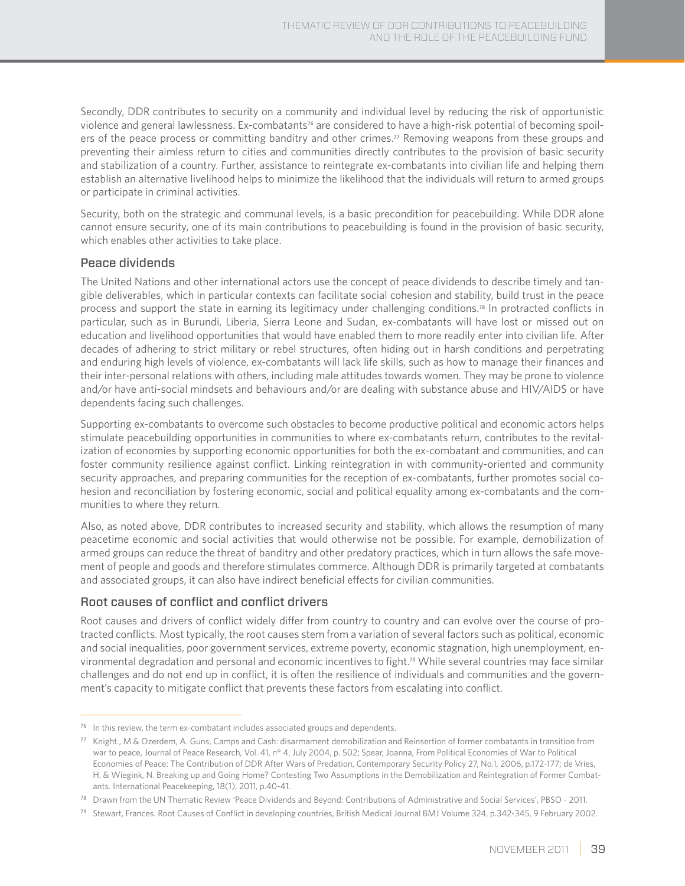Secondly, DDR contributes to security on a community and individual level by reducing the risk of opportunistic violence and general lawlessness. Ex-combatants<sup>76</sup> are considered to have a high-risk potential of becoming spoilers of the peace process or committing banditry and other crimes.<sup>77</sup> Removing weapons from these groups and preventing their aimless return to cities and communities directly contributes to the provision of basic security and stabilization of a country. Further, assistance to reintegrate ex-combatants into civilian life and helping them establish an alternative livelihood helps to minimize the likelihood that the individuals will return to armed groups or participate in criminal activities.

Security, both on the strategic and communal levels, is a basic precondition for peacebuilding. While DDR alone cannot ensure security, one of its main contributions to peacebuilding is found in the provision of basic security, which enables other activities to take place.

#### Peace dividends

The United Nations and other international actors use the concept of peace dividends to describe timely and tangible deliverables, which in particular contexts can facilitate social cohesion and stability, build trust in the peace process and support the state in earning its legitimacy under challenging conditions.78 In protracted conflicts in particular, such as in Burundi, Liberia, Sierra Leone and Sudan, ex-combatants will have lost or missed out on education and livelihood opportunities that would have enabled them to more readily enter into civilian life. After decades of adhering to strict military or rebel structures, often hiding out in harsh conditions and perpetrating and enduring high levels of violence, ex-combatants will lack life skills, such as how to manage their finances and their inter-personal relations with others, including male attitudes towards women. They may be prone to violence and/or have anti-social mindsets and behaviours and/or are dealing with substance abuse and HIV/AIDS or have dependents facing such challenges.

Supporting ex-combatants to overcome such obstacles to become productive political and economic actors helps stimulate peacebuilding opportunities in communities to where ex-combatants return, contributes to the revitalization of economies by supporting economic opportunities for both the ex-combatant and communities, and can foster community resilience against conflict. Linking reintegration in with community-oriented and community security approaches, and preparing communities for the reception of ex-combatants, further promotes social cohesion and reconciliation by fostering economic, social and political equality among ex-combatants and the communities to where they return.

Also, as noted above, DDR contributes to increased security and stability, which allows the resumption of many peacetime economic and social activities that would otherwise not be possible. For example, demobilization of armed groups can reduce the threat of banditry and other predatory practices, which in turn allows the safe movement of people and goods and therefore stimulates commerce. Although DDR is primarily targeted at combatants and associated groups, it can also have indirect beneficial effects for civilian communities.

#### Root causes of conflict and conflict drivers

Root causes and drivers of conflict widely differ from country to country and can evolve over the course of protracted conflicts. Most typically, the root causes stem from a variation of several factors such as political, economic and social inequalities, poor government services, extreme poverty, economic stagnation, high unemployment, environmental degradation and personal and economic incentives to fight.79 While several countries may face similar challenges and do not end up in conflict, it is often the resilience of individuals and communities and the government's capacity to mitigate conflict that prevents these factors from escalating into conflict.

 $76$  In this review, the term ex-combatant includes associated groups and dependents.

 $^{77}$  Knight., M & Ozerdem, A. Guns, Camps and Cash: disarmament demobilization and Reinsertion of former combatants in transition from war to peace, Journal of Peace Research, Vol. 41, n° 4, July 2004, p. 502; Spear, Joanna, From Political Economies of War to Political Economies of Peace: The Contribution of DDR After Wars of Predation, Contemporary Security Policy 27, No.1, 2006, p.172-177; de Vries, H. & Wiegink, N. Breaking up and Going Home? Contesting Two Assumptions in the Demobilization and Reintegration of Former Combatants. International Peacekeeping, 18(1), 2011, p.40-41.

<sup>&</sup>lt;sup>78</sup> Drawn from the UN Thematic Review 'Peace Dividends and Beyond: Contributions of Administrative and Social Services', PBSO - 2011.

<sup>&</sup>lt;sup>79</sup> Stewart, Frances. Root Causes of Conflict in developing countries, British Medical Journal BMJ Volume 324, p.342-345, 9 February 2002.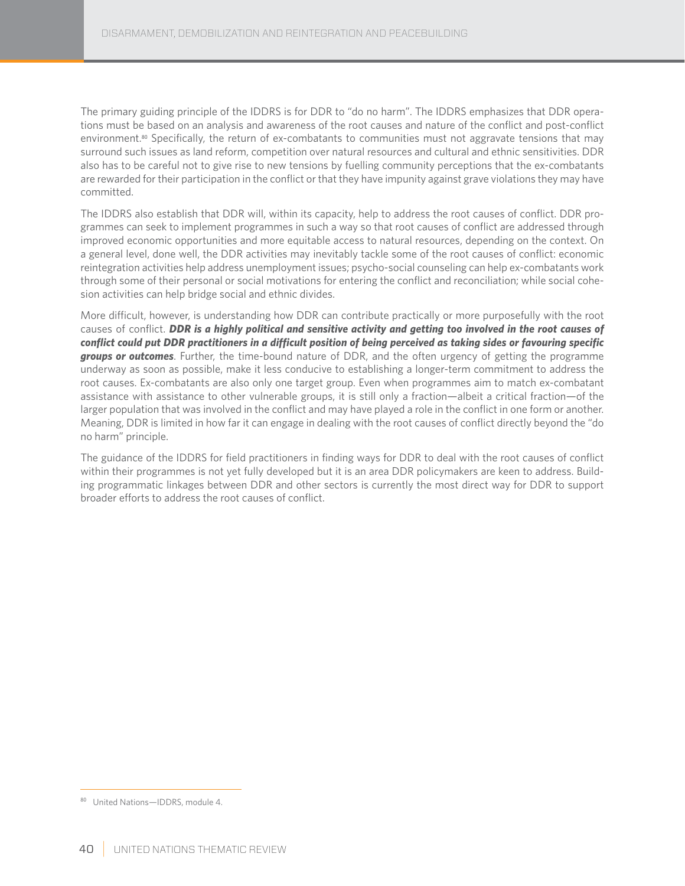The primary guiding principle of the IDDRS is for DDR to "do no harm". The IDDRS emphasizes that DDR operations must be based on an analysis and awareness of the root causes and nature of the conflict and post-conflict environment.<sup>80</sup> Specifically, the return of ex-combatants to communities must not aggravate tensions that may surround such issues as land reform, competition over natural resources and cultural and ethnic sensitivities. DDR also has to be careful not to give rise to new tensions by fuelling community perceptions that the ex-combatants are rewarded for their participation in the conflict or that they have impunity against grave violations they may have committed.

The IDDRS also establish that DDR will, within its capacity, help to address the root causes of conflict. DDR programmes can seek to implement programmes in such a way so that root causes of conflict are addressed through improved economic opportunities and more equitable access to natural resources, depending on the context. On a general level, done well, the DDR activities may inevitably tackle some of the root causes of conflict: economic reintegration activities help address unemployment issues; psycho-social counseling can help ex-combatants work through some of their personal or social motivations for entering the conflict and reconciliation; while social cohesion activities can help bridge social and ethnic divides.

More difficult, however, is understanding how DDR can contribute practically or more purposefully with the root causes of conflict. *DDR is a highly political and sensitive activity and getting too involved in the root causes of conflict could put DDR practitioners in a difficult position of being perceived as taking sides or favouring specific groups or outcomes*. Further, the time-bound nature of DDR, and the often urgency of getting the programme underway as soon as possible, make it less conducive to establishing a longer-term commitment to address the root causes. Ex-combatants are also only one target group. Even when programmes aim to match ex-combatant assistance with assistance to other vulnerable groups, it is still only a fraction—albeit a critical fraction—of the larger population that was involved in the conflict and may have played a role in the conflict in one form or another. Meaning, DDR is limited in how far it can engage in dealing with the root causes of conflict directly beyond the "do no harm" principle.

The guidance of the IDDRS for field practitioners in finding ways for DDR to deal with the root causes of conflict within their programmes is not yet fully developed but it is an area DDR policymakers are keen to address. Building programmatic linkages between DDR and other sectors is currently the most direct way for DDR to support broader efforts to address the root causes of conflict.

<sup>80</sup> United Nations-IDDRS, module 4.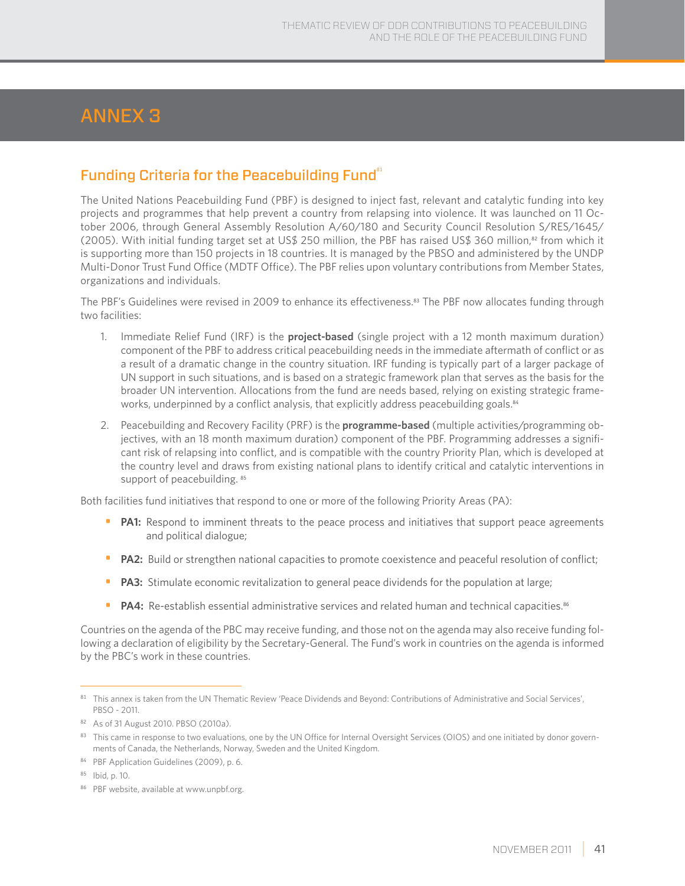# ANNEX 3

## Funding Criteria for the Peacebuilding Fund $^{\mathrm{a}}$

The United Nations Peacebuilding Fund (PBF) is designed to inject fast, relevant and catalytic funding into key projects and programmes that help prevent a country from relapsing into violence. It was launched on 11 October 2006, through General Assembly Resolution A/60/180 and Security Council Resolution S/RES/1645/ (2005). With initial funding target set at US\$ 250 million, the PBF has raised US\$ 360 million,<sup>82</sup> from which it is supporting more than 150 projects in 18 countries. It is managed by the PBSO and administered by the UNDP Multi-Donor Trust Fund Office (MDTF Office). The PBF relies upon voluntary contributions from Member States, organizations and individuals.

The PBF's Guidelines were revised in 2009 to enhance its effectiveness.<sup>83</sup> The PBF now allocates funding through two facilities:

- 1. Immediate Relief Fund (IRF) is the **project-based** (single project with a 12 month maximum duration) component of the PBF to address critical peacebuilding needs in the immediate aftermath of conflict or as a result of a dramatic change in the country situation. IRF funding is typically part of a larger package of UN support in such situations, and is based on a strategic framework plan that serves as the basis for the broader UN intervention. Allocations from the fund are needs based, relying on existing strategic frameworks, underpinned by a conflict analysis, that explicitly address peacebuilding goals.<sup>84</sup>
- 2. Peacebuilding and Recovery Facility (PRF) is the **programme-based** (multiple activities/programming objectives, with an 18 month maximum duration) component of the PBF. Programming addresses a significant risk of relapsing into conflict, and is compatible with the country Priority Plan, which is developed at the country level and draws from existing national plans to identify critical and catalytic interventions in support of peacebuilding. 85

Both facilities fund initiatives that respond to one or more of the following Priority Areas (PA):

- **PA1:** Respond to imminent threats to the peace process and initiatives that support peace agreements and political dialogue;
- **PA2:** Build or strengthen national capacities to promote coexistence and peaceful resolution of conflict;
- **PA3:** Stimulate economic revitalization to general peace dividends for the population at large;
- **PA4:** Re-establish essential administrative services and related human and technical capacities.<sup>86</sup>

Countries on the agenda of the PBC may receive funding, and those not on the agenda may also receive funding following a declaration of eligibility by the Secretary-General. The Fund's work in countries on the agenda is informed by the PBC's work in these countries.

<sup>81</sup> This annex is taken from the UN Thematic Review 'Peace Dividends and Beyond: Contributions of Administrative and Social Services', PBSO - 2011.

<sup>82</sup> As of 31 August 2010. PBSO (2010a).

<sup>83</sup> This came in response to two evaluations, one by the UN Office for Internal Oversight Services (OIOS) and one initiated by donor governments of Canada, the Netherlands, Norway, Sweden and the United Kingdom.

<sup>84</sup> PBF Application Guidelines (2009), p. 6.

<sup>85</sup> Ibid, p. 10.

<sup>86</sup> PBF website, available at www.unpbf.org.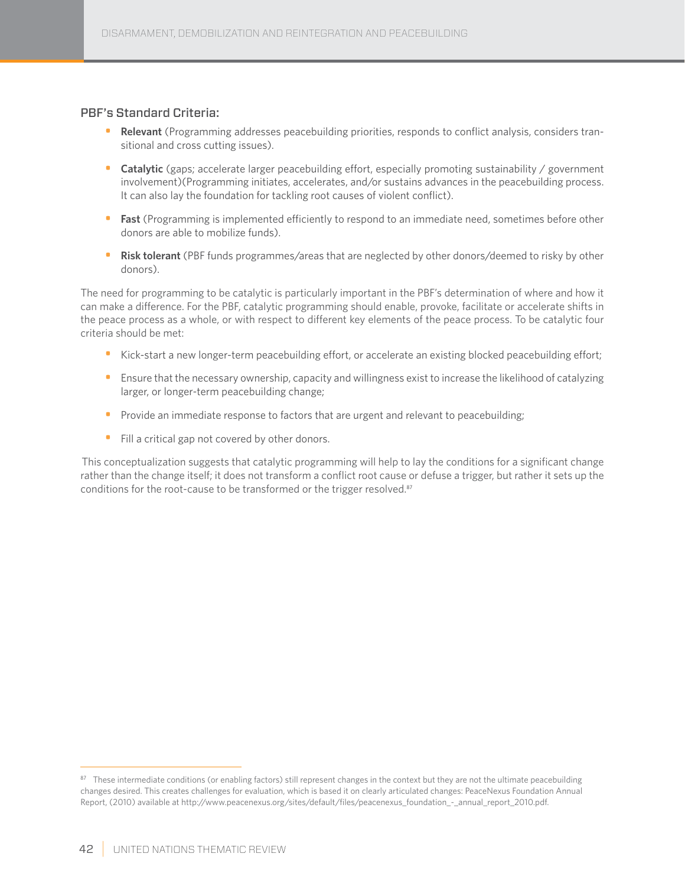#### PBF's Standard Criteria:

- **Relevant** (Programming addresses peacebuilding priorities, responds to conflict analysis, considers transitional and cross cutting issues).
- **Catalytic** (gaps; accelerate larger peacebuilding effort, especially promoting sustainability / government involvement)(Programming initiates, accelerates, and/or sustains advances in the peacebuilding process. It can also lay the foundation for tackling root causes of violent conflict).
- **Fast** (Programming is implemented efficiently to respond to an immediate need, sometimes before other donors are able to mobilize funds).
- **Risk tolerant** (PBF funds programmes/areas that are neglected by other donors/deemed to risky by other donors).

The need for programming to be catalytic is particularly important in the PBF's determination of where and how it can make a difference. For the PBF, catalytic programming should enable, provoke, facilitate or accelerate shifts in the peace process as a whole, or with respect to different key elements of the peace process. To be catalytic four criteria should be met:

- Kick-start a new longer-term peacebuilding effort, or accelerate an existing blocked peacebuilding effort;
- Ensure that the necessary ownership, capacity and willingness exist to increase the likelihood of catalyzing larger, or longer-term peacebuilding change;
- Provide an immediate response to factors that are urgent and relevant to peacebuilding;
- Fill a critical gap not covered by other donors.

 This conceptualization suggests that catalytic programming will help to lay the conditions for a significant change rather than the change itself; it does not transform a conflict root cause or defuse a trigger, but rather it sets up the conditions for the root-cause to be transformed or the trigger resolved.<sup>87</sup>

 $87$  These intermediate conditions (or enabling factors) still represent changes in the context but they are not the ultimate peacebuilding changes desired. This creates challenges for evaluation, which is based it on clearly articulated changes: PeaceNexus Foundation Annual Report, (2010) available at http://www.peacenexus.org/sites/default/files/peacenexus\_foundation\_-\_annual\_report\_2010.pdf.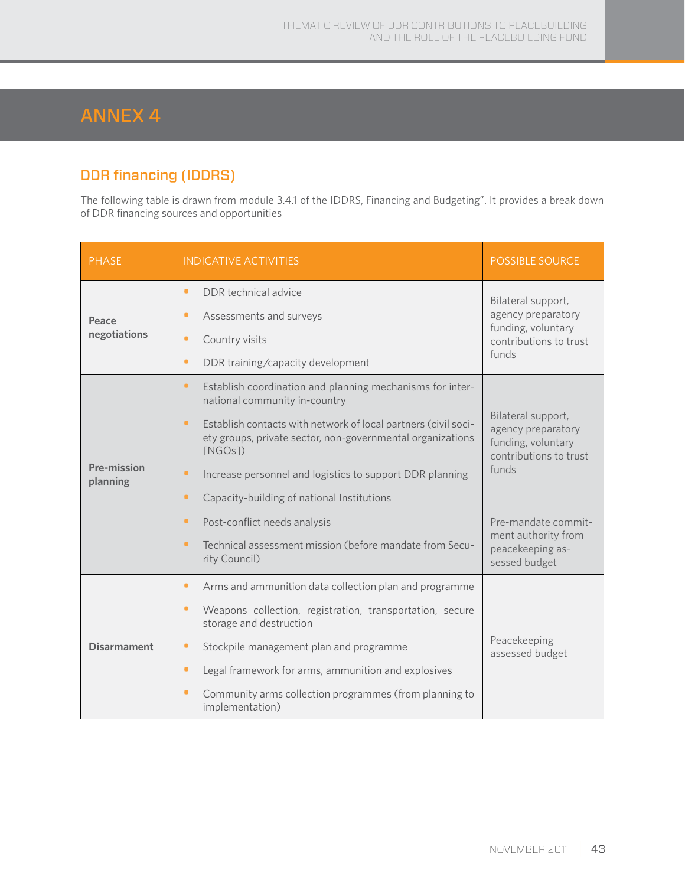# ANNEX 4

# DDR financing (IDDRS)

The following table is drawn from module 3.4.1 of the IDDRS, Financing and Budgeting". It provides a break down of DDR financing sources and opportunities

| <b>PHASE</b>            | <b>INDICATIVE ACTIVITIES</b>                                                                                                                                                                                                                                                                                                                                                                                                                                                                    | <b>POSSIBLE SOURCE</b>                                                                                                                                              |
|-------------------------|-------------------------------------------------------------------------------------------------------------------------------------------------------------------------------------------------------------------------------------------------------------------------------------------------------------------------------------------------------------------------------------------------------------------------------------------------------------------------------------------------|---------------------------------------------------------------------------------------------------------------------------------------------------------------------|
| Peace<br>negotiations   | DDR technical advice<br>٠<br>Assessments and surveys<br>۰<br>Country visits<br>۰<br>$\bullet$<br>DDR training/capacity development                                                                                                                                                                                                                                                                                                                                                              | Bilateral support,<br>agency preparatory<br>funding, voluntary<br>contributions to trust<br>funds                                                                   |
| Pre-mission<br>planning | Establish coordination and planning mechanisms for inter-<br>٠<br>national community in-country<br>Establish contacts with network of local partners (civil soci-<br>٠<br>ety groups, private sector, non-governmental organizations<br>[NGOs]<br>$\bullet$<br>Increase personnel and logistics to support DDR planning<br>Capacity-building of national Institutions<br>۰<br>Post-conflict needs analysis<br>$\bullet$<br>Technical assessment mission (before mandate from Secu-<br>$\bullet$ | Bilateral support,<br>agency preparatory<br>funding, voluntary<br>contributions to trust<br>funds<br>Pre-mandate commit-<br>ment authority from<br>peacekeeping as- |
|                         | rity Council)                                                                                                                                                                                                                                                                                                                                                                                                                                                                                   | sessed budget                                                                                                                                                       |
| <b>Disarmament</b>      | $\bullet$<br>Arms and ammunition data collection plan and programme<br>Weapons collection, registration, transportation, secure<br>$\bullet$<br>storage and destruction<br>Stockpile management plan and programme<br>۰<br>Legal framework for arms, ammunition and explosives<br>۰<br>Community arms collection programmes (from planning to<br>$\bullet$<br>implementation)                                                                                                                   | Peacekeeping<br>assessed budget                                                                                                                                     |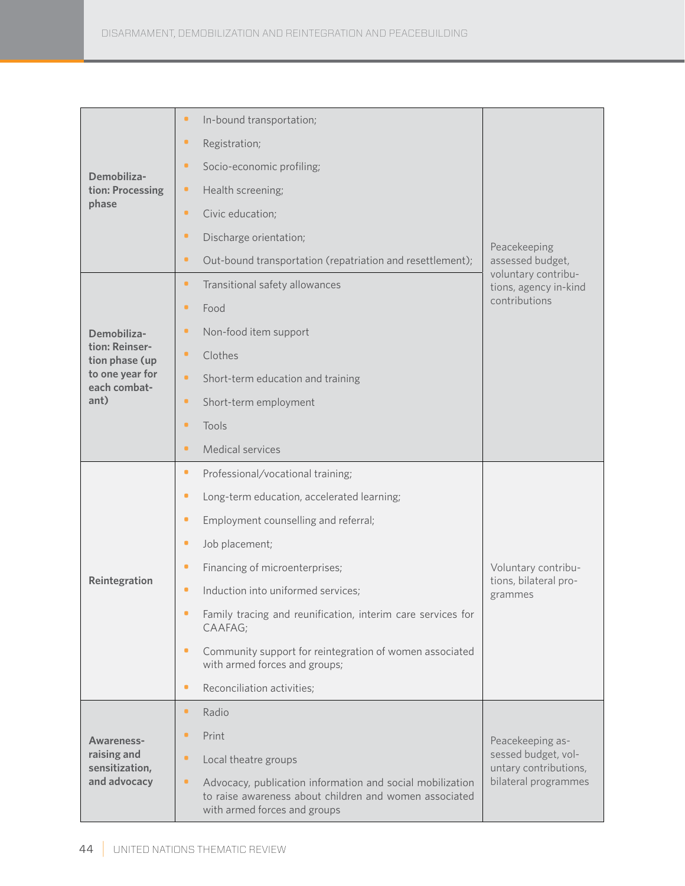|                                  | In-bound transportation;<br>٠                                                                                                                            |                                              |
|----------------------------------|----------------------------------------------------------------------------------------------------------------------------------------------------------|----------------------------------------------|
|                                  | Registration;<br>۰                                                                                                                                       |                                              |
| Demobiliza-                      | ٠<br>Socio-economic profiling;                                                                                                                           |                                              |
| tion: Processing                 | Health screening;<br>۰                                                                                                                                   |                                              |
| phase                            | Civic education;<br>۰                                                                                                                                    |                                              |
|                                  | Discharge orientation;<br>۰                                                                                                                              | Peacekeeping                                 |
|                                  | ۰<br>Out-bound transportation (repatriation and resettlement);                                                                                           | assessed budget,                             |
|                                  | Transitional safety allowances<br>۰                                                                                                                      | voluntary contribu-<br>tions, agency in-kind |
|                                  | ٠<br>Food                                                                                                                                                | contributions                                |
| Demobiliza-                      | Non-food item support<br>۰                                                                                                                               |                                              |
| tion: Reinser-<br>tion phase (up | Clothes<br>۰                                                                                                                                             |                                              |
| to one year for<br>each combat-  | Short-term education and training<br>٠                                                                                                                   |                                              |
| ant)                             | Short-term employment<br>۰                                                                                                                               |                                              |
|                                  | Tools<br>٠                                                                                                                                               |                                              |
|                                  | Medical services<br>٠                                                                                                                                    |                                              |
|                                  | Professional/vocational training;<br>۰                                                                                                                   |                                              |
|                                  | Long-term education, accelerated learning;<br>۰                                                                                                          |                                              |
|                                  | ۰<br>Employment counselling and referral;                                                                                                                |                                              |
|                                  | Job placement;<br>۰                                                                                                                                      |                                              |
|                                  | Financing of microenterprises;<br>۰                                                                                                                      | Voluntary contribu-                          |
| Reintegration                    | Induction into uniformed services;<br>۰                                                                                                                  | tions, bilateral pro-<br>grammes             |
|                                  | Family tracing and reunification, interim care services for<br>CAAFAG;                                                                                   |                                              |
|                                  | ۰<br>Community support for reintegration of women associated<br>with armed forces and groups;                                                            |                                              |
|                                  | Reconciliation activities;<br>۰                                                                                                                          |                                              |
|                                  | Radio<br>٠                                                                                                                                               |                                              |
| Awareness-                       | Print<br>٠                                                                                                                                               | Peacekeeping as-                             |
| raising and<br>sensitization,    | ٠<br>Local theatre groups                                                                                                                                | sessed budget, vol-<br>untary contributions, |
| and advocacy                     | Advocacy, publication information and social mobilization<br>۰<br>to raise awareness about children and women associated<br>with armed forces and groups | bilateral programmes                         |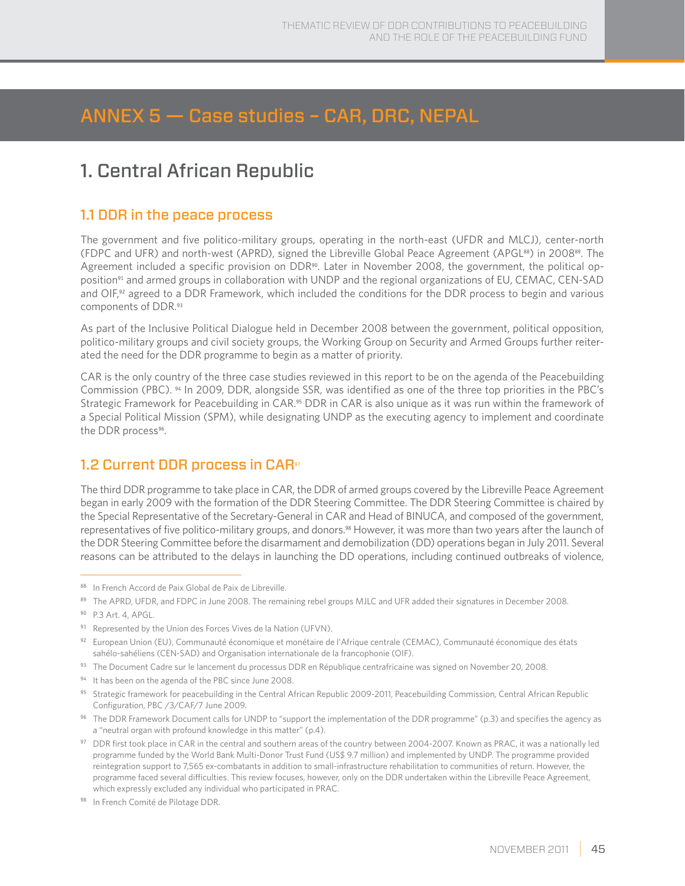# ANNEX 5 — Case studies – CAR, DRC, NEPAL

# 1. Central African Republic

### 1.1 DDR in the peace process

The government and five politico-military groups, operating in the north-east (UFDR and MLCJ), center-north (FDPC and UFR) and north-west (APRD), signed the Libreville Global Peace Agreement (APGL88) in 200889. The Agreement included a specific provision on DDR<sup>90</sup>. Later in November 2008, the government, the political opposition<sup>91</sup> and armed groups in collaboration with UNDP and the regional organizations of EU, CEMAC, CEN-SAD and OIF,<sup>92</sup> agreed to a DDR Framework, which included the conditions for the DDR process to begin and various components of DDR.<sup>93</sup>

As part of the Inclusive Political Dialogue held in December 2008 between the government, political opposition, politico-military groups and civil society groups, the Working Group on Security and Armed Groups further reiterated the need for the DDR programme to begin as a matter of priority.

CAR is the only country of the three case studies reviewed in this report to be on the agenda of the Peacebuilding Commission (PBC). 94 In 2009, DDR, alongside SSR, was identified as one of the three top priorities in the PBC's Strategic Framework for Peacebuilding in CAR.<sup>95</sup> DDR in CAR is also unique as it was run within the framework of a Special Political Mission (SPM), while designating UNDP as the executing agency to implement and coordinate the DDR process<sup>96</sup>.

## 1.2 Current DDR process in CAR<sup>97</sup>

The third DDR programme to take place in CAR, the DDR of armed groups covered by the Libreville Peace Agreement began in early 2009 with the formation of the DDR Steering Committee. The DDR Steering Committee is chaired by the Special Representative of the Secretary-General in CAR and Head of BINUCA, and composed of the government, representatives of five politico-military groups, and donors.<sup>98</sup> However, it was more than two years after the launch of the DDR Steering Committee before the disarmament and demobilization (DD) operations began in July 2011. Several reasons can be attributed to the delays in launching the DD operations, including continued outbreaks of violence,

- 93 The Document Cadre sur le lancement du processus DDR en République centrafricaine was signed on November 20, 2008.
- <sup>94</sup> It has been on the agenda of the PBC since June 2008.

<sup>88</sup> In French Accord de Paix Global de Paix de Libreville.

<sup>89</sup> The APRD, UFDR, and FDPC in June 2008. The remaining rebel groups MJLC and UFR added their signatures in December 2008.

<sup>90</sup> P.3 Art. 4, APGL.

<sup>91</sup> Represented by the Union des Forces Vives de la Nation (UFVN).

<sup>92</sup> European Union (EU), Communauté économique et monétaire de l'Afrique centrale (CEMAC), Communauté économique des états sahélo-sahéliens (CEN-SAD) and Organisation internationale de la francophonie (OIF).

<sup>&</sup>lt;sup>95</sup> Strategic framework for peacebuilding in the Central African Republic 2009-2011, Peacebuilding Commission, Central African Republic Configuration, PBC /3/CAF/7 June 2009.

<sup>96</sup> The DDR Framework Document calls for UNDP to "support the implementation of the DDR programme" (p.3) and specifies the agency as a "neutral organ with profound knowledge in this matter" (p.4).

<sup>97</sup> DDR first took place in CAR in the central and southern areas of the country between 2004-2007. Known as PRAC, it was a nationally led programme funded by the World Bank Multi-Donor Trust Fund (US\$ 9.7 million) and implemented by UNDP. The programme provided reintegration support to 7,565 ex-combatants in addition to small-infrastructure rehabilitation to communities of return. However, the programme faced several difficulties. This review focuses, however, only on the DDR undertaken within the Libreville Peace Agreement, which expressly excluded any individual who participated in PRAC.

<sup>98</sup> In French Comité de Pilotage DDR.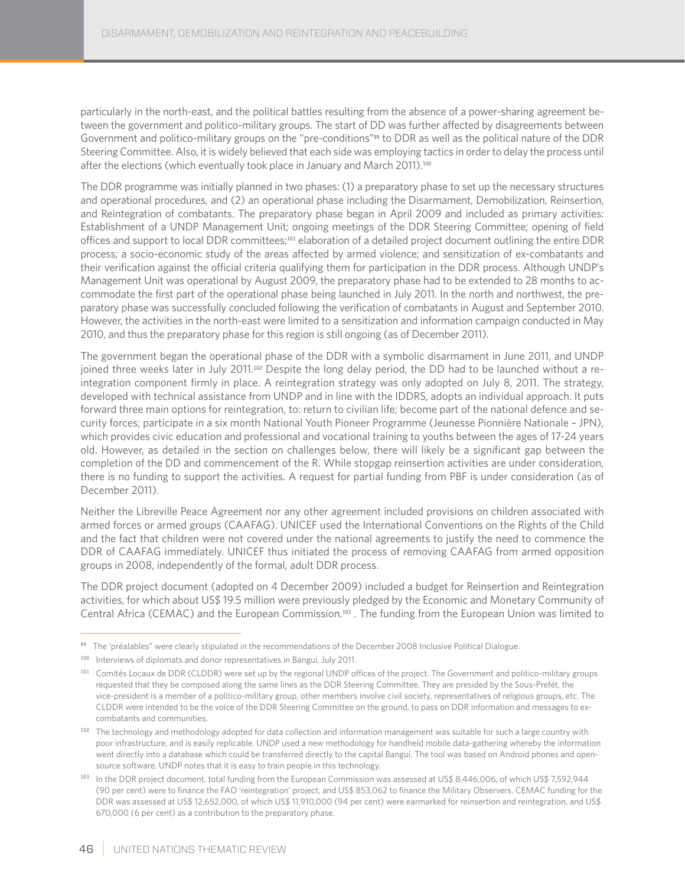particularly in the north-east, and the political battles resulting from the absence of a power-sharing agreement between the government and politico-military groups. The start of DD was further affected by disagreements between Government and politico-military groups on the "pre-conditions"<sup>99</sup> to DDR as well as the political nature of the DDR Steering Committee. Also, it is widely believed that each side was employing tactics in order to delay the process until after the elections (which eventually took place in January and March 2011).<sup>100</sup>

The DDR programme was initially planned in two phases: (1) a preparatory phase to set up the necessary structures and operational procedures, and (2) an operational phase including the Disarmament, Demobilization, Reinsertion, and Reintegration of combatants. The preparatory phase began in April 2009 and included as primary activities: Establishment of a UNDP Management Unit; ongoing meetings of the DDR Steering Committee; opening of field offices and support to local DDR committees;101 elaboration of a detailed project document outlining the entire DDR process; a socio-economic study of the areas affected by armed violence; and sensitization of ex-combatants and their verification against the official criteria qualifying them for participation in the DDR process. Although UNDP's Management Unit was operational by August 2009, the preparatory phase had to be extended to 28 months to accommodate the first part of the operational phase being launched in July 2011. In the north and northwest, the preparatory phase was successfully concluded following the verification of combatants in August and September 2010. However, the activities in the north-east were limited to a sensitization and information campaign conducted in May 2010, and thus the preparatory phase for this region is still ongoing (as of December 2011).

The government began the operational phase of the DDR with a symbolic disarmament in June 2011, and UNDP joined three weeks later in July 2011.102 Despite the long delay period, the DD had to be launched without a reintegration component firmly in place. A reintegration strategy was only adopted on July 8, 2011. The strategy, developed with technical assistance from UNDP and in line with the IDDRS, adopts an individual approach. It puts forward three main options for reintegration, to: return to civilian life; become part of the national defence and security forces; participate in a six month National Youth Pioneer Programme (Jeunesse Pionnière Nationale – JPN), which provides civic education and professional and vocational training to youths between the ages of 17-24 years old. However, as detailed in the section on challenges below, there will likely be a significant gap between the completion of the DD and commencement of the R. While stopgap reinsertion activities are under consideration, there is no funding to support the activities. A request for partial funding from PBF is under consideration (as of December 2011).

Neither the Libreville Peace Agreement nor any other agreement included provisions on children associated with armed forces or armed groups (CAAFAG). UNICEF used the International Conventions on the Rights of the Child and the fact that children were not covered under the national agreements to justify the need to commence the DDR of CAAFAG immediately. UNICEF thus initiated the process of removing CAAFAG from armed opposition groups in 2008, independently of the formal, adult DDR process.

The DDR project document (adopted on 4 December 2009) included a budget for Reinsertion and Reintegration activities, for which about US\$ 19.5 million were previously pledged by the Economic and Monetary Community of Central Africa (CEMAC) and the European Commission.103 . The funding from the European Union was limited to

<sup>99</sup> The 'préalables" were clearly stipulated in the recommendations of the December 2008 Inclusive Political Dialogue.

<sup>100</sup> Interviews of diplomats and donor representatives in Bangui, July 2011.

<sup>&</sup>lt;sup>101</sup> Comités Locaux de DDR (CLDDR) were set up by the regional UNDP offices of the project. The Government and politico-military groups requested that they be composed along the same lines as the DDR Steering Committee. They are presided by the Sous-Prefét, the vice-president is a member of a politico-military group, other members involve civil society, representatives of religious groups, etc. The CLDDR were intended to be the voice of the DDR Steering Committee on the ground, to pass on DDR information and messages to excombatants and communities.

<sup>102</sup> The technology and methodology adopted for data collection and information management was suitable for such a large country with poor infrastructure, and is easily replicable. UNDP used a new methodology for handheld mobile data-gathering whereby the information went directly into a database which could be transferred directly to the capital Bangui. The tool was based on Android phones and opensource software. UNDP notes that it is easy to train people in this technology.

<sup>103</sup> In the DDR project document, total funding from the European Commission was assessed at US\$ 8,446,006, of which US\$ 7,592,944 (90 per cent) were to finance the FAO 'reintegration' project, and US\$ 853,062 to finance the Military Observers. CEMAC funding for the DDR was assessed at US\$ 12,652,000, of which US\$ 11,910,000 (94 per cent) were earmarked for reinsertion and reintegration, and US\$ 670,000 (6 per cent) as a contribution to the preparatory phase.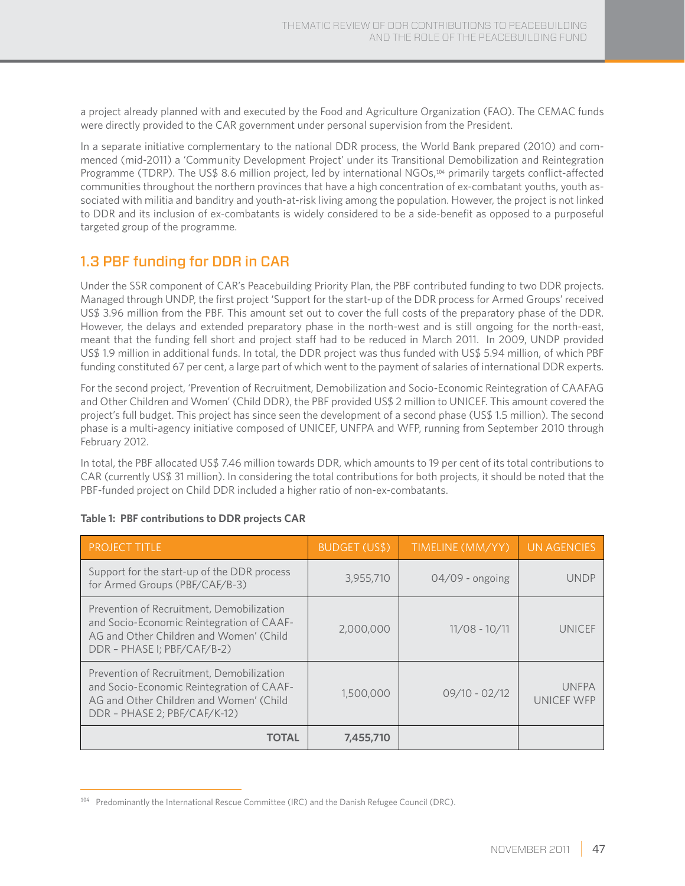a project already planned with and executed by the Food and Agriculture Organization (FAO). The CEMAC funds were directly provided to the CAR government under personal supervision from the President.

In a separate initiative complementary to the national DDR process, the World Bank prepared (2010) and commenced (mid-2011) a 'Community Development Project' under its Transitional Demobilization and Reintegration Programme (TDRP). The US\$ 8.6 million project, led by international NGOs,<sup>104</sup> primarily targets conflict-affected communities throughout the northern provinces that have a high concentration of ex-combatant youths, youth associated with militia and banditry and youth-at-risk living among the population. However, the project is not linked to DDR and its inclusion of ex-combatants is widely considered to be a side-benefit as opposed to a purposeful targeted group of the programme.

## 1.3 PBF funding for DDR in CAR

Under the SSR component of CAR's Peacebuilding Priority Plan, the PBF contributed funding to two DDR projects. Managed through UNDP, the first project 'Support for the start-up of the DDR process for Armed Groups' received US\$ 3.96 million from the PBF. This amount set out to cover the full costs of the preparatory phase of the DDR. However, the delays and extended preparatory phase in the north-west and is still ongoing for the north-east, meant that the funding fell short and project staff had to be reduced in March 2011. In 2009, UNDP provided US\$ 1.9 million in additional funds. In total, the DDR project was thus funded with US\$ 5.94 million, of which PBF funding constituted 67 per cent, a large part of which went to the payment of salaries of international DDR experts.

For the second project, 'Prevention of Recruitment, Demobilization and Socio-Economic Reintegration of CAAFAG and Other Children and Women' (Child DDR), the PBF provided US\$ 2 million to UNICEF. This amount covered the project's full budget. This project has since seen the development of a second phase (US\$ 1.5 million). The second phase is a multi-agency initiative composed of UNICEF, UNFPA and WFP, running from September 2010 through February 2012.

In total, the PBF allocated US\$ 7.46 million towards DDR, which amounts to 19 per cent of its total contributions to CAR (currently US\$ 31 million). In considering the total contributions for both projects, it should be noted that the PBF-funded project on Child DDR included a higher ratio of non-ex-combatants.

| PROJECT TITLE                                                                                                                                                     | BUDGET (US\$) | TIMELINE (MM/YY)  | <b>UN AGENCIES</b>         |
|-------------------------------------------------------------------------------------------------------------------------------------------------------------------|---------------|-------------------|----------------------------|
| Support for the start-up of the DDR process<br>for Armed Groups (PBF/CAF/B-3)                                                                                     | 3,955,710     | $04/09$ - ongoing | <b>UNDP</b>                |
| Prevention of Recruitment, Demobilization<br>and Socio-Economic Reintegration of CAAF-<br>AG and Other Children and Women' (Child<br>DDR - PHASE I; PBF/CAF/B-2)  | 2,000,000     | $11/08 - 10/11$   | <b>UNICEF</b>              |
| Prevention of Recruitment, Demobilization<br>and Socio-Economic Reintegration of CAAF-<br>AG and Other Children and Women' (Child<br>DDR - PHASE 2; PBF/CAF/K-12) | 1,500,000     | $09/10 - 02/12$   | <b>UNFPA</b><br>UNICEF WFP |
| <b>TOTAL</b>                                                                                                                                                      | 7,455,710     |                   |                            |

#### **Table 1: PBF contributions to DDR projects CAR**

<sup>&</sup>lt;sup>104</sup> Predominantly the International Rescue Committee (IRC) and the Danish Refugee Council (DRC).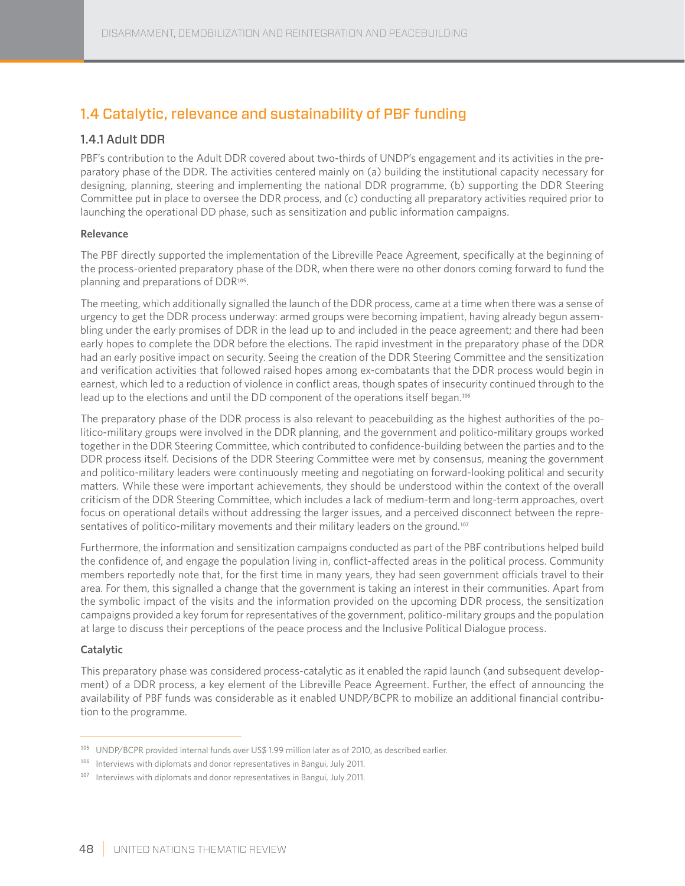## 1.4 Catalytic, relevance and sustainability of PBF funding

### 1.4.1 Adult DDR

PBF's contribution to the Adult DDR covered about two-thirds of UNDP's engagement and its activities in the preparatory phase of the DDR. The activities centered mainly on (a) building the institutional capacity necessary for designing, planning, steering and implementing the national DDR programme, (b) supporting the DDR Steering Committee put in place to oversee the DDR process, and (c) conducting all preparatory activities required prior to launching the operational DD phase, such as sensitization and public information campaigns.

#### **Relevance**

The PBF directly supported the implementation of the Libreville Peace Agreement, specifically at the beginning of the process-oriented preparatory phase of the DDR, when there were no other donors coming forward to fund the planning and preparations of DDR<sup>105</sup>.

The meeting, which additionally signalled the launch of the DDR process, came at a time when there was a sense of urgency to get the DDR process underway: armed groups were becoming impatient, having already begun assembling under the early promises of DDR in the lead up to and included in the peace agreement; and there had been early hopes to complete the DDR before the elections. The rapid investment in the preparatory phase of the DDR had an early positive impact on security. Seeing the creation of the DDR Steering Committee and the sensitization and verification activities that followed raised hopes among ex-combatants that the DDR process would begin in earnest, which led to a reduction of violence in conflict areas, though spates of insecurity continued through to the lead up to the elections and until the DD component of the operations itself began.<sup>106</sup>

The preparatory phase of the DDR process is also relevant to peacebuilding as the highest authorities of the politico-military groups were involved in the DDR planning, and the government and politico-military groups worked together in the DDR Steering Committee, which contributed to confidence-building between the parties and to the DDR process itself. Decisions of the DDR Steering Committee were met by consensus, meaning the government and politico-military leaders were continuously meeting and negotiating on forward-looking political and security matters. While these were important achievements, they should be understood within the context of the overall criticism of the DDR Steering Committee, which includes a lack of medium-term and long-term approaches, overt focus on operational details without addressing the larger issues, and a perceived disconnect between the representatives of politico-military movements and their military leaders on the ground.<sup>107</sup>

Furthermore, the information and sensitization campaigns conducted as part of the PBF contributions helped build the confidence of, and engage the population living in, conflict-affected areas in the political process. Community members reportedly note that, for the first time in many years, they had seen government officials travel to their area. For them, this signalled a change that the government is taking an interest in their communities. Apart from the symbolic impact of the visits and the information provided on the upcoming DDR process, the sensitization campaigns provided a key forum for representatives of the government, politico-military groups and the population at large to discuss their perceptions of the peace process and the Inclusive Political Dialogue process.

#### **Catalytic**

This preparatory phase was considered process-catalytic as it enabled the rapid launch (and subsequent development) of a DDR process, a key element of the Libreville Peace Agreement. Further, the effect of announcing the availability of PBF funds was considerable as it enabled UNDP/BCPR to mobilize an additional financial contribution to the programme.

<sup>105</sup> UNDP/BCPR provided internal funds over US\$ 1.99 million later as of 2010, as described earlier.

<sup>106</sup> Interviews with diplomats and donor representatives in Bangui, July 2011.

<sup>107</sup> Interviews with diplomats and donor representatives in Bangui, July 2011.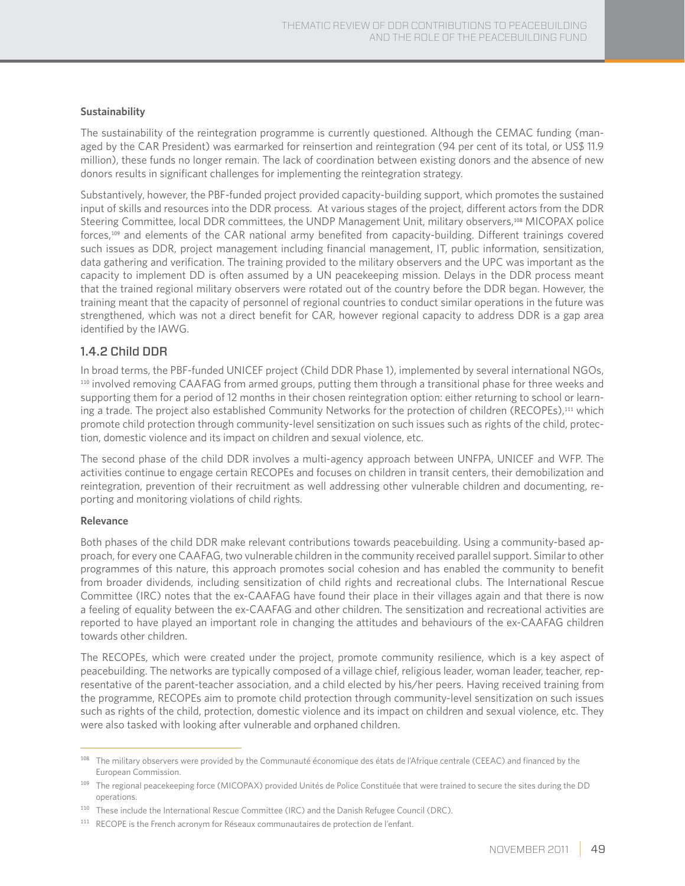#### **Sustainability**

The sustainability of the reintegration programme is currently questioned. Although the CEMAC funding (managed by the CAR President) was earmarked for reinsertion and reintegration (94 per cent of its total, or US\$ 11.9 million), these funds no longer remain. The lack of coordination between existing donors and the absence of new donors results in significant challenges for implementing the reintegration strategy.

Substantively, however, the PBF-funded project provided capacity-building support, which promotes the sustained input of skills and resources into the DDR process. At various stages of the project, different actors from the DDR Steering Committee, local DDR committees, the UNDP Management Unit, military observers,108 MICOPAX police forces,109 and elements of the CAR national army benefited from capacity-building. Different trainings covered such issues as DDR, project management including financial management, IT, public information, sensitization, data gathering and verification. The training provided to the military observers and the UPC was important as the capacity to implement DD is often assumed by a UN peacekeeping mission. Delays in the DDR process meant that the trained regional military observers were rotated out of the country before the DDR began. However, the training meant that the capacity of personnel of regional countries to conduct similar operations in the future was strengthened, which was not a direct benefit for CAR, however regional capacity to address DDR is a gap area identified by the IAWG.

### 1.4.2 Child DDR

In broad terms, the PBF-funded UNICEF project (Child DDR Phase 1), implemented by several international NGOs, <sup>110</sup> involved removing CAAFAG from armed groups, putting them through a transitional phase for three weeks and supporting them for a period of 12 months in their chosen reintegration option: either returning to school or learning a trade. The project also established Community Networks for the protection of children (RECOPEs),<sup>111</sup> which promote child protection through community-level sensitization on such issues such as rights of the child, protection, domestic violence and its impact on children and sexual violence, etc.

The second phase of the child DDR involves a multi-agency approach between UNFPA, UNICEF and WFP. The activities continue to engage certain RECOPEs and focuses on children in transit centers, their demobilization and reintegration, prevention of their recruitment as well addressing other vulnerable children and documenting, reporting and monitoring violations of child rights.

#### **Relevance**

Both phases of the child DDR make relevant contributions towards peacebuilding. Using a community-based approach, for every one CAAFAG, two vulnerable children in the community received parallel support. Similar to other programmes of this nature, this approach promotes social cohesion and has enabled the community to benefit from broader dividends, including sensitization of child rights and recreational clubs. The International Rescue Committee (IRC) notes that the ex-CAAFAG have found their place in their villages again and that there is now a feeling of equality between the ex-CAAFAG and other children. The sensitization and recreational activities are reported to have played an important role in changing the attitudes and behaviours of the ex-CAAFAG children towards other children.

The RECOPEs, which were created under the project, promote community resilience, which is a key aspect of peacebuilding. The networks are typically composed of a village chief, religious leader, woman leader, teacher, representative of the parent-teacher association, and a child elected by his/her peers. Having received training from the programme, RECOPEs aim to promote child protection through community-level sensitization on such issues such as rights of the child, protection, domestic violence and its impact on children and sexual violence, etc. They were also tasked with looking after vulnerable and orphaned children.

<sup>108</sup> The military observers were provided by the Communauté économique des états de l'Afrique centrale (CEEAC) and financed by the European Commission.

<sup>&</sup>lt;sup>109</sup> The regional peacekeeping force (MICOPAX) provided Unités de Police Constituée that were trained to secure the sites during the DD operations.

<sup>110</sup> These include the International Rescue Committee (IRC) and the Danish Refugee Council (DRC).

<sup>111</sup> RECOPE is the French acronym for Réseaux communautaires de protection de l'enfant.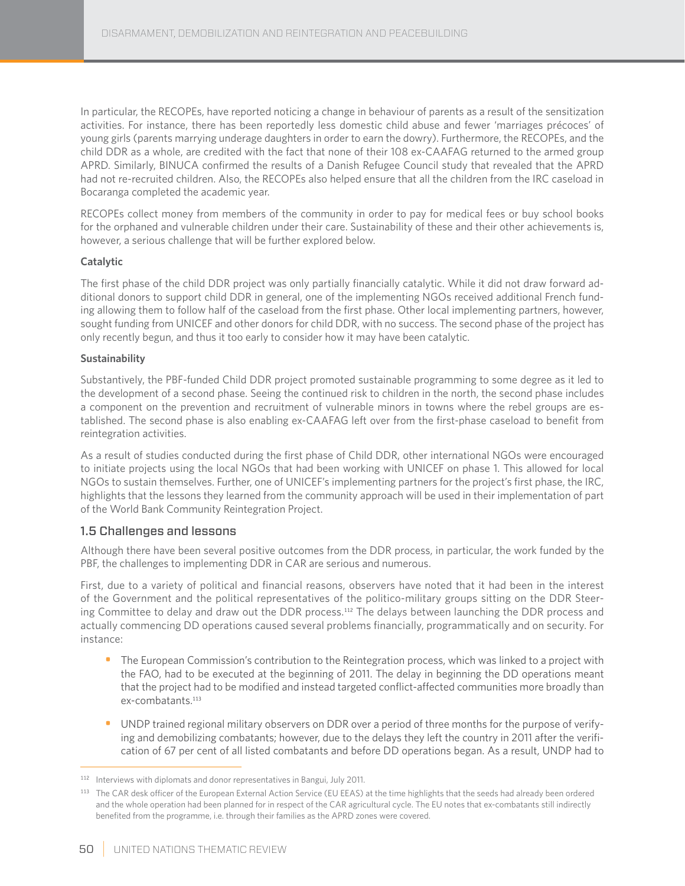In particular, the RECOPEs, have reported noticing a change in behaviour of parents as a result of the sensitization activities. For instance, there has been reportedly less domestic child abuse and fewer 'marriages précoces' of young girls (parents marrying underage daughters in order to earn the dowry). Furthermore, the RECOPEs, and the child DDR as a whole, are credited with the fact that none of their 108 ex-CAAFAG returned to the armed group APRD. Similarly, BINUCA confirmed the results of a Danish Refugee Council study that revealed that the APRD had not re-recruited children. Also, the RECOPEs also helped ensure that all the children from the IRC caseload in Bocaranga completed the academic year.

RECOPEs collect money from members of the community in order to pay for medical fees or buy school books for the orphaned and vulnerable children under their care. Sustainability of these and their other achievements is, however, a serious challenge that will be further explored below.

#### **Catalytic**

The first phase of the child DDR project was only partially financially catalytic. While it did not draw forward additional donors to support child DDR in general, one of the implementing NGOs received additional French funding allowing them to follow half of the caseload from the first phase. Other local implementing partners, however, sought funding from UNICEF and other donors for child DDR, with no success. The second phase of the project has only recently begun, and thus it too early to consider how it may have been catalytic.

#### **Sustainability**

Substantively, the PBF-funded Child DDR project promoted sustainable programming to some degree as it led to the development of a second phase. Seeing the continued risk to children in the north, the second phase includes a component on the prevention and recruitment of vulnerable minors in towns where the rebel groups are established. The second phase is also enabling ex-CAAFAG left over from the first-phase caseload to benefit from reintegration activities.

As a result of studies conducted during the first phase of Child DDR, other international NGOs were encouraged to initiate projects using the local NGOs that had been working with UNICEF on phase 1. This allowed for local NGOs to sustain themselves. Further, one of UNICEF's implementing partners for the project's first phase, the IRC, highlights that the lessons they learned from the community approach will be used in their implementation of part of the World Bank Community Reintegration Project.

#### 1.5 Challenges and lessons

Although there have been several positive outcomes from the DDR process, in particular, the work funded by the PBF, the challenges to implementing DDR in CAR are serious and numerous.

First, due to a variety of political and financial reasons, observers have noted that it had been in the interest of the Government and the political representatives of the politico-military groups sitting on the DDR Steering Committee to delay and draw out the DDR process.112 The delays between launching the DDR process and actually commencing DD operations caused several problems financially, programmatically and on security. For instance:

- The European Commission's contribution to the Reintegration process, which was linked to a project with the FAO, had to be executed at the beginning of 2011. The delay in beginning the DD operations meant that the project had to be modified and instead targeted conflict-affected communities more broadly than ex-combatants.<sup>113</sup>
- UNDP trained regional military observers on DDR over a period of three months for the purpose of verifying and demobilizing combatants; however, due to the delays they left the country in 2011 after the verification of 67 per cent of all listed combatants and before DD operations began. As a result, UNDP had to

<sup>112</sup> Interviews with diplomats and donor representatives in Bangui, July 2011.

<sup>113</sup> The CAR desk officer of the European External Action Service (EU EEAS) at the time highlights that the seeds had already been ordered and the whole operation had been planned for in respect of the CAR agricultural cycle. The EU notes that ex-combatants still indirectly benefited from the programme, i.e. through their families as the APRD zones were covered.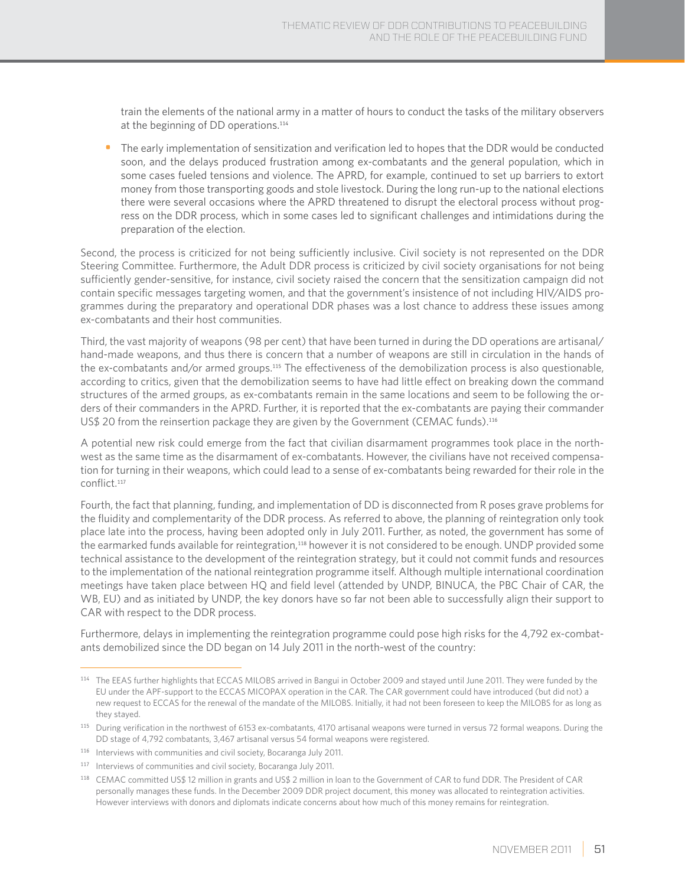train the elements of the national army in a matter of hours to conduct the tasks of the military observers at the beginning of DD operations.<sup>114</sup>

• The early implementation of sensitization and verification led to hopes that the DDR would be conducted soon, and the delays produced frustration among ex-combatants and the general population, which in some cases fueled tensions and violence. The APRD, for example, continued to set up barriers to extort money from those transporting goods and stole livestock. During the long run-up to the national elections there were several occasions where the APRD threatened to disrupt the electoral process without progress on the DDR process, which in some cases led to significant challenges and intimidations during the preparation of the election.

Second, the process is criticized for not being sufficiently inclusive. Civil society is not represented on the DDR Steering Committee. Furthermore, the Adult DDR process is criticized by civil society organisations for not being sufficiently gender-sensitive, for instance, civil society raised the concern that the sensitization campaign did not contain specific messages targeting women, and that the government's insistence of not including HIV/AIDS programmes during the preparatory and operational DDR phases was a lost chance to address these issues among ex-combatants and their host communities.

Third, the vast majority of weapons (98 per cent) that have been turned in during the DD operations are artisanal/ hand-made weapons, and thus there is concern that a number of weapons are still in circulation in the hands of the ex-combatants and/or armed groups.115 The effectiveness of the demobilization process is also questionable, according to critics, given that the demobilization seems to have had little effect on breaking down the command structures of the armed groups, as ex-combatants remain in the same locations and seem to be following the orders of their commanders in the APRD. Further, it is reported that the ex-combatants are paying their commander US\$ 20 from the reinsertion package they are given by the Government (CEMAC funds).<sup>116</sup>

A potential new risk could emerge from the fact that civilian disarmament programmes took place in the northwest as the same time as the disarmament of ex-combatants. However, the civilians have not received compensation for turning in their weapons, which could lead to a sense of ex-combatants being rewarded for their role in the conflict.<sup>117</sup>

Fourth, the fact that planning, funding, and implementation of DD is disconnected from R poses grave problems for the fluidity and complementarity of the DDR process. As referred to above, the planning of reintegration only took place late into the process, having been adopted only in July 2011. Further, as noted, the government has some of the earmarked funds available for reintegration,<sup>118</sup> however it is not considered to be enough. UNDP provided some technical assistance to the development of the reintegration strategy, but it could not commit funds and resources to the implementation of the national reintegration programme itself. Although multiple international coordination meetings have taken place between HQ and field level (attended by UNDP, BINUCA, the PBC Chair of CAR, the WB, EU) and as initiated by UNDP, the key donors have so far not been able to successfully align their support to CAR with respect to the DDR process.

Furthermore, delays in implementing the reintegration programme could pose high risks for the 4,792 ex-combatants demobilized since the DD began on 14 July 2011 in the north-west of the country:

<sup>114</sup> The EEAS further highlights that ECCAS MILOBS arrived in Bangui in October 2009 and stayed until June 2011. They were funded by the EU under the APF-support to the ECCAS MICOPAX operation in the CAR. The CAR government could have introduced (but did not) a new request to ECCAS for the renewal of the mandate of the MILOBS. Initially, it had not been foreseen to keep the MILOBS for as long as they stayed.

<sup>115</sup> During verification in the northwest of 6153 ex-combatants, 4170 artisanal weapons were turned in versus 72 formal weapons. During the DD stage of 4,792 combatants, 3,467 artisanal versus 54 formal weapons were registered.

<sup>116</sup> Interviews with communities and civil society, Bocaranga July 2011.

<sup>117</sup> Interviews of communities and civil society, Bocaranga July 2011.

<sup>118</sup> CEMAC committed US\$ 12 million in grants and US\$ 2 million in loan to the Government of CAR to fund DDR. The President of CAR personally manages these funds. In the December 2009 DDR project document, this money was allocated to reintegration activities. However interviews with donors and diplomats indicate concerns about how much of this money remains for reintegration.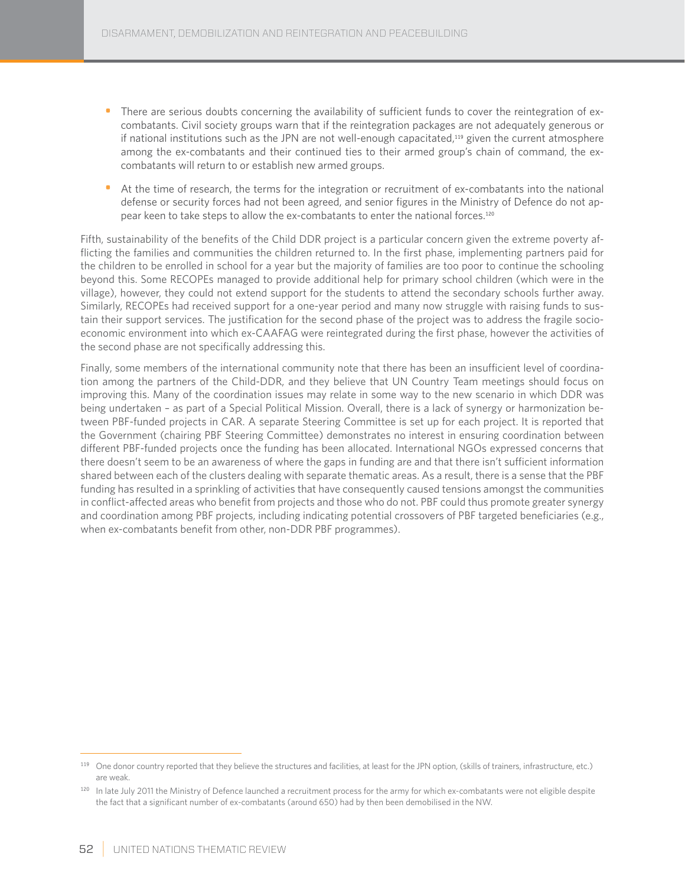- There are serious doubts concerning the availability of sufficient funds to cover the reintegration of excombatants. Civil society groups warn that if the reintegration packages are not adequately generous or if national institutions such as the JPN are not well-enough capacitated,<sup>119</sup> given the current atmosphere among the ex-combatants and their continued ties to their armed group's chain of command, the excombatants will return to or establish new armed groups.
- At the time of research, the terms for the integration or recruitment of ex-combatants into the national defense or security forces had not been agreed, and senior figures in the Ministry of Defence do not appear keen to take steps to allow the ex-combatants to enter the national forces.<sup>120</sup>

Fifth, sustainability of the benefits of the Child DDR project is a particular concern given the extreme poverty afflicting the families and communities the children returned to. In the first phase, implementing partners paid for the children to be enrolled in school for a year but the majority of families are too poor to continue the schooling beyond this. Some RECOPEs managed to provide additional help for primary school children (which were in the village), however, they could not extend support for the students to attend the secondary schools further away. Similarly, RECOPEs had received support for a one-year period and many now struggle with raising funds to sustain their support services. The justification for the second phase of the project was to address the fragile socioeconomic environment into which ex-CAAFAG were reintegrated during the first phase, however the activities of the second phase are not specifically addressing this.

Finally, some members of the international community note that there has been an insufficient level of coordination among the partners of the Child-DDR, and they believe that UN Country Team meetings should focus on improving this. Many of the coordination issues may relate in some way to the new scenario in which DDR was being undertaken – as part of a Special Political Mission. Overall, there is a lack of synergy or harmonization between PBF-funded projects in CAR. A separate Steering Committee is set up for each project. It is reported that the Government (chairing PBF Steering Committee) demonstrates no interest in ensuring coordination between different PBF-funded projects once the funding has been allocated. International NGOs expressed concerns that there doesn't seem to be an awareness of where the gaps in funding are and that there isn't sufficient information shared between each of the clusters dealing with separate thematic areas. As a result, there is a sense that the PBF funding has resulted in a sprinkling of activities that have consequently caused tensions amongst the communities in conflict-affected areas who benefit from projects and those who do not. PBF could thus promote greater synergy and coordination among PBF projects, including indicating potential crossovers of PBF targeted beneficiaries (e.g., when ex-combatants benefit from other, non-DDR PBF programmes).

<sup>119</sup> One donor country reported that they believe the structures and facilities, at least for the JPN option, (skills of trainers, infrastructure, etc.) are weak.

<sup>&</sup>lt;sup>120</sup> In late July 2011 the Ministry of Defence launched a recruitment process for the army for which ex-combatants were not eligible despite the fact that a significant number of ex-combatants (around 650) had by then been demobilised in the NW.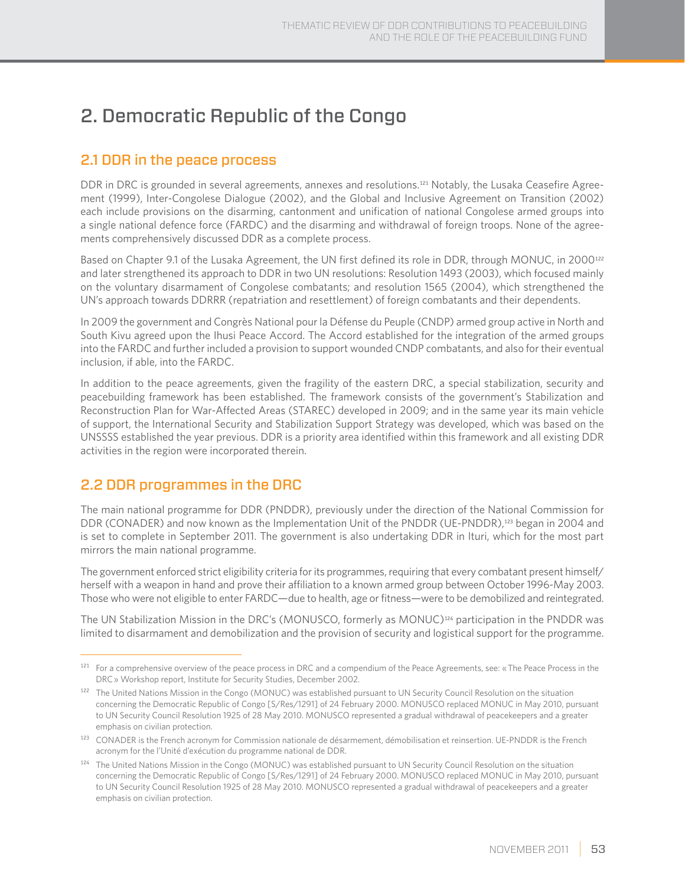# 2. Democratic Republic of the Congo

## 2.1 DDR in the peace process

DDR in DRC is grounded in several agreements, annexes and resolutions.121 Notably, the Lusaka Ceasefire Agreement (1999), Inter-Congolese Dialogue (2002), and the Global and Inclusive Agreement on Transition (2002) each include provisions on the disarming, cantonment and unification of national Congolese armed groups into a single national defence force (FARDC) and the disarming and withdrawal of foreign troops. None of the agreements comprehensively discussed DDR as a complete process.

Based on Chapter 9.1 of the Lusaka Agreement, the UN first defined its role in DDR, through MONUC, in 2000<sup>122</sup> and later strengthened its approach to DDR in two UN resolutions: Resolution 1493 (2003), which focused mainly on the voluntary disarmament of Congolese combatants; and resolution 1565 (2004), which strengthened the UN's approach towards DDRRR (repatriation and resettlement) of foreign combatants and their dependents.

In 2009 the government and Congrès National pour la Défense du Peuple (CNDP) armed group active in North and South Kivu agreed upon the Ihusi Peace Accord. The Accord established for the integration of the armed groups into the FARDC and further included a provision to support wounded CNDP combatants, and also for their eventual inclusion, if able, into the FARDC.

In addition to the peace agreements, given the fragility of the eastern DRC, a special stabilization, security and peacebuilding framework has been established. The framework consists of the government's Stabilization and Reconstruction Plan for War-Affected Areas (STAREC) developed in 2009; and in the same year its main vehicle of support, the International Security and Stabilization Support Strategy was developed, which was based on the UNSSSS established the year previous. DDR is a priority area identified within this framework and all existing DDR activities in the region were incorporated therein.

## 2.2 DDR programmes in the DRC

The main national programme for DDR (PNDDR), previously under the direction of the National Commission for DDR (CONADER) and now known as the Implementation Unit of the PNDDR (UE-PNDDR),123 began in 2004 and is set to complete in September 2011. The government is also undertaking DDR in Ituri, which for the most part mirrors the main national programme.

The government enforced strict eligibility criteria for its programmes, requiring that every combatant present himself/ herself with a weapon in hand and prove their affiliation to a known armed group between October 1996-May 2003. Those who were not eligible to enter FARDC—due to health, age or fitness—were to be demobilized and reintegrated.

The UN Stabilization Mission in the DRC's (MONUSCO, formerly as MONUC)124 participation in the PNDDR was limited to disarmament and demobilization and the provision of security and logistical support for the programme.

<sup>&</sup>lt;sup>121</sup> For a comprehensive overview of the peace process in DRC and a compendium of the Peace Agreements, see: « The Peace Process in the DRC » Workshop report, Institute for Security Studies, December 2002.

<sup>122</sup> The United Nations Mission in the Congo (MONUC) was established pursuant to UN Security Council Resolution on the situation concerning the Democratic Republic of Congo [S/Res/1291] of 24 February 2000. MONUSCO replaced MONUC in May 2010, pursuant to UN Security Council Resolution 1925 of 28 May 2010. MONUSCO represented a gradual withdrawal of peacekeepers and a greater emphasis on civilian protection.

<sup>&</sup>lt;sup>123</sup> CONADER is the French acronym for Commission nationale de désarmement, démobilisation et reinsertion. UE-PNDDR is the French acronym for the l'Unité d'exécution du programme national de DDR.

<sup>124</sup> The United Nations Mission in the Congo (MONUC) was established pursuant to UN Security Council Resolution on the situation concerning the Democratic Republic of Congo [S/Res/1291] of 24 February 2000. MONUSCO replaced MONUC in May 2010, pursuant to UN Security Council Resolution 1925 of 28 May 2010. MONUSCO represented a gradual withdrawal of peacekeepers and a greater emphasis on civilian protection.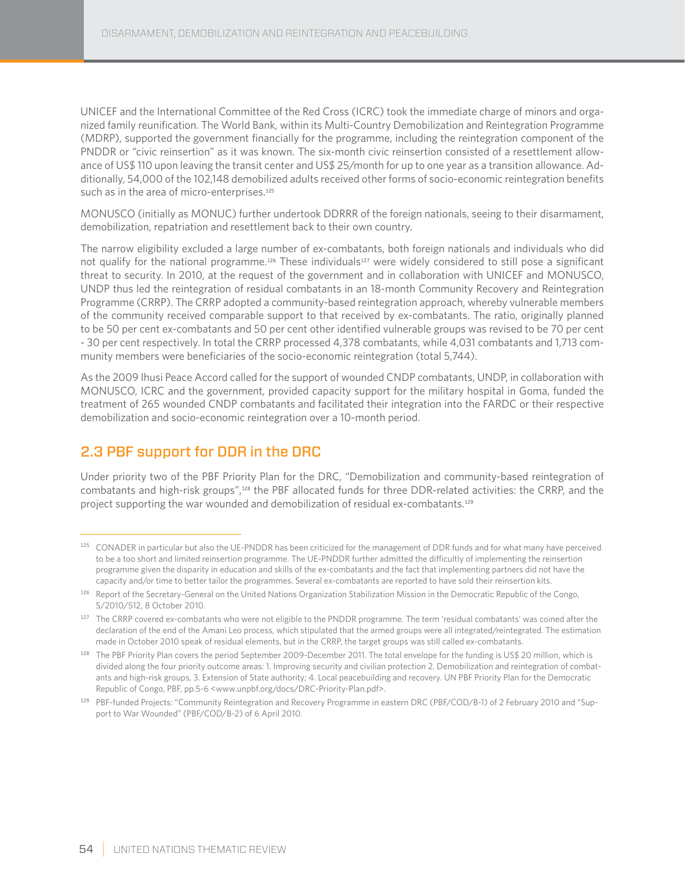UNICEF and the International Committee of the Red Cross (ICRC) took the immediate charge of minors and organized family reunification. The World Bank, within its Multi-Country Demobilization and Reintegration Programme (MDRP), supported the government financially for the programme, including the reintegration component of the PNDDR or "civic reinsertion" as it was known. The six-month civic reinsertion consisted of a resettlement allowance of US\$ 110 upon leaving the transit center and US\$ 25/month for up to one year as a transition allowance. Additionally, 54,000 of the 102,148 demobilized adults received other forms of socio-economic reintegration benefits such as in the area of micro-enterprises.<sup>125</sup>

MONUSCO (initially as MONUC) further undertook DDRRR of the foreign nationals, seeing to their disarmament, demobilization, repatriation and resettlement back to their own country.

The narrow eligibility excluded a large number of ex-combatants, both foreign nationals and individuals who did not qualify for the national programme.<sup>126</sup> These individuals<sup>127</sup> were widely considered to still pose a significant threat to security. In 2010, at the request of the government and in collaboration with UNICEF and MONUSCO, UNDP thus led the reintegration of residual combatants in an 18-month Community Recovery and Reintegration Programme (CRRP). The CRRP adopted a community-based reintegration approach, whereby vulnerable members of the community received comparable support to that received by ex-combatants. The ratio, originally planned to be 50 per cent ex-combatants and 50 per cent other identified vulnerable groups was revised to be 70 per cent - 30 per cent respectively. In total the CRRP processed 4,378 combatants, while 4,031 combatants and 1,713 community members were beneficiaries of the socio-economic reintegration (total 5,744).

As the 2009 Ihusi Peace Accord called for the support of wounded CNDP combatants, UNDP, in collaboration with MONUSCO, ICRC and the government, provided capacity support for the military hospital in Goma, funded the treatment of 265 wounded CNDP combatants and facilitated their integration into the FARDC or their respective demobilization and socio-economic reintegration over a 10-month period.

## 2.3 PBF support for DDR in the DRC

Under priority two of the PBF Priority Plan for the DRC, "Demobilization and community-based reintegration of combatants and high-risk groups",128 the PBF allocated funds for three DDR-related activities: the CRRP, and the project supporting the war wounded and demobilization of residual ex-combatants.<sup>129</sup>

<sup>&</sup>lt;sup>125</sup> CONADER in particular but also the UE-PNDDR has been criticized for the management of DDR funds and for what many have perceived to be a too short and limited reinsertion programme. The UE-PNDDR further admitted the difficultly of implementing the reinsertion programme given the disparity in education and skills of the ex-combatants and the fact that implementing partners did not have the capacity and/or time to better tailor the programmes. Several ex-combatants are reported to have sold their reinsertion kits.

<sup>&</sup>lt;sup>126</sup> Report of the Secretary-General on the United Nations Organization Stabilization Mission in the Democratic Republic of the Congo, S/2010/512, 8 October 2010.

<sup>&</sup>lt;sup>127</sup> The CRRP covered ex-combatants who were not eligible to the PNDDR programme. The term 'residual combatants' was coined after the declaration of the end of the Amani Leo process, which stipulated that the armed groups were all integrated/reintegrated. The estimation made in October 2010 speak of residual elements, but in the CRRP, the target groups was still called ex-combatants.

<sup>128</sup> The PBF Priority Plan covers the period September 2009-December 2011. The total envelope for the funding is US\$ 20 million, which is divided along the four priority outcome areas: 1. Improving security and civilian protection 2. Demobilization and reintegration of combatants and high-risk groups, 3. Extension of State authority; 4. Local peacebuilding and recovery. UN PBF Priority Plan for the Democratic Republic of Congo, PBF, pp.5-6 <www.unpbf.org/docs/DRC-Priority-Plan.pdf>.

<sup>129</sup> PBF-funded Projects: "Community Reintegration and Recovery Programme in eastern DRC (PBF/COD/B-1) of 2 February 2010 and "Support to War Wounded" (PBF/COD/B-2) of 6 April 2010.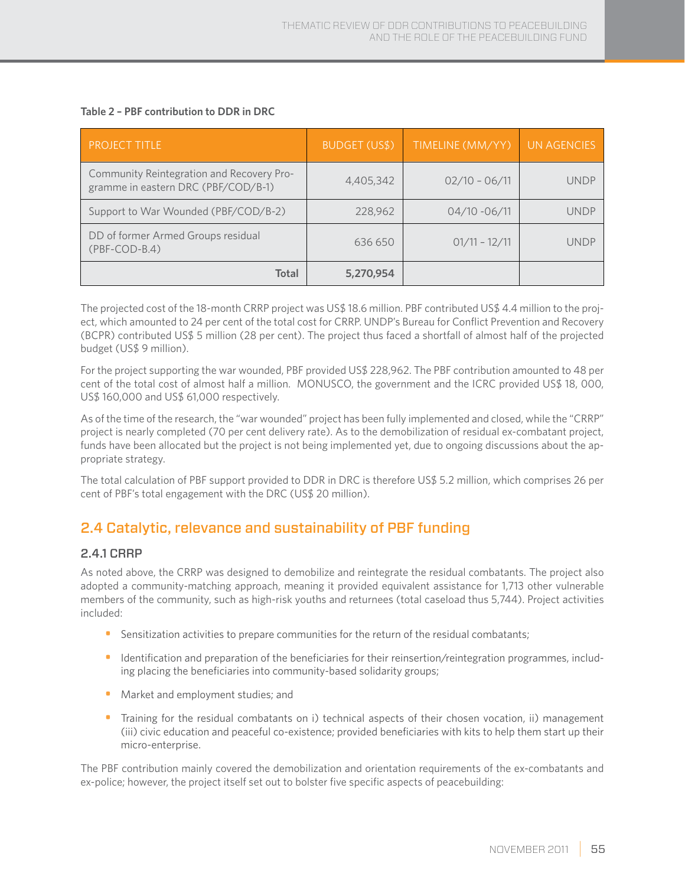| <b>PROJECT TITLE</b>                                                             | <b>BUDGET (US\$)</b> | TIMELINE (MM/YY) | <b>UN AGENCIES</b> |
|----------------------------------------------------------------------------------|----------------------|------------------|--------------------|
| Community Reintegration and Recovery Pro-<br>gramme in eastern DRC (PBF/COD/B-1) | 4,405,342            | $02/10 - 06/11$  | UNDP               |
| Support to War Wounded (PBF/COD/B-2)                                             | 228,962              | $04/10 - 06/11$  | UNDP               |
| DD of former Armed Groups residual<br>$(PBF-COD-B.4)$                            | 636 650              | $01/11 - 12/11$  | <b>IINDP</b>       |
| Total                                                                            | 5,270,954            |                  |                    |

#### **Table 2 – PBF contribution to DDR in DRC**

The projected cost of the 18-month CRRP project was US\$ 18.6 million. PBF contributed US\$ 4.4 million to the project, which amounted to 24 per cent of the total cost for CRRP. UNDP's Bureau for Conflict Prevention and Recovery (BCPR) contributed US\$ 5 million (28 per cent). The project thus faced a shortfall of almost half of the projected budget (US\$ 9 million).

For the project supporting the war wounded, PBF provided US\$ 228,962. The PBF contribution amounted to 48 per cent of the total cost of almost half a million. MONUSCO, the government and the ICRC provided US\$ 18, 000, US\$ 160,000 and US\$ 61,000 respectively.

As of the time of the research, the "war wounded" project has been fully implemented and closed, while the "CRRP" project is nearly completed (70 per cent delivery rate). As to the demobilization of residual ex-combatant project, funds have been allocated but the project is not being implemented yet, due to ongoing discussions about the appropriate strategy.

The total calculation of PBF support provided to DDR in DRC is therefore US\$ 5.2 million, which comprises 26 per cent of PBF's total engagement with the DRC (US\$ 20 million).

## 2.4 Catalytic, relevance and sustainability of PBF funding

#### 2.4.1 CRRP

As noted above, the CRRP was designed to demobilize and reintegrate the residual combatants. The project also adopted a community-matching approach, meaning it provided equivalent assistance for 1,713 other vulnerable members of the community, such as high-risk youths and returnees (total caseload thus 5,744). Project activities included:

- Sensitization activities to prepare communities for the return of the residual combatants;
- Identification and preparation of the beneficiaries for their reinsertion/reintegration programmes, including placing the beneficiaries into community-based solidarity groups;
- Market and employment studies; and
- Training for the residual combatants on i) technical aspects of their chosen vocation, ii) management (iii) civic education and peaceful co-existence; provided beneficiaries with kits to help them start up their micro-enterprise.

The PBF contribution mainly covered the demobilization and orientation requirements of the ex-combatants and ex-police; however, the project itself set out to bolster five specific aspects of peacebuilding: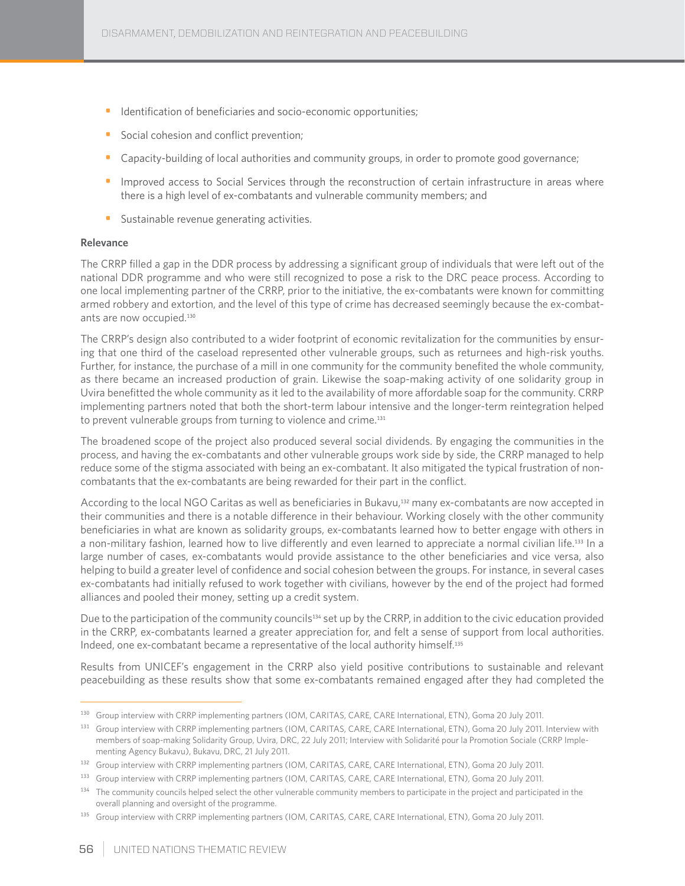- Identification of beneficiaries and socio-economic opportunities;
- Social cohesion and conflict prevention;
- Capacity-building of local authorities and community groups, in order to promote good governance;
- Improved access to Social Services through the reconstruction of certain infrastructure in areas where there is a high level of ex-combatants and vulnerable community members; and
- **•** Sustainable revenue generating activities.

#### **Relevance**

The CRRP filled a gap in the DDR process by addressing a significant group of individuals that were left out of the national DDR programme and who were still recognized to pose a risk to the DRC peace process. According to one local implementing partner of the CRRP, prior to the initiative, the ex-combatants were known for committing armed robbery and extortion, and the level of this type of crime has decreased seemingly because the ex-combatants are now occupied.<sup>130</sup>

The CRRP's design also contributed to a wider footprint of economic revitalization for the communities by ensuring that one third of the caseload represented other vulnerable groups, such as returnees and high-risk youths. Further, for instance, the purchase of a mill in one community for the community benefited the whole community, as there became an increased production of grain. Likewise the soap-making activity of one solidarity group in Uvira benefitted the whole community as it led to the availability of more affordable soap for the community. CRRP implementing partners noted that both the short-term labour intensive and the longer-term reintegration helped to prevent vulnerable groups from turning to violence and crime.<sup>131</sup>

The broadened scope of the project also produced several social dividends. By engaging the communities in the process, and having the ex-combatants and other vulnerable groups work side by side, the CRRP managed to help reduce some of the stigma associated with being an ex-combatant. It also mitigated the typical frustration of noncombatants that the ex-combatants are being rewarded for their part in the conflict.

According to the local NGO Caritas as well as beneficiaries in Bukavu,<sup>132</sup> many ex-combatants are now accepted in their communities and there is a notable difference in their behaviour. Working closely with the other community beneficiaries in what are known as solidarity groups, ex-combatants learned how to better engage with others in a non-military fashion, learned how to live differently and even learned to appreciate a normal civilian life.133 In a large number of cases, ex-combatants would provide assistance to the other beneficiaries and vice versa, also helping to build a greater level of confidence and social cohesion between the groups. For instance, in several cases ex-combatants had initially refused to work together with civilians, however by the end of the project had formed alliances and pooled their money, setting up a credit system.

Due to the participation of the community councils<sup>134</sup> set up by the CRRP, in addition to the civic education provided in the CRRP, ex-combatants learned a greater appreciation for, and felt a sense of support from local authorities. Indeed, one ex-combatant became a representative of the local authority himself.<sup>135</sup>

Results from UNICEF's engagement in the CRRP also yield positive contributions to sustainable and relevant peacebuilding as these results show that some ex-combatants remained engaged after they had completed the

<sup>130</sup> Group interview with CRRP implementing partners (IOM, CARITAS, CARE, CARE International, ETN), Goma 20 July 2011.

<sup>131</sup> Group interview with CRRP implementing partners (IOM, CARITAS, CARE, CARE International, ETN), Goma 20 July 2011. Interview with members of soap-making Solidarity Group, Uvira, DRC, 22 July 2011; Interview with Solidarité pour la Promotion Sociale (CRRP Implementing Agency Bukavu), Bukavu, DRC, 21 July 2011.

<sup>132</sup> Group interview with CRRP implementing partners (IOM, CARITAS, CARE, CARE International, ETN), Goma 20 July 2011.

<sup>133</sup> Group interview with CRRP implementing partners (IOM, CARITAS, CARE, CARE International, ETN), Goma 20 July 2011.

<sup>&</sup>lt;sup>134</sup> The community councils helped select the other vulnerable community members to participate in the project and participated in the overall planning and oversight of the programme.

<sup>135</sup> Group interview with CRRP implementing partners (IOM, CARITAS, CARE, CARE International, ETN), Goma 20 July 2011.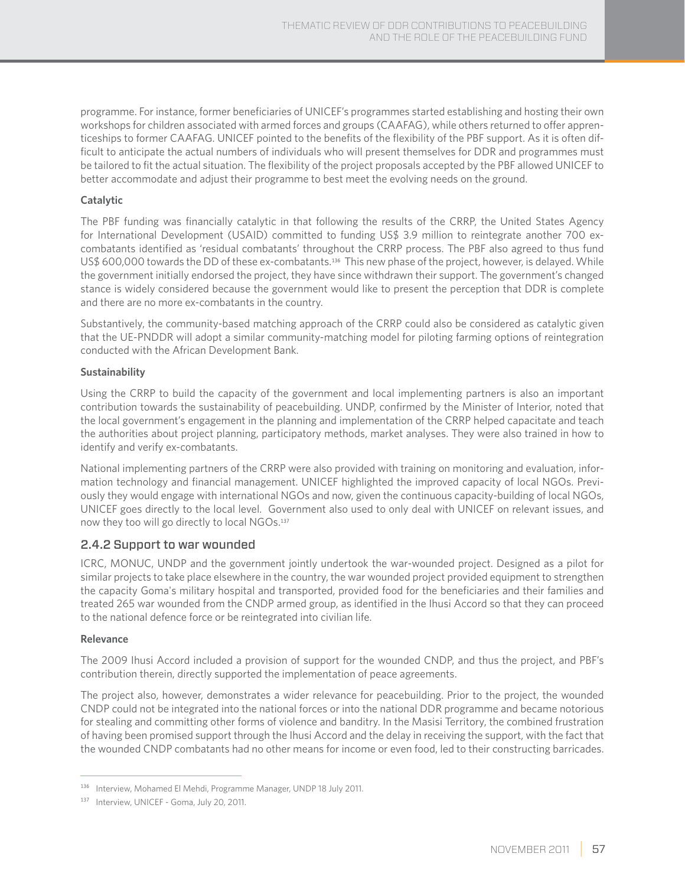programme. For instance, former beneficiaries of UNICEF's programmes started establishing and hosting their own workshops for children associated with armed forces and groups (CAAFAG), while others returned to offer apprenticeships to former CAAFAG. UNICEF pointed to the benefits of the flexibility of the PBF support. As it is often difficult to anticipate the actual numbers of individuals who will present themselves for DDR and programmes must be tailored to fit the actual situation. The flexibility of the project proposals accepted by the PBF allowed UNICEF to better accommodate and adjust their programme to best meet the evolving needs on the ground.

#### **Catalytic**

The PBF funding was financially catalytic in that following the results of the CRRP, the United States Agency for International Development (USAID) committed to funding US\$ 3.9 million to reintegrate another 700 excombatants identified as 'residual combatants' throughout the CRRP process. The PBF also agreed to thus fund US\$ 600,000 towards the DD of these ex-combatants.136 This new phase of the project, however, is delayed. While the government initially endorsed the project, they have since withdrawn their support. The government's changed stance is widely considered because the government would like to present the perception that DDR is complete and there are no more ex-combatants in the country.

Substantively, the community-based matching approach of the CRRP could also be considered as catalytic given that the UE-PNDDR will adopt a similar community-matching model for piloting farming options of reintegration conducted with the African Development Bank.

#### **Sustainability**

Using the CRRP to build the capacity of the government and local implementing partners is also an important contribution towards the sustainability of peacebuilding. UNDP, confirmed by the Minister of Interior, noted that the local government's engagement in the planning and implementation of the CRRP helped capacitate and teach the authorities about project planning, participatory methods, market analyses. They were also trained in how to identify and verify ex-combatants.

National implementing partners of the CRRP were also provided with training on monitoring and evaluation, information technology and financial management. UNICEF highlighted the improved capacity of local NGOs. Previously they would engage with international NGOs and now, given the continuous capacity-building of local NGOs, UNICEF goes directly to the local level. Government also used to only deal with UNICEF on relevant issues, and now they too will go directly to local NGOs.<sup>137</sup>

#### 2.4.2 Support to war wounded

ICRC, MONUC, UNDP and the government jointly undertook the war-wounded project. Designed as a pilot for similar projects to take place elsewhere in the country, the war wounded project provided equipment to strengthen the capacity Goma's military hospital and transported, provided food for the beneficiaries and their families and treated 265 war wounded from the CNDP armed group, as identified in the Ihusi Accord so that they can proceed to the national defence force or be reintegrated into civilian life.

#### **Relevance**

The 2009 Ihusi Accord included a provision of support for the wounded CNDP, and thus the project, and PBF's contribution therein, directly supported the implementation of peace agreements.

The project also, however, demonstrates a wider relevance for peacebuilding. Prior to the project, the wounded CNDP could not be integrated into the national forces or into the national DDR programme and became notorious for stealing and committing other forms of violence and banditry. In the Masisi Territory, the combined frustration of having been promised support through the Ihusi Accord and the delay in receiving the support, with the fact that the wounded CNDP combatants had no other means for income or even food, led to their constructing barricades.

<sup>136</sup> Interview, Mohamed El Mehdi, Programme Manager, UNDP 18 July 2011.

<sup>137</sup> Interview, UNICEF - Goma, July 20, 2011.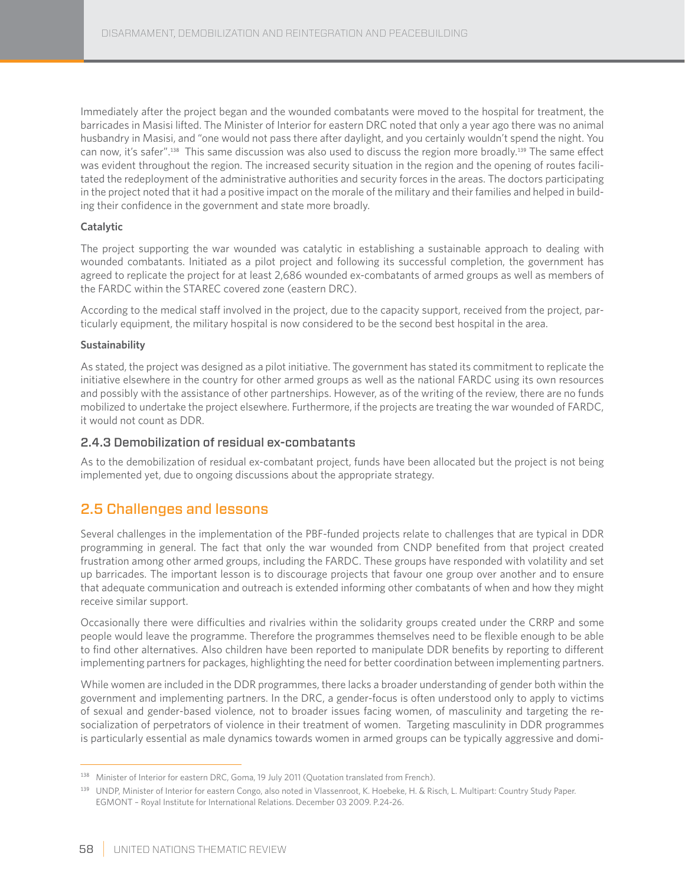Immediately after the project began and the wounded combatants were moved to the hospital for treatment, the barricades in Masisi lifted. The Minister of Interior for eastern DRC noted that only a year ago there was no animal husbandry in Masisi, and "one would not pass there after daylight, and you certainly wouldn't spend the night. You can now, it's safer".138 This same discussion was also used to discuss the region more broadly.139 The same effect was evident throughout the region. The increased security situation in the region and the opening of routes facilitated the redeployment of the administrative authorities and security forces in the areas. The doctors participating in the project noted that it had a positive impact on the morale of the military and their families and helped in building their confidence in the government and state more broadly.

#### **Catalytic**

The project supporting the war wounded was catalytic in establishing a sustainable approach to dealing with wounded combatants. Initiated as a pilot project and following its successful completion, the government has agreed to replicate the project for at least 2,686 wounded ex-combatants of armed groups as well as members of the FARDC within the STAREC covered zone (eastern DRC).

According to the medical staff involved in the project, due to the capacity support, received from the project, particularly equipment, the military hospital is now considered to be the second best hospital in the area.

#### **Sustainability**

As stated, the project was designed as a pilot initiative. The government has stated its commitment to replicate the initiative elsewhere in the country for other armed groups as well as the national FARDC using its own resources and possibly with the assistance of other partnerships. However, as of the writing of the review, there are no funds mobilized to undertake the project elsewhere. Furthermore, if the projects are treating the war wounded of FARDC, it would not count as DDR.

#### 2.4.3 Demobilization of residual ex-combatants

As to the demobilization of residual ex-combatant project, funds have been allocated but the project is not being implemented yet, due to ongoing discussions about the appropriate strategy.

## 2.5 Challenges and lessons

Several challenges in the implementation of the PBF-funded projects relate to challenges that are typical in DDR programming in general. The fact that only the war wounded from CNDP benefited from that project created frustration among other armed groups, including the FARDC. These groups have responded with volatility and set up barricades. The important lesson is to discourage projects that favour one group over another and to ensure that adequate communication and outreach is extended informing other combatants of when and how they might receive similar support.

Occasionally there were difficulties and rivalries within the solidarity groups created under the CRRP and some people would leave the programme. Therefore the programmes themselves need to be flexible enough to be able to find other alternatives. Also children have been reported to manipulate DDR benefits by reporting to different implementing partners for packages, highlighting the need for better coordination between implementing partners.

While women are included in the DDR programmes, there lacks a broader understanding of gender both within the government and implementing partners. In the DRC, a gender-focus is often understood only to apply to victims of sexual and gender-based violence, not to broader issues facing women, of masculinity and targeting the resocialization of perpetrators of violence in their treatment of women. Targeting masculinity in DDR programmes is particularly essential as male dynamics towards women in armed groups can be typically aggressive and domi-

<sup>138</sup> Minister of Interior for eastern DRC, Goma, 19 July 2011 (Quotation translated from French).

<sup>139</sup> UNDP, Minister of Interior for eastern Congo, also noted in Vlassenroot, K. Hoebeke, H. & Risch, L. Multipart: Country Study Paper. EGMONT – Royal Institute for International Relations. December 03 2009. P.24-26.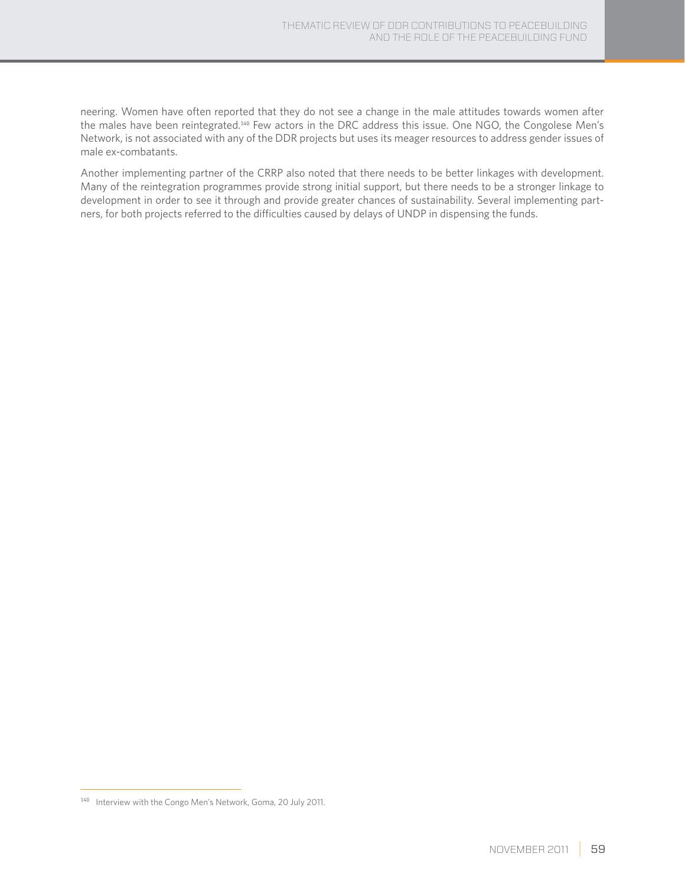neering. Women have often reported that they do not see a change in the male attitudes towards women after the males have been reintegrated.140 Few actors in the DRC address this issue. One NGO, the Congolese Men's Network, is not associated with any of the DDR projects but uses its meager resources to address gender issues of male ex-combatants.

Another implementing partner of the CRRP also noted that there needs to be better linkages with development. Many of the reintegration programmes provide strong initial support, but there needs to be a stronger linkage to development in order to see it through and provide greater chances of sustainability. Several implementing partners, for both projects referred to the difficulties caused by delays of UNDP in dispensing the funds.

<sup>140</sup> Interview with the Congo Men's Network, Goma, 20 July 2011.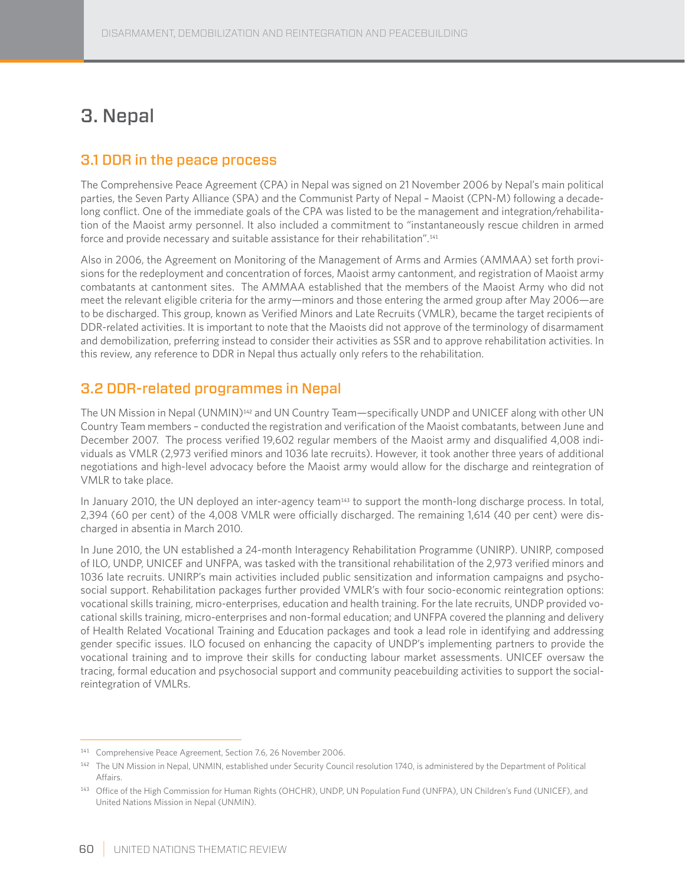# 3. Nepal

## 3.1 DDR in the peace process

The Comprehensive Peace Agreement (CPA) in Nepal was signed on 21 November 2006 by Nepal's main political parties, the Seven Party Alliance (SPA) and the Communist Party of Nepal – Maoist (CPN-M) following a decadelong conflict. One of the immediate goals of the CPA was listed to be the management and integration/rehabilitation of the Maoist army personnel. It also included a commitment to "instantaneously rescue children in armed force and provide necessary and suitable assistance for their rehabilitation".<sup>141</sup>

Also in 2006, the Agreement on Monitoring of the Management of Arms and Armies (AMMAA) set forth provisions for the redeployment and concentration of forces, Maoist army cantonment, and registration of Maoist army combatants at cantonment sites. The AMMAA established that the members of the Maoist Army who did not meet the relevant eligible criteria for the army—minors and those entering the armed group after May 2006—are to be discharged. This group, known as Verified Minors and Late Recruits (VMLR), became the target recipients of DDR-related activities. It is important to note that the Maoists did not approve of the terminology of disarmament and demobilization, preferring instead to consider their activities as SSR and to approve rehabilitation activities. In this review, any reference to DDR in Nepal thus actually only refers to the rehabilitation.

## 3.2 DDR-related programmes in Nepal

The UN Mission in Nepal (UNMIN)142 and UN Country Team—specifically UNDP and UNICEF along with other UN Country Team members – conducted the registration and verification of the Maoist combatants, between June and December 2007. The process verified 19,602 regular members of the Maoist army and disqualified 4,008 individuals as VMLR (2,973 verified minors and 1036 late recruits). However, it took another three years of additional negotiations and high-level advocacy before the Maoist army would allow for the discharge and reintegration of VMLR to take place.

In January 2010, the UN deployed an inter-agency team<sup>143</sup> to support the month-long discharge process. In total, 2,394 (60 per cent) of the 4,008 VMLR were officially discharged. The remaining 1,614 (40 per cent) were discharged in absentia in March 2010.

In June 2010, the UN established a 24-month Interagency Rehabilitation Programme (UNIRP). UNIRP, composed of ILO, UNDP, UNICEF and UNFPA, was tasked with the transitional rehabilitation of the 2,973 verified minors and 1036 late recruits. UNIRP's main activities included public sensitization and information campaigns and psychosocial support. Rehabilitation packages further provided VMLR's with four socio-economic reintegration options: vocational skills training, micro-enterprises, education and health training. For the late recruits, UNDP provided vocational skills training, micro-enterprises and non-formal education; and UNFPA covered the planning and delivery of Health Related Vocational Training and Education packages and took a lead role in identifying and addressing gender specific issues. ILO focused on enhancing the capacity of UNDP's implementing partners to provide the vocational training and to improve their skills for conducting labour market assessments. UNICEF oversaw the tracing, formal education and psychosocial support and community peacebuilding activities to support the socialreintegration of VMLRs.

<sup>141</sup> Comprehensive Peace Agreement, Section 7.6, 26 November 2006.

<sup>&</sup>lt;sup>142</sup> The UN Mission in Nepal, UNMIN, established under Security Council resolution 1740, is administered by the Department of Political Affairs.

<sup>143</sup> Office of the High Commission for Human Rights (OHCHR), UNDP, UN Population Fund (UNFPA), UN Children's Fund (UNICEF), and United Nations Mission in Nepal (UNMIN).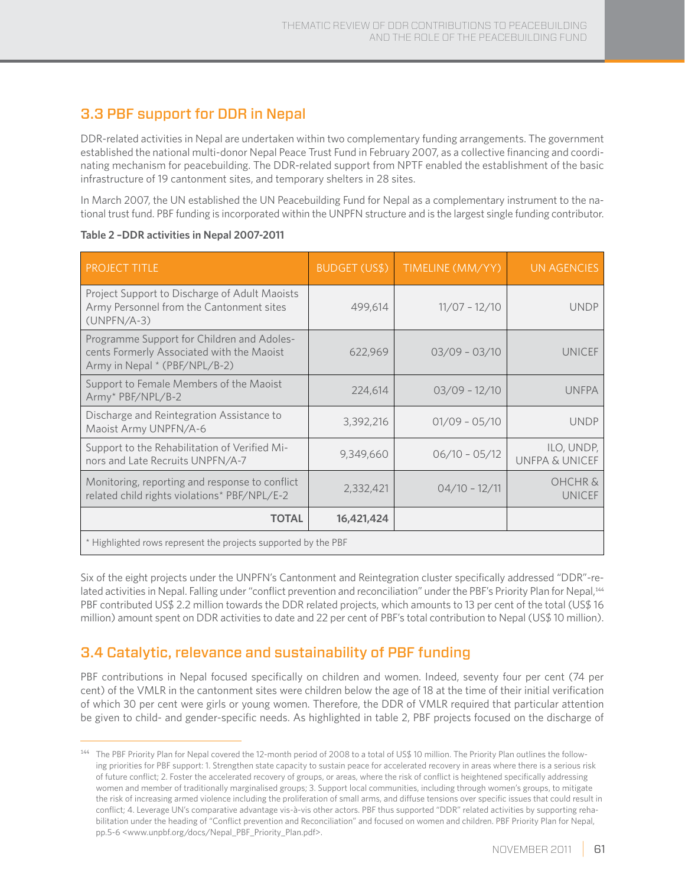## 3.3 PBF support for DDR in Nepal

DDR-related activities in Nepal are undertaken within two complementary funding arrangements. The government established the national multi-donor Nepal Peace Trust Fund in February 2007, as a collective financing and coordinating mechanism for peacebuilding. The DDR-related support from NPTF enabled the establishment of the basic infrastructure of 19 cantonment sites, and temporary shelters in 28 sites.

In March 2007, the UN established the UN Peacebuilding Fund for Nepal as a complementary instrument to the national trust fund. PBF funding is incorporated within the UNPFN structure and is the largest single funding contributor.

| <b>PROJECT TITLE</b>                                                                                                     | <b>BUDGET (US\$)</b> | TIMELINE (MM/YY) | <b>UN AGENCIES</b>                  |  |
|--------------------------------------------------------------------------------------------------------------------------|----------------------|------------------|-------------------------------------|--|
| Project Support to Discharge of Adult Maoists<br>Army Personnel from the Cantonment sites<br>$(UNPFN/A-3)$               | 499,614              | $11/07 - 12/10$  | <b>UNDP</b>                         |  |
| Programme Support for Children and Adoles-<br>cents Formerly Associated with the Maoist<br>Army in Nepal * (PBF/NPL/B-2) | 622,969              | $03/09 - 03/10$  | <b>UNICEF</b>                       |  |
| Support to Female Members of the Maoist<br>Army* PBF/NPL/B-2                                                             | 224,614              | $03/09 - 12/10$  | <b>UNFPA</b>                        |  |
| Discharge and Reintegration Assistance to<br>Maoist Army UNPFN/A-6                                                       | 3,392,216            | $01/09 - 05/10$  | <b>UNDP</b>                         |  |
| Support to the Rehabilitation of Verified Mi-<br>nors and Late Recruits UNPFN/A-7                                        | 9,349,660            | $06/10 - 05/12$  | ILO, UNDP,<br>UNFPA & UNICEF        |  |
| Monitoring, reporting and response to conflict<br>related child rights violations* PBF/NPL/E-2                           | 2,332,421            | $04/10 - 12/11$  | <b>OHCHR &amp;</b><br><b>UNICEF</b> |  |
| <b>TOTAL</b>                                                                                                             | 16,421,424           |                  |                                     |  |
| * Highlighted rows represent the projects supported by the PBF                                                           |                      |                  |                                     |  |

**Table 2 –DDR activities in Nepal 2007-2011**

Six of the eight projects under the UNPFN's Cantonment and Reintegration cluster specifically addressed "DDR"-related activities in Nepal. Falling under "conflict prevention and reconciliation" under the PBF's Priority Plan for Nepal,<sup>144</sup> PBF contributed US\$ 2.2 million towards the DDR related projects, which amounts to 13 per cent of the total (US\$ 16 million) amount spent on DDR activities to date and 22 per cent of PBF's total contribution to Nepal (US\$ 10 million).

## 3.4 Catalytic, relevance and sustainability of PBF funding

PBF contributions in Nepal focused specifically on children and women. Indeed, seventy four per cent (74 per cent) of the VMLR in the cantonment sites were children below the age of 18 at the time of their initial verification of which 30 per cent were girls or young women. Therefore, the DDR of VMLR required that particular attention be given to child- and gender-specific needs. As highlighted in table 2, PBF projects focused on the discharge of

<sup>144</sup> The PBF Priority Plan for Nepal covered the 12-month period of 2008 to a total of US\$ 10 million. The Priority Plan outlines the following priorities for PBF support: 1. Strengthen state capacity to sustain peace for accelerated recovery in areas where there is a serious risk of future conflict; 2. Foster the accelerated recovery of groups, or areas, where the risk of conflict is heightened specifically addressing women and member of traditionally marginalised groups; 3. Support local communities, including through women's groups, to mitigate the risk of increasing armed violence including the proliferation of small arms, and diffuse tensions over specific issues that could result in conflict; 4. Leverage UN's comparative advantage vis-à-vis other actors. PBF thus supported "DDR" related activities by supporting rehabilitation under the heading of "Conflict prevention and Reconciliation" and focused on women and children. PBF Priority Plan for Nepal, pp.5-6 <www.unpbf.org/docs/Nepal\_PBF\_Priority\_Plan.pdf>.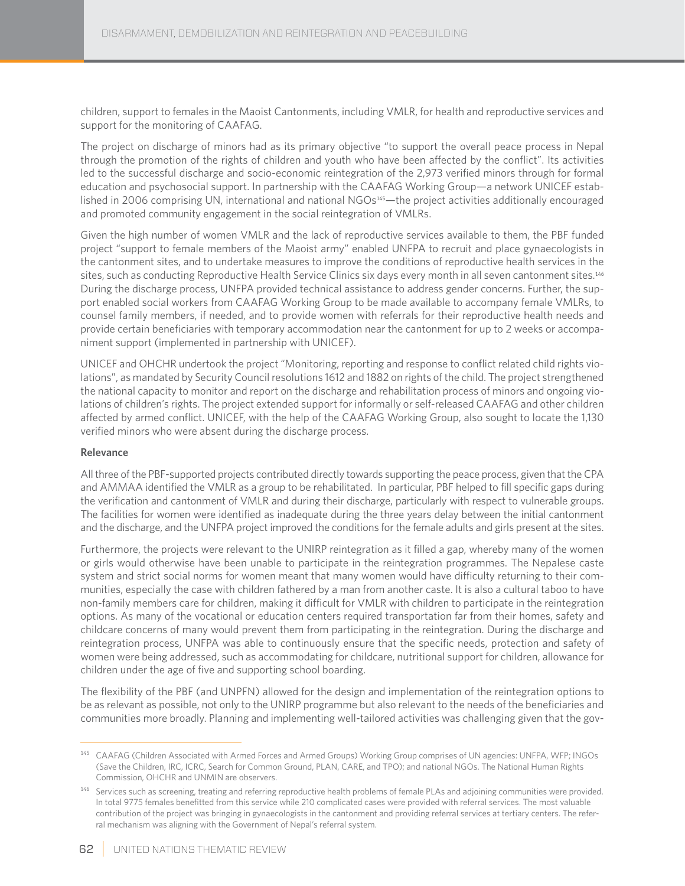children, support to females in the Maoist Cantonments, including VMLR, for health and reproductive services and support for the monitoring of CAAFAG.

The project on discharge of minors had as its primary objective "to support the overall peace process in Nepal through the promotion of the rights of children and youth who have been affected by the conflict". Its activities led to the successful discharge and socio-economic reintegration of the 2,973 verified minors through for formal education and psychosocial support. In partnership with the CAAFAG Working Group—a network UNICEF established in 2006 comprising UN, international and national NGOs<sup>145</sup>—the project activities additionally encouraged and promoted community engagement in the social reintegration of VMLRs.

Given the high number of women VMLR and the lack of reproductive services available to them, the PBF funded project "support to female members of the Maoist army" enabled UNFPA to recruit and place gynaecologists in the cantonment sites, and to undertake measures to improve the conditions of reproductive health services in the sites, such as conducting Reproductive Health Service Clinics six days every month in all seven cantonment sites.<sup>146</sup> During the discharge process, UNFPA provided technical assistance to address gender concerns. Further, the support enabled social workers from CAAFAG Working Group to be made available to accompany female VMLRs, to counsel family members, if needed, and to provide women with referrals for their reproductive health needs and provide certain beneficiaries with temporary accommodation near the cantonment for up to 2 weeks or accompaniment support (implemented in partnership with UNICEF).

UNICEF and OHCHR undertook the project "Monitoring, reporting and response to conflict related child rights violations", as mandated by Security Council resolutions 1612 and 1882 on rights of the child. The project strengthened the national capacity to monitor and report on the discharge and rehabilitation process of minors and ongoing violations of children's rights. The project extended support for informally or self-released CAAFAG and other children affected by armed conflict. UNICEF, with the help of the CAAFAG Working Group, also sought to locate the 1,130 verified minors who were absent during the discharge process.

#### **Relevance**

All three of the PBF-supported projects contributed directly towards supporting the peace process, given that the CPA and AMMAA identified the VMLR as a group to be rehabilitated. In particular, PBF helped to fill specific gaps during the verification and cantonment of VMLR and during their discharge, particularly with respect to vulnerable groups. The facilities for women were identified as inadequate during the three years delay between the initial cantonment and the discharge, and the UNFPA project improved the conditions for the female adults and girls present at the sites.

Furthermore, the projects were relevant to the UNIRP reintegration as it filled a gap, whereby many of the women or girls would otherwise have been unable to participate in the reintegration programmes. The Nepalese caste system and strict social norms for women meant that many women would have difficulty returning to their communities, especially the case with children fathered by a man from another caste. It is also a cultural taboo to have non-family members care for children, making it difficult for VMLR with children to participate in the reintegration options. As many of the vocational or education centers required transportation far from their homes, safety and childcare concerns of many would prevent them from participating in the reintegration. During the discharge and reintegration process, UNFPA was able to continuously ensure that the specific needs, protection and safety of women were being addressed, such as accommodating for childcare, nutritional support for children, allowance for children under the age of five and supporting school boarding.

The flexibility of the PBF (and UNPFN) allowed for the design and implementation of the reintegration options to be as relevant as possible, not only to the UNIRP programme but also relevant to the needs of the beneficiaries and communities more broadly. Planning and implementing well-tailored activities was challenging given that the gov-

<sup>145</sup> CAAFAG (Children Associated with Armed Forces and Armed Groups) Working Group comprises of UN agencies: UNFPA, WFP; INGOs (Save the Children, IRC, ICRC, Search for Common Ground, PLAN, CARE, and TPO); and national NGOs. The National Human Rights Commission, OHCHR and UNMIN are observers.

<sup>146</sup> Services such as screening, treating and referring reproductive health problems of female PLAs and adjoining communities were provided. In total 9775 females benefitted from this service while 210 complicated cases were provided with referral services. The most valuable contribution of the project was bringing in gynaecologists in the cantonment and providing referral services at tertiary centers. The referral mechanism was aligning with the Government of Nepal's referral system.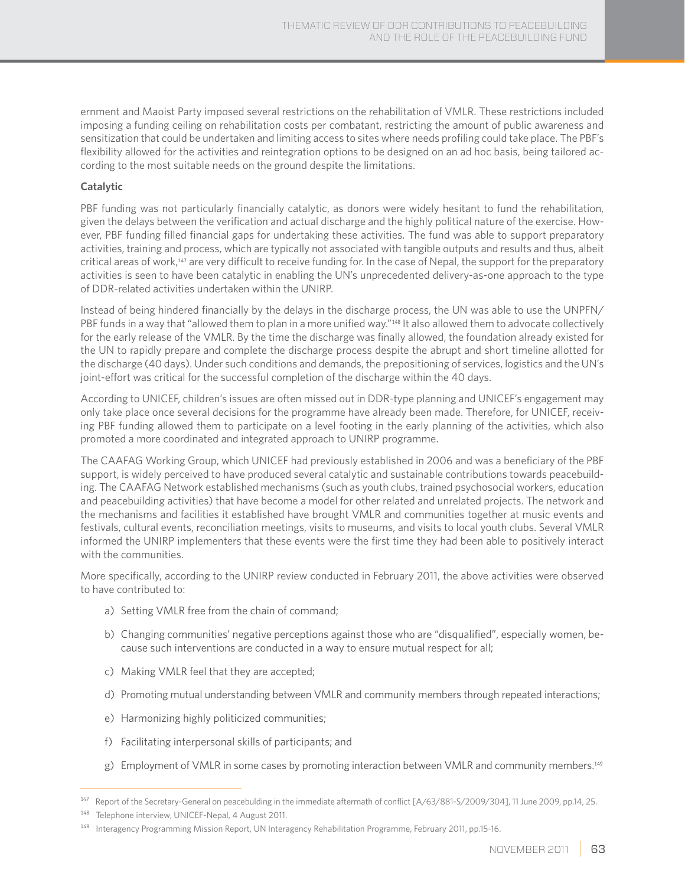ernment and Maoist Party imposed several restrictions on the rehabilitation of VMLR. These restrictions included imposing a funding ceiling on rehabilitation costs per combatant, restricting the amount of public awareness and sensitization that could be undertaken and limiting access to sites where needs profiling could take place. The PBF's flexibility allowed for the activities and reintegration options to be designed on an ad hoc basis, being tailored according to the most suitable needs on the ground despite the limitations.

#### **Catalytic**

PBF funding was not particularly financially catalytic, as donors were widely hesitant to fund the rehabilitation, given the delays between the verification and actual discharge and the highly political nature of the exercise. However, PBF funding filled financial gaps for undertaking these activities. The fund was able to support preparatory activities, training and process, which are typically not associated with tangible outputs and results and thus, albeit critical areas of work,<sup>147</sup> are very difficult to receive funding for. In the case of Nepal, the support for the preparatory activities is seen to have been catalytic in enabling the UN's unprecedented delivery-as-one approach to the type of DDR-related activities undertaken within the UNIRP.

Instead of being hindered financially by the delays in the discharge process, the UN was able to use the UNPFN/ PBF funds in a way that "allowed them to plan in a more unified way."<sup>148</sup> It also allowed them to advocate collectively for the early release of the VMLR. By the time the discharge was finally allowed, the foundation already existed for the UN to rapidly prepare and complete the discharge process despite the abrupt and short timeline allotted for the discharge (40 days). Under such conditions and demands, the prepositioning of services, logistics and the UN's joint-effort was critical for the successful completion of the discharge within the 40 days.

According to UNICEF, children's issues are often missed out in DDR-type planning and UNICEF's engagement may only take place once several decisions for the programme have already been made. Therefore, for UNICEF, receiving PBF funding allowed them to participate on a level footing in the early planning of the activities, which also promoted a more coordinated and integrated approach to UNIRP programme.

The CAAFAG Working Group, which UNICEF had previously established in 2006 and was a beneficiary of the PBF support, is widely perceived to have produced several catalytic and sustainable contributions towards peacebuilding. The CAAFAG Network established mechanisms (such as youth clubs, trained psychosocial workers, education and peacebuilding activities) that have become a model for other related and unrelated projects. The network and the mechanisms and facilities it established have brought VMLR and communities together at music events and festivals, cultural events, reconciliation meetings, visits to museums, and visits to local youth clubs. Several VMLR informed the UNIRP implementers that these events were the first time they had been able to positively interact with the communities.

More specifically, according to the UNIRP review conducted in February 2011, the above activities were observed to have contributed to:

- a) Setting VMLR free from the chain of command;
- b) Changing communities' negative perceptions against those who are "disqualified", especially women, because such interventions are conducted in a way to ensure mutual respect for all;
- c) Making VMLR feel that they are accepted;
- d) Promoting mutual understanding between VMLR and community members through repeated interactions;
- e) Harmonizing highly politicized communities;
- f) Facilitating interpersonal skills of participants; and
- g) Employment of VMLR in some cases by promoting interaction between VMLR and community members.<sup>149</sup>

Report of the Secretary-General on peacebulding in the immediate aftermath of conflict [A/63/881-S/2009/304], 11 June 2009, pp.14, 25.

<sup>148</sup> Telephone interview, UNICEF-Nepal, 4 August 2011.

<sup>149</sup> Interagency Programming Mission Report, UN Interagency Rehabilitation Programme, February 2011, pp.15-16.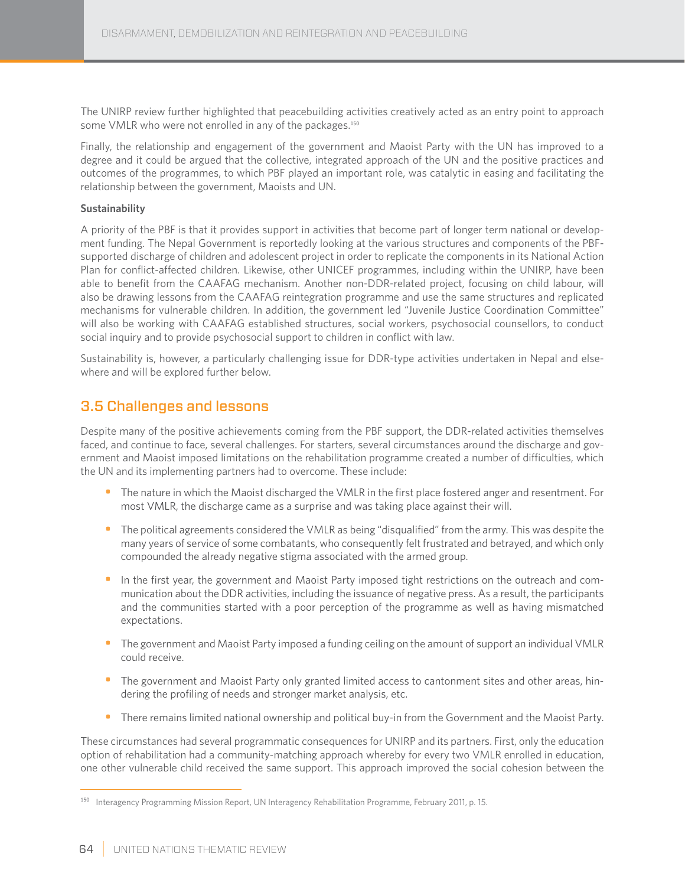The UNIRP review further highlighted that peacebuilding activities creatively acted as an entry point to approach some VMLR who were not enrolled in any of the packages.<sup>150</sup>

Finally, the relationship and engagement of the government and Maoist Party with the UN has improved to a degree and it could be argued that the collective, integrated approach of the UN and the positive practices and outcomes of the programmes, to which PBF played an important role, was catalytic in easing and facilitating the relationship between the government, Maoists and UN.

#### **Sustainability**

A priority of the PBF is that it provides support in activities that become part of longer term national or development funding. The Nepal Government is reportedly looking at the various structures and components of the PBFsupported discharge of children and adolescent project in order to replicate the components in its National Action Plan for conflict-affected children. Likewise, other UNICEF programmes, including within the UNIRP, have been able to benefit from the CAAFAG mechanism. Another non-DDR-related project, focusing on child labour, will also be drawing lessons from the CAAFAG reintegration programme and use the same structures and replicated mechanisms for vulnerable children. In addition, the government led "Juvenile Justice Coordination Committee" will also be working with CAAFAG established structures, social workers, psychosocial counsellors, to conduct social inquiry and to provide psychosocial support to children in conflict with law.

Sustainability is, however, a particularly challenging issue for DDR-type activities undertaken in Nepal and elsewhere and will be explored further below.

## 3.5 Challenges and lessons

Despite many of the positive achievements coming from the PBF support, the DDR-related activities themselves faced, and continue to face, several challenges. For starters, several circumstances around the discharge and government and Maoist imposed limitations on the rehabilitation programme created a number of difficulties, which the UN and its implementing partners had to overcome. These include:

- The nature in which the Maoist discharged the VMLR in the first place fostered anger and resentment. For most VMLR, the discharge came as a surprise and was taking place against their will.
- The political agreements considered the VMLR as being "disqualified" from the army. This was despite the many years of service of some combatants, who consequently felt frustrated and betrayed, and which only compounded the already negative stigma associated with the armed group.
- In the first year, the government and Maoist Party imposed tight restrictions on the outreach and communication about the DDR activities, including the issuance of negative press. As a result, the participants and the communities started with a poor perception of the programme as well as having mismatched expectations.
- The government and Maoist Party imposed a funding ceiling on the amount of support an individual VMLR could receive.
- The government and Maoist Party only granted limited access to cantonment sites and other areas, hindering the profiling of needs and stronger market analysis, etc.
- There remains limited national ownership and political buy-in from the Government and the Maoist Party.

These circumstances had several programmatic consequences for UNIRP and its partners. First, only the education option of rehabilitation had a community-matching approach whereby for every two VMLR enrolled in education, one other vulnerable child received the same support. This approach improved the social cohesion between the

<sup>150</sup> Interagency Programming Mission Report, UN Interagency Rehabilitation Programme, February 2011, p. 15.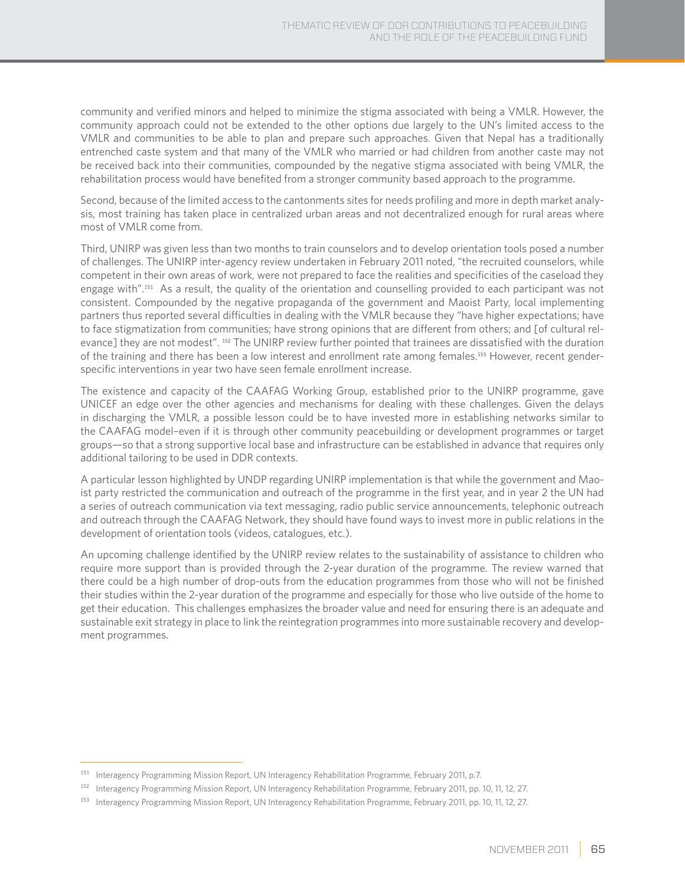community and verified minors and helped to minimize the stigma associated with being a VMLR. However, the community approach could not be extended to the other options due largely to the UN's limited access to the VMLR and communities to be able to plan and prepare such approaches. Given that Nepal has a traditionally entrenched caste system and that many of the VMLR who married or had children from another caste may not be received back into their communities, compounded by the negative stigma associated with being VMLR, the rehabilitation process would have benefited from a stronger community based approach to the programme.

Second, because of the limited access to the cantonments sites for needs profiling and more in depth market analysis, most training has taken place in centralized urban areas and not decentralized enough for rural areas where most of VMLR come from.

Third, UNIRP was given less than two months to train counselors and to develop orientation tools posed a number of challenges. The UNIRP inter-agency review undertaken in February 2011 noted, "the recruited counselors, while competent in their own areas of work, were not prepared to face the realities and specificities of the caseload they engage with".151 As a result, the quality of the orientation and counselling provided to each participant was not consistent. Compounded by the negative propaganda of the government and Maoist Party, local implementing partners thus reported several difficulties in dealing with the VMLR because they "have higher expectations; have to face stigmatization from communities; have strong opinions that are different from others; and [of cultural relevance] they are not modest". 152 The UNIRP review further pointed that trainees are dissatisfied with the duration of the training and there has been a low interest and enrollment rate among females.153 However, recent genderspecific interventions in year two have seen female enrollment increase.

The existence and capacity of the CAAFAG Working Group, established prior to the UNIRP programme, gave UNICEF an edge over the other agencies and mechanisms for dealing with these challenges. Given the delays in discharging the VMLR, a possible lesson could be to have invested more in establishing networks similar to the CAAFAG model–even if it is through other community peacebuilding or development programmes or target groups—so that a strong supportive local base and infrastructure can be established in advance that requires only additional tailoring to be used in DDR contexts.

A particular lesson highlighted by UNDP regarding UNIRP implementation is that while the government and Maoist party restricted the communication and outreach of the programme in the first year, and in year 2 the UN had a series of outreach communication via text messaging, radio public service announcements, telephonic outreach and outreach through the CAAFAG Network, they should have found ways to invest more in public relations in the development of orientation tools (videos, catalogues, etc.).

An upcoming challenge identified by the UNIRP review relates to the sustainability of assistance to children who require more support than is provided through the 2-year duration of the programme. The review warned that there could be a high number of drop-outs from the education programmes from those who will not be finished their studies within the 2-year duration of the programme and especially for those who live outside of the home to get their education. This challenges emphasizes the broader value and need for ensuring there is an adequate and sustainable exit strategy in place to link the reintegration programmes into more sustainable recovery and development programmes.

<sup>&</sup>lt;sup>151</sup> Interagency Programming Mission Report, UN Interagency Rehabilitation Programme, February 2011, p.7.

<sup>152</sup> Interagency Programming Mission Report, UN Interagency Rehabilitation Programme, February 2011, pp. 10, 11, 12, 27.

<sup>153</sup> Interagency Programming Mission Report, UN Interagency Rehabilitation Programme, February 2011, pp. 10, 11, 12, 27.